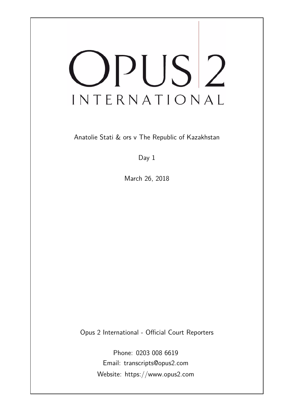# OPUS<sup>2</sup> INTERNATIONAL

Anatolie Stati & ors v The Republic of Kazakhstan

Day 1

March 26, 2018

Opus 2 International - Official Court Reporters

Phone: 0203 008 6619 Email: transcripts@opus2.com Website: https://www.opus2.com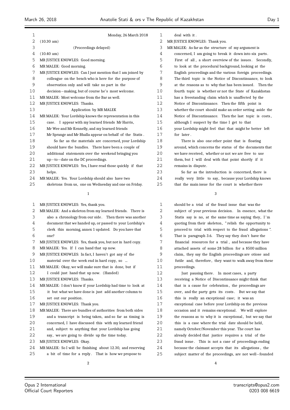| 1  | Monday, 26 March 2018                                       | 1            |
|----|-------------------------------------------------------------|--------------|
| 2  | $(10.30 \text{ am})$                                        | 2            |
| 3  | (Proceedings delayed)                                       | 3            |
| 4  | $(10.40 \text{ am})$                                        | 4            |
| 5  | MR JUSTICE KNOWLES: Good morning.                           | 5            |
| 6  | MR MALEK: Good morning.                                     | 6            |
| 7  | MR JUSTICE KNOWLES: Can I just mention that I am joined by  | 7            |
| 8  | colleague on the bench who is here for the purpose of       | 8            |
| 9  | observation only and will take no part in the               | 9            |
| 10 | decision—making, but of course he's most welcome.           | 10           |
| 11 | MR MALEK: Most welcome from the Bar as well.                | 11           |
| 12 | MR JUSTICE KNOWLES: Thanks.                                 | 12           |
| 13 | Application by MR MALEK                                     | 13           |
| 14 | MR MALEK: Your Lordship knows the representation in this    | 14           |
| 15 | I appear with my learned friends Mr Harris,<br>case.        | 15           |
| 16 | Mr Wee and Mr Kennelly, and my learned friends              | 16           |
| 17 | Mr Sprange and Mr Bhalla appear on behalf of the Statis.    | 17           |
| 18 | So far as the materials are concerned, your Lordship        | 18           |
| 19 | should have the bundles. There have been a couple of        | 19           |
| 20 | additional statements over the weekend bringing you         | 20           |
| 21 | $up-to-date$ on the DC proceedings.                         | 21           |
| 22 | MR JUSTICE KNOWLES: Yes, I have read those quickly if that  | 22           |
| 23 | helps.                                                      | 23           |
| 24 | MR MALEK: Yes. Your Lordship should also have two           | 24           |
| 25 | skeletons from us, one on Wednesday and one on Friday.      | 25           |
|    | 1                                                           |              |
| 1  | MR JUSTICE KNOWLES: Yes, thank you.                         | $\mathbf{1}$ |
| 2  | MR MALEK: And a skeleton from my learned friends. There is  | 2            |
| 3  | also a chronology from our side. Then there was another     | 3            |
| 4  | document that we handed up, or passed to your Lordship's    | 4            |
| 5  | clerk this morning, annex 1 updated. Do you have that       | 5            |
| 6  | one?                                                        | 6            |
| 7  | MR JUSTICE KNOWLES: Yes, thank you, but not in hard copy.   | 7            |
| 8  | MR MALEK: Yes. If I can hand that up now.                   | 8            |
| 9  | MR JUSTICE KNOWLES: In fact, I haven't got any of the       | 9            |
| 10 | material over the week end in hard copy, so                 | 10           |
| 11 | MR MALEK: Okay, we will make sure that is done, but if      | 11           |
| 12 | I could just hand that up now. (Handed)                     | 12           |
| 13 | MR JUSTICE KNOWLES: Thanks.                                 | 13           |
| 14 | MR MALEK: I don't know if your Lordship had time to look at | 14           |
| 15 | it but what we have done is just add another column to      | 15           |
| 16 | set out our position.                                       | 16           |
| 17 | MR JUSTICE KNOWLES: Thank you.                              | 17           |
| 18 | MR MALEK: There are bundles of authorities from both sides  | 18           |
| 19 | and a transcript is being taken, and so far as timing is    | 19           |
| 20 | concerned, I have discussed this with my learned friend     | 20           |

deal with it. MR JUSTICE KNOWLES: Thank you. MR MALEK: As far as the structure of my argument is concerned, I am going to break it down into six parts. First of all, a short overview of the issues. Secondly, to look at the procedural background, looking at the English proceedings and the various foreign proceedings. The third topic is the Notice of Discontinuance, to look at the reasons as to why that has been issued. Then the fourth topic is whether or not the State of Kazakhstan has a freestanding claim which is unaffected by the Notice of Discontinuance. Then the fifth point is whether the court should make an order setting aside the Notice of Discontinuance. Then the last topic is costs, although I suspect by the time I get to that your Lordship might feel that that might be better left for later. There is also one other point that is floating around, which concerns the status of the documents that we have received, whether or not we are free to use them, but I will deal with that point shortly if it remains in dispute.

So far as the introduction is concerned, there is really very little to say, because your Lordship knows that the main issue for the court is whether there

3

should be a trial of the fraud issue that was the subject of your previous decision. In essence, what the Statis say is no, at the same time as saying they, I'm quoting from their skeleton, " relish the opportunity to proceed to trial with respect to the fraud allegations ". That is paragraph 3.6. They say they don't have the financial resources for a trial, and because they have attached assets of some 28 billion for a \$500 million claim, they say the English proceedings are otiose and futile and, therefore, they want to walk away from these proceedings.

| 12 | Just pausing there. In most cases, a party               |
|----|----------------------------------------------------------|
| 13 | receiving a Notice of Discontinuance might think that    |
| 14 | that is a cause for celebration, the proceedings are     |
| 15 | over, and the party gets its costs. But we say that      |
| 16 | this is really an exceptional case; it was an            |
| 17 | exceptional case before your Lordship on the previous    |
| 18 | occasion and it remains exceptional. We will explore     |
| 19 | the reasons as to why it is exceptional, but we say that |
| 20 | this is a case where the trial date should be held,      |
| 21 | namely October/November this year. The court has         |
| 22 | already decided that justice requires a trial of the     |
| 23 | fraud issue. This is not a case of proceedings ending    |
| 24 | because the claimant accepts that its allegations, the   |
| 25 | subject matter of the proceedings, are not well-founded  |
|    |                                                          |

4

 $\overline{2}$ 

24 MR MALEK: So I will be finishing about 12.30, and reserving 25 a bit of time for a reply. That is how we propose to

21 and, subject to anything that your Lordship has going 22 say, we are going to divide up the time today.

23 MR JUSTICE KNOWLES: Okay.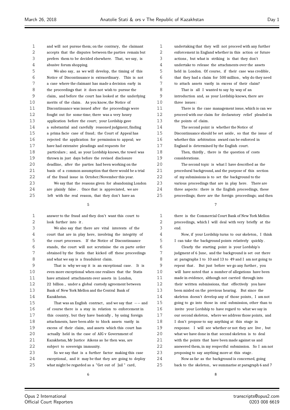and will not pursue them; on the contrary, the claimant accepts that the disputes between the parties remain but prefers them to be decided elsewhere. That, we say, is abusive forum shopping. We also say, as we will develop, the timing of this Notice of Discontinuance is extraordinary. This is not a case where the claimant has made a decision early in the proceedings that it does not wish to pursue the claim, and before the court has looked at the underlying merits of the claim. As you know, the Notice of Discontinuance was issued after the proceedings were fought out for some time; there was a very heavy application before the court; your Lordship gave a substantial and carefully reasoned judgment, finding a prima facie case of fraud; the Court of Appeal has rejected the application for permission to appeal; we have had extensive pleadings and requests for particulars ; and, as your Lordship knows, the towel was thrown in just days before the revised disclosure deadline, after the parties had been working on the basis of a common assumption that there would be a trial of the fraud issue in October/November this year. We say that the reasons given for abandoning London are plainly false . Once that is appreciated, we are

left with the real reason, that they don't have an

 answer to the fraud and they don't want this court to look further into it .

 We also say that there are vital interests of the court that are in play here, involving the integrity of the court processes. If the Notice of Discontinuance stands, the court will not scrutinise the ex parte order obtained by the Statis that kicked off these proceedings and what we say is a fraudulent claim.

 That is why we say it is an exceptional case. It is even more exceptional when one realises that the Statis have attained attachments over assets in London, 22 billion , under a global custody agreement between Bank of New York Mellon and the Central Bank of Kazakhstan.

 That was an English contract , and we say that *−−* and of course there is a stay in relation to enforcement in this country, but they have basically , by using foreign attachments, have been able to block assets vastly in excess of their claim, and assets which this court has actually held in the case of AIG v Government of Kazakhstan, Mr Justice Aikens as he then was, are subject to sovereign immunity.

 So we say that is a further factor making this case 24 exceptional, and it may be that they are going to deploy what might be regarded as a "Get out of Jail " card,

 undertaking that they will not proceed with any further enforcement in England whether in this action or future actions , but what is striking is that they don't undertake to release the attachments over the assets held in London. Of course, if their case was credible , that they had a claim for 500 million , why do they need to attach assets vastly in excess of their claim? That is all I wanted to say by way of an introduction and, as your Lordship knows, there are three issues : There is the case management issue, which is can we proceed with our claim for declaratory relief pleaded in

 the points of claim. The second point is whether the Notice of 15 Discontinuance should be set aside so that the issue of whether this arbitration award can be enforced in

England is determined by the English court .

 Then, thirdly , there is the question of costs considerations .

 The second topic is what I have described as the procedural background, and the purpose of this section of my submissions is to set the background to the various proceedings that are in play here. There are three aspects: there is the English proceedings, these proceedings; there are the foreign proceedings; and then

 there is the Commercial Court Bank of New York Mellon proceedings, which I will deal with very briefly at the end.

 Now, if your Lordship turns to our skeleton , I think I can take the background points relatively quickly .

 Clearly the starting point is your Lordship's judgment of 6 June, and the background is set out there at paragraphs 1 to 10 and 13 to 49 and I am not going to 9 repeat that. But just before we go any further, you will have noted that a number of allegations have been made in evidence, although not carried through into their written submissions, that effectively you have been misled on the previous hearing. But since the skeleton doesn't develop any of those points , I am not going to go into those in oral submission, other than to invite your Lordship to have regard to what we say in our second skeleton, where we address those points, and I don't propose to say anything at this stage in response. I will see whether or not they are live , but what we have done in that second skeleton is to deal with the points that have been made against us and answered them, in my respectful submission. So I am not proposing to say anything more at this stage .

 Now as far as the background is concerned, going 25 back to the skeleton, we summarise at paragraph 6 and 7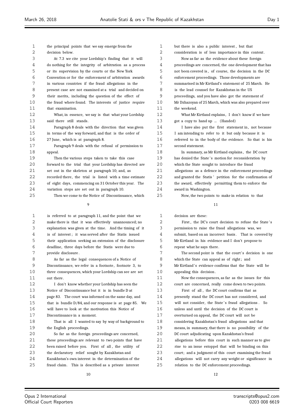| $\mathbf 1$       | the principal points that we say emerge from the         |
|-------------------|----------------------------------------------------------|
| 2                 | decision below.                                          |
| 3                 | At 7.3 we cite your Lordship's finding that it will      |
| 4                 | do nothing for the integrity of arbitration as a process |
| 5                 | or its supervision by the courts or the New York         |
| 6                 | Convention or for the enforcement of arbitration awards  |
| 7                 | in various countries if the fraud allegations in the     |
| 8                 | present case are not examined at a trial and decided on  |
| 9                 | their merits, including the question of the effect of    |
| 10                | the fraud where found. The interests of justice require  |
| 11                | that examination.                                        |
| $12 \overline{)}$ | What, in essence, we say is that what your Lordship      |
| 13                | said there still stands.                                 |
| 14                | Paragraph 8 deals with the direction that was given      |
| 15                | in terms of the way forward, and that is the order of    |
| 16                | 27 June, which is at paragraph 8.                        |
| 17                | Paragraph 9 deals with the refusal of permission to      |
| 18                | appeal.                                                  |
| 19                | Then the various steps taken to take this case           |
| 20                | forward to the trial that your Lordship has directed are |
| 21                | set out in the skeleton at paragraph 10; and, as         |
| 22                | recorded there, the trial is listed with a time estimate |
| 23                | of eight days, commencing on 31 October this year. The   |
| 24                | variation steps are set out in paragraph 10.             |
| 25                | Then we come to the Notice of Discontinuance, which      |

 $\overline{9}$ 

 is referred to at paragraph 11, and the point that we make there is that it was effectively unannounced; no explanation was given at the time. And the timing of it is of interest ; it was served after the Statis issued their application seeking an extension of the disclosure deadline, three days before the Statis were due to provide disclosure .

 As far as the legal consequences of a Notice of Discontinuance, we refer in a footnote , footnote 3, to three consequences, which your Lordship can see are set 11 out there.

 I don't know whether your Lordship has seen the Notice of Discontinuance but it is in bundle D at page 83. The court was informed on the same day, and that is bundle D/84, and our response is at page 85. We will have to look at the motivation this Notice of Discontinuance in a moment.

 That is all I wanted to say by way of background to the English proceedings.

 So far as the foreign proceedings are concerned, these proceedings are relevant to two points that have been raised before you. First of all , the utility of the declaratory relief sought by Kazakhstan and Kazakhstan's own interest in the determination of the fraud claim. This is described as a private interest

 but there is also a public interest , but that consideration is of less importance in this context . Now as far as the evidence about these foreign proceedings are concerned, the one development that has not been covered is , of course, the decision in the DC enforcement proceedings. Those developments are summarised in Mr Kirtland's statement of 25 March. He is the lead counsel for Kazakhstan in the US proceedings, and you have also got the statement of Mr Dzhazoyan of 25 March, which was also prepared over the weekend. What Mr Kirtland explains , I don't know if we have got a copy to hand up ... (Handed) 14 I have also put the first statement in, not because I am intending to refer to it but only because it is referred to in the body of the evidence. So that is his second statement.

18 In summary, as Mr Kirtland explains, the DC court 19 has denied the State's motion for reconsideration by which the State sought to introduce the fraud allegations as a defence in the enforcement proceedings and granted the Statis ' petition for the confirmation of the award, effectively permitting them to enforce the award in Washington.

Now, the two points to make in relation to that

decision are these:

 First , the DC's court decision to refuse the State ' s permission to raise the fraud allegations was, we submit, based on an incorrect basis . That is covered by Mr Kirtland in his evidence and I don't propose to repeat what he says there .

7 The second point is that the court's decision is one which the State can appeal as of right ; and Mr Kirtland' s evidence confirms that the State will be appealing this decision .

 Now the consequences, as far as the issues for this court are concerned, really come down to two points.

 First of all , the DC court confirms that as presently stand the DC court has not considered, and 15 will not consider, the State's fraud allegations. So unless and until the decision of the DC court is overturned on appeal, the DC court will not be considering Kazakhstan's fraud allegations and that means, in summary, that there is no possibility of the DC court adjudicating upon Kazakhstan's fraud allegations before this court in such manner as to give rise to an issue estoppel that will be binding on this court; and a judgment of this court examining the fraud allegations will not carry any weight or significance in relation to the DC enforcement proceedings.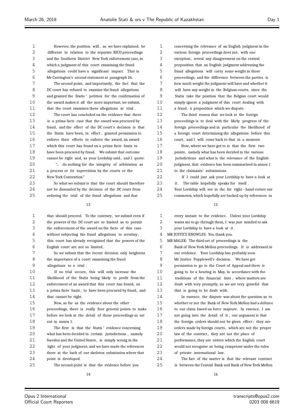| $\mathbf{1}$ | However, the position will, as we have explained, be     |
|--------------|----------------------------------------------------------|
| 2            | different in relation to the separate RICO proceedings   |
| 3            | and the Southern District New York enforcement case, in  |
| 4            | which a judgment of this court examining the fraud       |
| 5            | allegations could have a significant impact. That is     |
| 6            | Mr Carrington's second statement at paragraph 26.        |
| 7            | The second point, and importantly, the fact that the     |
| 8            | DC court has refused to examine the fraud allegations    |
| 9            | and granted the Statis' petition for the confirmation of |
| 10           | the award makes it all the more important, we submit,    |
| 11           | that the court examines these allegations at trial.      |
| 12           | The court has concluded on the evidence that there       |
| 13           | is a prima facie case that the award was procured by     |
| 14           | fraud, and the effect of the DC court's decision is that |
| 15           | the Statis have been, in effect, granted permission to   |
| 16           | enforce their efforts to enforce the award, an award     |
| 17           | which this court has found on a prima facie basis to     |
| 18           | have been procured by fraud. We submit that outcome      |
| 19           | cannot be right and, as your Lordship said, and I quote: |
| 20           | " do nothing for the integrity of arbitration as         |
| 21           | a process or its supervision by the courts or the        |
| 2.2.         | New York Convention."                                    |

 So what we submit is that the court should therefore not be dissuaded by the decision of the DC court from ordering the trial of the fraud allegations and that

 that should proceed. To the contrary, we submit even if the powers of the DC court are so limited as to permit the enforcement of the award on the facts of this case without subjecting the fraud allegations to scrutiny , this court has already recognised that the powers of the English court are not so limited . So we submit that the recent decision only heightens the importance of a court examining the fraud allegations to a trial . If no trial occurs, this will only increase the likelihood of the Statis being likely to profit from the enforcement of an award that this court has found, on a prima facie basis , to have been procured by fraud, and 14 that cannot be right. Now, as far as the evidence about the other proceedings, there is really four general points to make before we look at the detail of those proceedings as set out in annex 1. The first is that the Statis ' evidence concerning what has been decided in certain jurisdictions , namely Sweden and the United States , is simply wrong in the light of your judgment; and we have made the references there at the back of our skeleton submission where that point is developed. The second point is that the evidence before you

 concerning the relevance of an English judgment in the various foreign proceedings does not, with one exception, reveal any disagreement on the central proposition that an English judgment addressing the fraud allegations will carry some weight in those proceedings, and the difference between the parties is how much weight the judgment will have and whether it will have any weight in the Belgium courts, since the Statis take the position that the Belgian court would simply ignore a judgment of this court dealing with a fraud, a proposition which we dispute.

 The third reason that we look at the foreign proceedings is to deal with the likely progress of the foreign proceedings and in particular the likelihood of a foreign court determining the allegations before this 16 court, and I will come back to that in a moment.

 Now, where we have got to is that the first two 18 points, namely what has been decided in the various jurisdictions and what is the relevance of the English 20 iudgment, that evidence has been summarised in annex 1 to the claimants' submissions.

 If I could just ask your Lordship to have a look at it . The table hopefully speaks for itself .

 Your Lordship will see in the far right*−*hand corner our comments, which hopefully are backed up by references in

| $\mathbf{1}$ | every instant to the evidence. Unless your Lordship      |
|--------------|----------------------------------------------------------|
| 2            | wants me to go through them, I was just minded to ask    |
| 3            | your Lordship to have a look at it.                      |
| 4            | MR JUSTICE KNOWLES: Yes, thank you.                      |
| 5            | MR MALEK: The third set of proceedings is the            |
| 6            | Bank of New York Mellon proceedings. It is addressed in  |
| 7            | our evidence. Your Lordship has probably seen            |
| 8            | Mr Justice Popplewell's decision. We have got            |
| 9            | permission to go to the Court of Appeal and there is     |
| 10           | going to be a hearing in May, in accordance with the     |
| 11           | traditions of the financial lists, where matters are     |
| 12           | dealt with very promptly, so we are very grateful that   |
| 13           | that is going to be dealt with.                          |
| 14           | In essence, the dispute was about the question as to     |
| 15           | whether or not the Bank of New York Mellon had a defence |
| 16           | to our claim based on force majeure. In essence, I am    |
| 17           | not going into the detail of it, our argument is that    |
| 18           | the foreign orders should not be given effect; they are  |
| 19           | orders made by foreign courts, which are not the proper  |
| 20           | law of the contract, they are not the place of           |
| 21           | performance, they are orders which the English court     |
| 22           | would not recognise as being competent under the rules   |
| 23           | of private international law.                            |
| 24           | The fact of the matter is that the relevant contract     |
| 25           | is between the Central Bank and Bank of New York Mellon  |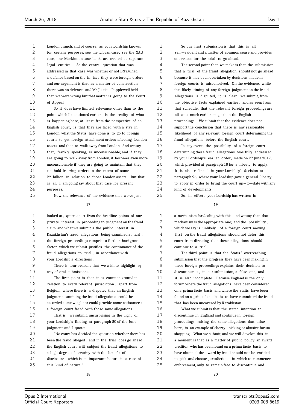London branch, and of course, as your Lordship knows, for certain purposes, see the Libyan case, see the XAG case, the Mackinnon case, banks are treated as separate legal entities . So the central question that was addressed in that case was whether or not BNYM had a defence based on the in fact they were foreign orders, and our argument is that as a matter of construction there was no defence, and Mr Justice Popplewell held that we were wrong but that matter is going to the Court of Appeal. So it does have limited relevance other than to the 12 point which I mentioned earlier, is the reality of what is happening here, at least from the perspective of an English court , is that they are faced with a stay in London, what the Statis have done is to go to foreign courts to get foreign attachment orders affecting London assets and then to walk away from London. And we say 18 that, frankly speaking, is unconscionable; and if they are going to walk away from London, it becomes even more unconscionable if they are going to maintain that they can hold freezing orders to the extent of some 22 billion in relation to those London assets. But that

 is all I am going say about that case for present purposes.

Now, the relevance of the evidence that we've just

1 looked at, quite apart from the headline points of our private interest in proceeding to judgment on the fraud claim and what we submit is the public interest in Kazakhstan's fraud allegations being examined at trial , the foreign proceedings comprise a further background factor which we submit justifies the continuance of the fraud allegations to trial , in accordance with your Lordship's directions . There is four reasons that we wish to highlight by way of oral submissions. The first point is that it is common ground in relation to every relevant jurisdiction , apart from 13 Belgium, where there is a dispute, that an English 14 judgment examining the fraud allegations could be accorded some weight or could provide some assistance to a foreign court faced with those same allegations . That is , we submit, unsurprising in the light of your Lordship's finding at paragraph 80 of the June judgment, and I quote: "No court has decided the question whether there has been the fraud alleged , and if the trial does go ahead the English court will subject the fraud allegations to a high degree of scrutiny with the benefit of

 disclosure , which is an important feature in a case of this kind of nature ."

 So our first submission is that this is all self *<sup>−</sup>*evident and a matter of common sense and provides one reason for the trial to go ahead. The second point that we make is that the submission that a trial of the fraud allegation should not go ahead because it has been overtaken by decisions made in foreign courts is misconceived. On the evidence, while the likely timing of any foreign judgment on the fraud allegations is disputed, it is clear , we submit, from the objective facts explained earlier , and as seen from that schedule, that the relevant foreign proceedings are all at a much earlier stage than the English proceedings. We submit that the evidence does not support the conclusion that there is any reasonable likelihood of any relevant foreign court determining the fraud allegations before the English court . In any event, the possibility of a foreign court

 determining these fraud allegations was fully addressed by your Lordship's earlier order, made on 27 June 2017, which provided at paragraph 18 for a liberty to apply. It is also reflected in your Lordship's decision at paragraph 96, where your Lordship gave a general liberty to apply in order to bring the court up*−*to*−*date with any kind of developments.

So, in effect , your Lordship has written in

#### 

 a mechanism for dealing with this and we say that that mechanism is the appropriate one; and the possibility , which we say is unlikely , of a foreign court moving first on the fraud allegations should not deter this court from directing that these allegations should continue to a trial .

 The third point is that the Statis ' overreaching submission that the progress they have been making in these foreign proceedings explains their decision to discontinue is , in our submission, a false one, and it is also incomplete. Because England is the only forum where the fraud allegations have been considered on a prima facie basis and where the Statis have been found on a prima facie basis to have committed the fraud that has been uncovered by Kazakhstan.

 What we submit is that the stated intention to discontinue in England and continue in foreign proceedings, raising the same allegations that arise 19 here, is an example of cherry−picking or abusive forum<br>20 shopping What we submit and we will develop this in shopping. What we submit, and we will develop this in a moment, is that as a matter of public policy an award creditor who has been found on a prima facie basis to have obtained the award by fraud should not be entitled to pick and choose jurisdictions in which to commence enforcement, only to remain free to discontinue and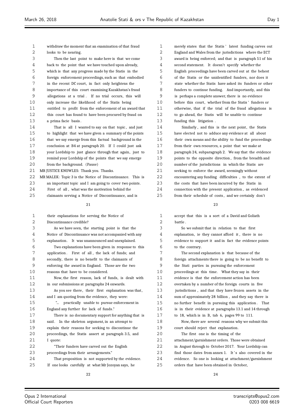| 2        | looks to be nearing.                                                     |
|----------|--------------------------------------------------------------------------|
| 3        | Then the last point to make here is that we come                         |
| 4        | back to the point that we have touched upon already,                     |
| 5        | which is that any progress made by the Statis in the                     |
| 6        | foreign enforcement proceedings, such as that embodied                   |
| 7        | in the recent DC court, in fact only heightens the                       |
| 8        | importance of this court examining Kazakhstan's fraud                    |
| 9        | allegations at a trial. If no trial occurs, this will                    |
| 10       | only increase the likelihood of the Statis being                         |
| 11       | entitled to profit from the enforcement of an award that                 |
| 12       | this court has found to have been procured by fraud on                   |
| 13       | a prima facie basis.                                                     |
| 14       | That is all I wanted to say on that topic, and just                      |
| 15       | to highlight that we have given a summary of the points                  |
| 16       | that we say emerge from this factual background in the                   |
| 17       | conclusion at B4 at paragraph 20. If I could just ask                    |
| 18       | your Lordship to just glance through that again, just to                 |
| 19       | remind your Lordship of the points that we say emerge                    |
| 20       | from the background. (Pause)                                             |
| 21       | MR JUSTICE KNOWLES: Thank you. Thanks.                                   |
| 22       | MR MALEK: Topic 3 is the Notice of Discontinuance. This is               |
| 23       | an important topic and I am going to cover two points.                   |
| 24       | First of all, what was the motivation behind the                         |
| 25       | claimants serving a Notice of Discontinuance, and is                     |
|          |                                                                          |
|          |                                                                          |
|          | 21                                                                       |
|          |                                                                          |
| 1<br>2   | their explanations for serving the Notice of<br>Discontinuance credible? |
| 3        |                                                                          |
| 4        | As we have seen, the starting point is that the                          |
| 5        | Notice of Discontinuance was not accompanied with any                    |
| 6        | It was unannounced and unexplained.<br>explanation.                      |
| 7        | Two explanations have been given in response to this                     |
|          | First of all, the lack of funds; and<br>application.                     |
| 8<br>9   | secondly, there is no benefit to the claimants of                        |
| 10       | enforcing the award in England. Those are the two                        |
| 11       | reasons that have to be considered.                                      |
| 12       | Now, the first reason, lack of funds, is dealt with                      |
| 13       | in our submissions at paragraphs 24 onwards.                             |
| 14       | As you see there, their first explanation was that,                      |
| 15       | and I am quoting from the evidence, they were:<br>"                      |
|          | practically unable to pursue enforcement in                              |
| 16<br>17 | England any further for lack of funds."                                  |
| 18       | There is no documentary support for anything that is<br>said .           |
| 19       | In the skeleton argument, in an attempt to                               |
| 20       | explain their reasons for seeking to discontinue the                     |
| 21       | proceedings, the Statis assert at paragraph 3.5, and<br>I quote:         |

withdraw the moment that an examination of that fraud

proceedings from their arrangements."

 That proposition is not supported by the evidence. If one looks carefully at what Mr Jozoyan says, he

| $\mathbf 1$ | merely states that the Statis' latest funding carves out |
|-------------|----------------------------------------------------------|
| 2           | England and Wales from the jurisdictions where the ECT   |
| 3           | award is being enforced; and that is paragraph 51 of his |
| 4           | second statement. It doesn't specify whether the         |
| 5           | English proceedings have been carved out at the behest   |
| 6           | of the Statis or the unidentified funders, nor does it   |
| 7           | state whether the Statis have asked its funders or other |
| 8           | funders to continue funding. And importantly, and this   |
| 9           | is perhaps a complete answer, there is no evidence       |
| 10          | before this court, whether from the Statis' funders or   |
| 11          | otherwise, that if the trial of the fraud allegations is |
| 12          | to go ahead, the Statis will be unable to continue       |
| 13          | funding this litigation.                                 |
| 14          | Similarly, and this is the next point, the Statis        |
| 15          | have elected not to adduce any evidence at all about     |
| 16          | their own means and the ability to fund the proceedings  |
| 17          | from their own resources, a point that we make at        |
| 18          | paragraph 24, subparagraph 2. We say that the evidence   |
| 19          | points to the opposite direction, from the breadth and   |
|             |                                                          |

 points to the opposite direction , from the breadth and number of the jurisdictions in which the Statis are seeking to enforce the award, seemingly without encountering any funding difficulties , to the extent of the costs that have been incurred by the Statis in connection with the present application , as evidenced from their schedule of costs , and we certainly don't

 $2<sub>2</sub>$ 

 accept that this is a sort of a David and Goliath battle .

 So we submit that in relation to that first explanation, ie they cannot afford it , there is no evidence to support it and in fact the evidence points to the contrary.

 The second explanation is that because of the foreign attachments there is going to be no benefit to the Stati parties in pursuing the enforcement proceedings at this time. What they say in their evidence is that the enforcement action has been overtaken by a number of the foreign courts in five jurisdictions , and that they have frozen assets in the sum of approximately 28 billion , and they say there is no further benefit in pursuing this application . That is in their evidence at paragraphs 13.1 and 14 through to 18, which is in B, tab 6, pages 99 to 111. Now, there are several reasons why we submit this court should reject that explanation. The first one is the timing of the

 attachment/garnishment orders. Those were obtained in August through to October 2017. Your Lordship can 23 find those dates from annex 1. It's also covered in the evidence. So one is looking at attachment/garnishment

orders that have been obtained in October,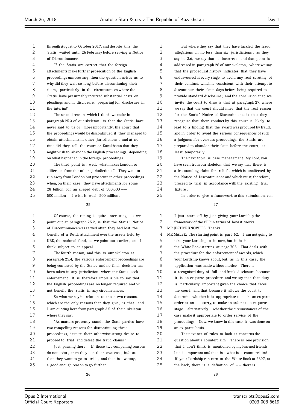through August to October 2017, and despite this the Statis waited until 26 February before serving a Notice of Discontinuance. If the Statis are correct that the foreign attachments make further prosecution of the English proceedings unnecessary, then the question arises as to why did they wait so long before discontinuing their claim, particularly in the circumstances where the Statis have presumably incurred substantial costs on pleadings and in disclosure , preparing for disclosure in the interim? The second reason, which I think we make in paragraph 25.3 of our skeleton , is that the Statis have never said to us or, more importantly, the court that the proceedings would be discontinued if they managed to obtain attachments in other jurisdictions , and at no time did they tell the court or Kazakhstan that they might wish to abandon the English proceedings, depending on what happened in the foreign proceedings. 20 The third point is, well, what makes London so different from the other jurisdictions ? They want to 22 run away from London but prosecute in other proceedings when, on their case, they have attachments for some

24 28 billion for an alleged debt of 500,000 <sup>−−</sup><br>25 500 million I wish it was! 500 million 500 million . I wish it was! 500 million .

 Of course, the timing is quite interesting , as we point out at paragraph 25.2, is that the Statis ' Notice of Discontinuance was served after they had lost the benefit of a Dutch attachment over the assets held by NBK, the national fund, as we point out earlier , and I think subject to an appeal.

 The fourth reason, and this is our skeleton at paragraph 25.4, the various enforcement proceedings are being contested by the State , and no final decision has been taken in any jurisdiction where the Statis seek enforcement. It is therefore implausible to say that the English proceedings are no longer required and will not benefit the Statis in any circumstances.

 So what we say in relation to those two reasons, 15 which are the only reasons that they give, is that, and I am quoting here from paragraph 3.5 of their skeleton where they say:

 "As matters presently stand, the Stati parties have two compelling reasons for discontinuing these proceedings, despite their otherwise strong desire to proceed to trial and defeat the fraud claims ." Just pausing there . If those two compelling reasons do not exist , then they, on their own case, indicate that they want to go to trial , and that is , we say, a good enough reason to go further .

 But where they say that they have tackled the fraud allegations in no less than six jurisdictions , as they say in 3.6, we say that is incorrect ; and that point is 4 addressed in paragraph 26 of our skeleton, where we say that the procedural history indicates that they have endeavoured at every stage to avoid any real scrutiny of their conduct, which is consistent with their attempt to discontinue their claim days before being required to provide standard disclosure ; and the conclusion that we invite the court to draw is that at paragraph 27, where we say that the court should infer that the real reason for the Statis ' Notice of Discontinuance is that they recognise that their conduct by this court is likely to lead to a finding that the award was procured by fraud, and in order to avoid the serious consequences of such a judgment for overseas proceedings, the Statis are 17 prepared to abandon their claim before the court, at least temporarily.

 The next topic is case management. My Lord, you have seen from our skeleton that we say that there is a freestanding claim for relief , which is unaffected by 22 the Notice of Discontinuance and which must, therefore, proceed to trial in accordance with the existing trial fixture .

In order to give a framework to this submission, can

| $\mathbf{1}$ | I just start off by just giving your Lordship the            |
|--------------|--------------------------------------------------------------|
| 2            | framework of the CPR in terms of how it works.               |
| 3            | MR JUSTICE KNOWLES: Thanks.                                  |
| 4            | $MR$ MALEK: The starting point is part 62. I am not going to |
| 5            | take your Lordship to it now, but it is in                   |
| 6            | the White Book starting at page 705. That deals with         |
| 7            | the procedure for the enforcement of awards, which           |
| 8            | your Lordship knows about, but, as in this case, the         |
| 9            | application was made without notice. There is                |
| 10           | a recognised duty of full and frank disclosure because       |
| 11           | it is an ex parte procedure, and we say that that duty       |
| 12           | is particularly important given the choice that faces        |
| 13           | the court, and that because it allows the court to           |
| 14           | determine whether it is appropriate to make an exparte       |
| 15           | order at an $--$ sorry, to make an order at an ex parte      |
| 16           | stage; alternatively, whether the circumstances of the       |
| 17           | case make it appropriate to order service of the             |
| 18           | proceedings. Now, we know in this case it was done on        |
| 19           | an ex parte basis.                                           |
| 20           | The next set of rules to look at concerns the                |
| 21           | question about a counterclaim. There is one provision        |
| 22           | that I don't think is mentioned by my learned friends        |
| 23           | but is important and that is: what is a counterclaim?        |
| 24           | If your Lordship can turn to the White Book at 2697, at      |
| 25           | the back, there is a definition of $-$ there is              |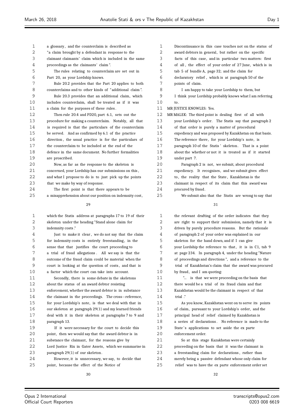| 1            | a glossary, and the counterclaim is described as         | 1  | Discontinuance in this case touches not on the status of |
|--------------|----------------------------------------------------------|----|----------------------------------------------------------|
| 2            | "a claim brought by a defendant in response to the       | 2  | award debtors in general, but rather on the specific     |
| 3            | claimant claimants' claim which is included in the same  | 3  | facts of this case, and in particular two matters: first |
| 4            | proceedings as the claimants' claim".                    | 4  | of all, the effect of your order of 27 June, which is in |
| 5            | The rules relating to counterclaim are set out in        | 5  | tab 5 of bundle A, page 32; and the claim for            |
| 6            | Part 20, as your Lordship knows.                         | 6  | declaratory relief, which is at paragraph 50 of the      |
| 7            | Rule 20.2 provides that the Part 20 applies to both      | 7  | points of claim.                                         |
| 8            | counterclaims and to other kinds of "additional claim".  | 8  | I am happy to take your Lordship to them, but            |
| 9            | Rule 20.3 provides that an additional claim, which       | 9  | I think your Lordship probably knows what I am referring |
| 10           | includes counterclaim, shall be treated as if it was     | 10 | to.                                                      |
| 11           | a claim for the purposes of these rules.                 | 11 | MR JUSTICE KNOWLES: Yes.                                 |
| 12           | Then rule 20.4 and PD20, part 6.1, sets out the          | 12 | MR MALEK: The third point is dealing first of all with   |
| 13           | procedure for making a counterclaim. Notably, all that   | 13 | your Lordship's order. The Statis say that paragraph 2   |
| 14           | is required is that the particulars of the counterclaim  | 14 | of that order is purely a matter of procedural           |
| 15           | be served. And as confirmed by 6.1 of the practice       | 15 | expediency and was proposed by Kazakhstan on that basis. |
| 16           | direction, the usual practice is for the particulars of  | 16 | The reference there, for your Lordship's note, is        |
| 17           | the counterclaim to be included at the end of the        | 17 | paragraph 10 of the Statis' skeleton. That is a point    |
| 18           | defence in the same document. No further formalities     | 18 | about the whether or not it is treated as if it started  |
| 19           | are proscribed.                                          | 19 | under part 7.                                            |
| 20           | Now, as far as the response to the skeleton is           | 20 | Paragraph 2 is not, we submit, about procedural          |
| 21           | concerned, your Lordship has our submissions on this,    | 21 | expediency. It recognises, and we submit gives effect    |
| 22           | and what I propose to do is to just pick up the points   | 22 | to, the reality that the State, Kazakhstan is the        |
| 23           | that we make by way of response.                         | 23 | claimant in respect of its claim that this award was     |
| 24           | The first point is that there appears to be              | 24 | procured by fraud.                                       |
| 25           | a misapprehension about our position on indemnity cost,  | 25 | We submit also that the Statis are wrong to say that     |
|              | 29                                                       |    | 31                                                       |
| $\mathbf{1}$ | which the Statis address at paragraphs 17 to 19 of their | 1  | the relevant drafting of the order indicates that they   |
| 2            | skeleton under the heading "Stand alone claim for        | 2  | are right to support their submission, namely that it is |
| 3            | indemnity costs."                                        | 3  | driven by purely procedure reasons. But the rationale    |
| 4            | Just to make it clear, we do not say that the claim      | 4  | of paragraph 2 of your order was explained in our        |
| 5            | for indemnity costs is entirely freestanding, in the     | 5  | skeleton for the hand down, and if I can give            |
| 6            | sense that that justifies the court proceeding to        | 6  | your Lordship the reference to that, it is in C1, tab 9  |
| 7            | a trial of fraud allegations. All we say is that the     | 7  | at page 234. In paragraph 4, under the heading "Nature   |
| 8            | outcome of the fraud claim could be material when the    | 8  | of proceedings and directions", and a reference to the   |
| 9            | court is looking at the question of costs, and that is   | 9  | trial of Kazakhstan's claim that the award was procured  |
| $10$         | a factor which the court can take into account.          | 10 | by fraud, and I am quoting:                              |
| 11           | Secondly, there is some debate in the skeletons          | 11 | " is that we were proceeding on the basis that           |
| 12           | about the status of an award debtor resisting            | 12 | there would be a trial of its fraud claim and that       |
| 13           | enforcement, whether the award debtor is in substance    | 13 | Kazakhstan would be the claimant in respect of that      |
| 14           | the claimant in the proceedings. The cross-reference,    | 14 | trial ."                                                 |
| 15           | for your Lordship's note, is that we deal with that in   | 15 | As you know, Kazakhstan went on to serve its points      |
| 16           | our skeleton at paragraph 29(1) and my learned friends   | 16 | of claim, pursuant to your Lordship's order, and the     |
| 17           | deal with it in their skeleton at paragraphs 7 to 9 and  | 17 | principal head of relief claimed by Kazakhstan is        |
| 18           | paragraph 13.                                            | 18 | a series of declarations. No reference is made to the    |
| 19           | If it were necessary for the court to decide this        | 19 | State's applications to set aside the ex parte           |
| 20           | point, then we would say that the award debtor is in     | 20 | enforcement order.                                       |
| 21           | substance the claimant, for the reasons give by          | 21 | So at this stage Kazakhstan were certainly               |
| 22           | Lord Justice Rix in Gater Assets, which we summarise in  | 22 | proceeding on the basis that it was the claimant in      |
| 23           | paragraph 29(1) of our skeleton.                         | 23 | a freestanding claim for declarations, rather than       |

However, it is unnecessary, we say, to decide that

25 point, because the effect of the Notice of

 merely being a passive defendant whose only claim for relief was to have the ex parte enforcement order set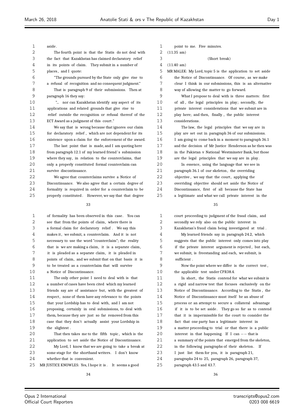aside .

 The fourth point is that the Statis do not deal with the fact that Kazakhstan has claimed declaratory relief in its points of claim. They submit in a number of 5 places, and I quote: "The grounds pursued by the State only give rise to a refusal of recognition and no consequent judgment." That is paragraph 9 of their submissions. Then at paragraph 16 they say: "... nor can Kazakhstan identify any aspect of its applications and related grounds that give rise to relief outside the recognition or refusal thereof of the ECT Award as a judgment of this court ." We say that is wrong because that ignores our claim for declaratory relief , which are not dependent for its existence upon a claim for the enforcement of the award. The last point that is made, and I am quoting here 18 from paragraph 12.1 of my learned friend's submission where they say, in relation to the counterclaims, that only a properly constituted formal counterclaim can survive discontinuance. We agree that counterclaims survive a Notice of Discontinuance. We also agree that a certain degree of formality is required in order for a counterclaim to be 25 properly constituted. However, we say that that degree of formality has been observed in this case. You can see that from the points of claim, where there is a formal claim for declaratory relief . We say this makes it , we submit, a counterclaim. And it is not necessary to use the word "counterclaim"; the reality that is we are making a claim, it is a separate claim, it is pleaded as a separate claim, it is pleaded in points of claim, and we submit that on that basis it is to be treated as a counterclaim that will survive a Notice of Discontinuance. The only other point I need to deal with is that a number of cases have been cited which my learned friends say are of assistance but, with the greatest of respect , none of them have any relevance to the points that your Lordship has to deal with, and I am not proposing, certainly in oral submissions, to deal with them, because they are just so far removed from this case that they don't actually assist your Lordship in the slightest . That then takes me to the fifth topic , which is the application to set aside the Notice of Discontinuance.

 My Lord, I know that we are going to take a break at some stage for the shorthand writers. I don't know whether that is convenient.

MR JUSTICE KNOWLES: Yes, I hope it is . It seems a good

point to me. Five minutes.

(11.35 am)

(Short break)

(11.40 am)

 MR MALEK: My Lord, topic 5 is the application to set aside the Notice of Discontinuance. Of course, as we make clear I think in our submissions, this is an alternative way of allowing the matter to go forward.

 What I propose to deal with is three matters: first of all , the legal principles in play; secondly, the private interest considerations that we submit are in play here; and then, finally , the public interest considerations .

 The law, the legal principles that we say are in play are set out in paragraph 36 of our submissions. I am going to come back in a moment to paragraph 36.1 and the decision of Mr Justice Henderson as he then was in the Pakistan v National Westminster Bank, but those are the legal principles that we say are in play .

 In essence, using the language that we see in 21 paragraph 36.1 of our skeleton, the overriding 22 objective, we say that the court, applying the overriding objective should set aside the Notice of Discontinuance, first of all because the State has a legitimate and what we call private interest in the

 court proceeding to judgment of the fraud claim, and secondly we rely also on the public interest in Kazakhstan's fraud claim being investigated at trial . My learned friends say in paragraph 24.2, which suggests that the public interest only comes into play if the private interest argument is rejected , but each, we submit, is freestanding and each, we submit, is sufficient . Now the point where we differ is the correct test ,

the applicable test under CPR38.4.

11 In short, the Statis contend for what we submit is a rigid and narrow test that focuses exclusively on the Notice of Discontinuance. According to the Statis , the Notice of Discontinuance must itself be an abuse of process or an attempt to secure a collateral advantage if it is to be set aside . They go so far as to contend that it is impermissible for the court to consider the fact that one party has a legitimate interest in a matter proceeding to trial or that there is a public interest in that happening. If I can *−−* that is a summary of the points that emerged from the skeleton, 22 in the following paragraphs of their skeleton. If I just list them for you, it is paragraph 21, paragraphs 24 to 25, paragraph 26, paragraph 37, paragraph 43.5 and 43.7.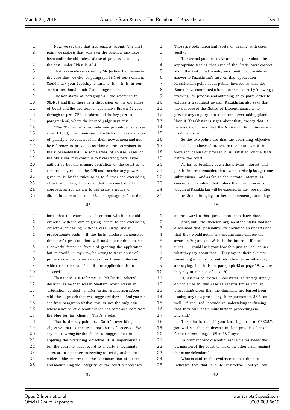Now, we say that that approach is wrong. The first point we make is that whatever the position may have been under the old rules , abuse of process is no longer the test under CPR rule 38.4. That was made very clear by Mr Justice Henderson in the case that we cite at paragraph 36.1 of our skeleton . Could I ask your Lordship to turn to it . It is in our authorities bundle, tab 7 at paragraph 46. The law starts at paragraph 40, the reference to 38.4(1) and then there is a discussion of the old Rules of Court and the decision of Castanho v Brown, 43 goes through to pre*−*CPR decisions, and the key part is paragraph 46, where the learned judge says this : "The CPR formed an entirely new procedural code (see rule 1.1(1)), the provisions of which should as a matter of principle be construed in their new context and not by reference to previous case law on the provisions in the superseded RSC. In some areas, of course, cases on the old rules may continue to have strong persuasive authority , but the primary obligation of the court is to construe any rule in the CPR and exercise any power given to it by the rules so as to further the overriding

23 objective . Thus, I consider that the court should

 approach an application to set aside a notice of discontinuance under rule 38.4, subparagraph 1, on the

 basis that the court has a discretion which it should exercise with the aim of giving effect to the overriding objective of dealing with the case justly and at proportionate costs . If the facts disclose an abuse of 5 the court's process, that will no doubt continue to be a powerful factor in favour of granting the application but it would, in my view, be wrong to treat abuse of process as either a necessary or exclusive criterion which has to be satisfied if the application is to succeed."

 Then there is a reference to Mr Justice Aikens' decision as he then was in Sheltam, which was in an 13 arbitration context, and Mr Justice Henderson agrees with the approach that was suggested there. And you can see from paragraph 49 that this is not the only case where a notice of discontinuance has come as a bolt from 17 the blue for his client. That's a joke!

18 That is the key pointers. So it's overriding 19 objective that is the test, not abuse of process. We say it is wrong for the Statis to suggest that in applying the overriding objective it is impermissible for the court to have regard to a party's legitimate interest in a matter proceeding to trial , and to the wider public interest in the administration of justice 25 and maintaining the integrity of the court's processes.

 Those are both important facets of dealing with cases justly .

 The second point to make on the dispute about the appropriate test is that even if the Statis were correct about the test , that would, we submit, not provide an answer to Kazakhstan's case on this application . Kazakhstan's point about public interest is that the Statis have committed a fraud on this court by knowingly invoking its process and obtaining an ex parte order to enforce a fraudulent award. Kazakhstan also says that the purpose of the Notice of Discontinuance is to prevent any enquiry into that fraud ever taking place . 13 Now, if Kazakhstan is right about that, we say that it necessarily follows that the Notice of Discontinuance is itself abusive. So the two points are that the overriding objective

17 is not about abuse of process per se, but even if it were about abuse of process it is satisfied on the facts 19 before the court.

 As far as breaking down this private interest and 21 public interest consideration, your Lordship has got our submissions. And as far as the private interest is concerned, we submit that unless the court proceeds to judgment Kazakhstan will be exposed to the possibilities of the Statis bringing further enforcement proceedings

 on the award in this jurisdiction at a later date. Now, until the skeleton argument the Statis had not disclaimed that possibility by providing an undertaking that they would not in any circumstance enforce the award in England and Wales in the future . If one turns *−−* could I ask your Lordship just to look to see what they say about that. They say in their skeleton something which is not entirely clear to us what they 9 are saying, but it is at paragraph 43 at page 19, where they say at the top of page 20:

 "Questions of tactical collateral advantage simply do not arise in this case as regards future English proceedings given that the claimants are barred from issuing any new proceedings here pursuant to 38.7, and 15 well, if required, provide an undertaking confirming that they will not pursue further proceedings in England."

 The point is that if your Lordship turns to CPR38.7, you will see that it doesn't in fact provide a bar on further proceedings. What 38.7 says:

 "A claimant who discontinues the claims needs the permission of the court to make the other claim against the same defendant."

 What is said in the evidence is that the test indicates that that is quite restrictive , but you can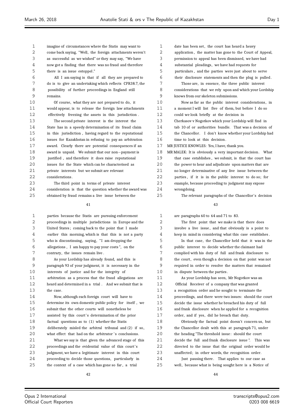imagine of circumstances where the Statis may want to come back saying, "Well, the foreign attachments weren't as successful as we wished" or they may say, "We have now got a finding that there was no fraud and therefore there is an issue estoppel ." All I am saying is that if all they are prepared to do is to give an undertaking which reflects CPR38.7, the possibility of further proceedings in England still remains. Of course, what they are not prepared to do, it would appear, is to release the foreign law attachments effectively freezing the assets in this jurisdiction . The second private interest is the interest the State has in a speedy determination of its fraud claim in this jurisdiction , having regard to the reputational issues for Kazakhstan in refusing to pay an arbitration award. Clearly there are potential consequences if an award is unpaid. We submit that our non*−*payment is justified, and therefore it does raise reputational issues for the State which can be characterised as 21 private interests but we submit are relevant considerations . The third point in terms of private interest consideration is that the question whether the award was obtained by fraud remains a live issue between the parties because the Statis are pursuing enforcement

 proceedings in multiple jurisdictions in Europe and the United States ; coming back to the point that I made earlier this morning, which is that this is not a party 5 who is discontinuing, saying, "I am dropping the allegations , I am happy to pay your costs ", on the contrary, the issues remain live .

 As your Lordship has already found, and this is paragraph 93 of your judgment, it is necessary in the interests of justice and for the integrity of arbitration as a process that the fraud allegations are heard and determined in a trial . And we submit that is the case.

 Now, although each foreign court will have to determine its own domestic public policy for itself , we submit that the other courts will nonetheless be 17 assisted by this court's determination of the prior factual questions as to (1) whether the Statis deliberately misled the arbitral tribunal and (2) if so, 20 what effect that had on the arbitrator's conclusions.

 What we say is that given the advanced stage of this 22 proceedings and the evidential value of this court's 23 judgment, we have a legitimate interest in this court proceeding to decide those questions, particularly in the context of a case which has gone so far , a trial

 date has been set , the court has heard a heavy application , the matter has gone to the Court of Appeal, permission to appeal has been dismissed, we have had substantial pleadings, we have had requests for particulars , and the parties were just about to serve their disclosure statements and then the plug is pulled . Those are, in essence, the three public interest considerations that we rely upon and which your Lordship knows from our skeleton submissions. Now as far as the public interest considerations , in a moment I will list five of them, but before I do so could we look briefly at the decision in Cherkasov v Nogotkov which your Lordship will find in tab 10 of or authorities bundle. That was a decision of the Chancellor. I don't know whether your Lordship had time to look at this decision . MR JUSTICE KNOWLES: Yes, I have, thank you. 18 MR MALEK: It is obviously a very important decision. What that case establishes , we submit, is that the court has 20 the power to hear and adjudicate upon matters that are no longer determinative of any live issue between the parties , if it is in the public interest to do so; for example, because proceeding to judgment may expose wrongdoing. The relevant paragraphs of the Chancellor's decision

are paragraphs 60 to 64 and 71 to 83.

 The first point that we make is that there does involve a live issue , and that obviously is a point to keep in mind in considering what this case establishes .

 In that case, the Chancellor held that it was in the public interest to decide whether the claimant had complied with his duty of full and frank disclosure to 8 the court, even though a decision on that point was not required in order to resolve the matters that remained in dispute between the parties .

 As your Lordship has seen, Mr Nogotkov was an Official Receiver of a company that was granted a recognition order and he sought to terminate the proceedings, and there were two issues: should the court decide the issue whether he breached his duty of full and frank disclosure when he applied for a recognition order, and if yes, did he breach that duty.

 Obviously the factual point doesn't concern us, but the Chancellor dealt with this at paragraph 71, under the heading "The threshold issue: should the court decide the full and frank disclosure issue ". This was directed to the issue that the original order would be unaffected; in other words, the recognition order.

 Just pausing there . That applies to our case as 25 well, because what is being sought here is a Notice of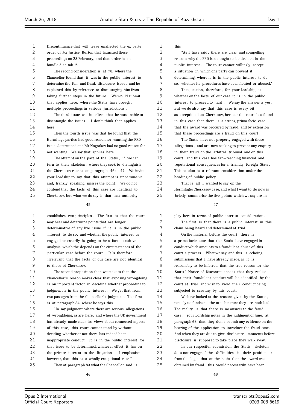Discontinuance that will leave unaffected the ex parte order of Mr Justice Burton that launched these

proceedings on 28 February, and that order is in

bundle A at tab 2.

 The second consideration is at 78, where the Chancellor found that it was in the public interest to determine the full and frank disclosure issue , and he explained this by reference to discouraging him from taking further steps in the future . We would submit that applies here, where the Statis have brought multiple proceedings in various jurisdictions .

 The third issue was in effect that he was unable to disentangle the issues . I don't think that applies here.

 Then the fourth issue was that he found that the Hermitage parties had good reason for wanting the FFD issue determined and Mr Nogotkov had no good reason for not wanting. We say that applies here.

 The attempt on the part of the Statis , if we can 20 turn to their skeleton, where they seek to distinguish the Cherkasov case is at paragraphs 46 to 47. We invite your Lordship to say that this attempt is unpersuasive 23 and, frankly speaking, misses the point. We do not contend that the facts of this case are identical to Cherkasov, but what we do say is that that authority

 establishes two principles . The first is that the court may hear and determine points that are longer determinative of any live issue if it is in the public interest to do so, and whether the public interest is engaged necessarily is going to be a fact*−*sensitive analysis which the depends on the circumstances of the 7 particular case before the court. It's therefore irrelevant that the facts of our case are not identical to those of Cherkasov. The second proposition that we make is that the

 Chancellor's reason makes clear that exposing wrongdoing is an important factor in deciding whether proceeding to 13 judgment is in the public interest. We get that from two passages from the Chancellor's judgment. The first is at paragraph 84, where he says this :

 "In my judgment, where there are serious allegations of wrongdoing, as are here, and where the UK government has already made clear its views about connected aspects of this case, this court cannot stand by without deciding whether or not there has indeed been inappropriate conduct. It is in the public interest for that issue to be determined, whatever effect it has on the private interest to the litigation . I emphasise, however, that this is a wholly exceptional case ." Then at paragraph 83 what the Chancellor said is

this  $\cdot$ 

 "As I have said , there are clear and compelling reasons why the FFD issue ought to be decided in the public interest . The court cannot willingly accept a situation in which one party can prevent it determining, where it is in the public interest to do so, whether its procedures have been flouted or abused." The question, therefore , for your Lordship, is whether on the facts of our case it is in the public interest to proceed to trial . We say the answer is yes. But we do also say that this case is every bit as exceptional as Cherkasov, because the court has found in this case that there is a strong prima facie case 14 that the award was procured by fraud, and by extension that these proceedings are a fraud on this court . The Statis have not properly engaged with those allegations , and are now seeking to prevent any enquiry in their fraud on the arbitral tribunal and on this court , and this case has far*−*reaching financial and reputational consequences for a friendly foreign State. This is also is a relevant consideration under the heading of public policy .

 That is all I wanted to say on the Hermitage/Cherkasov case, and what I want to do now is briefly summarise the five points which we say are in

 play here in terms of public interest consideration . The first is that there is a public interest in this claim being heard and determined at trial .

4 On the material before the court, there is a prima facie case that the Statis have engaged in conduct which amounts to a fraudulent abuse of this 7 court's process. What we say, and this is echoing submissions that I have already made, is it is reasonably to be inferred that the true reason for the Statis ' Notice of Discontinuance is that they realise that their fraudulent conduct will be identified by the court at trial and wish to avoid their conduct being 13 subjected to scrutiny by this court.

 We have looked at the reasons given by the Statis , namely no funds and the attachments; they are both bad. The reality is that there is no answer to the fraud case. Your Lordship notes in the judgment of June, at paragraph 68, that they don't submit any evidence on the hearing of the application to introduce the fraud case. And when they are due to give disclosure , moments before disclosure is supposed to take place they walk away.

 In our respectful submission, the Statis ' skeleton does not engage of the difficulties in their position or from the logic that on the basis that the award was obtained by fraud, this would necessarily have been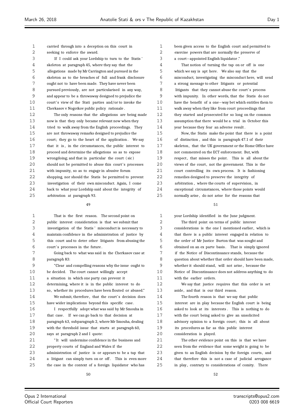| 1                 | carried through into a deception on this court in        |
|-------------------|----------------------------------------------------------|
| 2                 | seeking to enforce the award.                            |
| 3                 | If I could ask your Lordship to turn to the Statis'      |
| 4                 | skeleton at paragraph 45, where they say that the        |
| 5                 | allegations made by Mr Carrington and pursued in the     |
| 6                 | skeleton as to the breaches of full and frank disclosure |
| 7                 | ought not to have been made. They have never been        |
| 8                 | pursued previously, are not particularised in any way,   |
| 9                 | and appear to be a throwaway designed to prejudice the   |
| 10                | court's view of the Stati parties and/or to invoke the   |
| 11                | Cherkasov v Nogotkov public policy rationale.            |
| $12 \overline{)}$ | The only reasons that the allegations are being made     |
| 13                | now is that they only became relevant now when they      |

 now is that they only became relevant now when they 14 tried to walk away from the English proceedings. They are not throwaway remarks designed to prejudice the court; they go to the heart of the application . We say 17 that it is, in the circumstances, the public interest to proceed and determine the allegations so as to expose wrongdoing; and that in particular the court ( sic ) 20 should not be permitted to abuse this court's processes with impunity, so as to engage in abusive forum shopping, nor should the Statis be permitted to prevent investigation of their own misconduct. Again, I come back to what your Lordship said about the integrity of arbitration at paragraph 93.

#### 

 That is the first reason. The second point on public interest consideration is that we submit that investigation of the Statis ' misconduct is necessary to maintain confidence in the administration of justice by this court and to deter other litigants from abusing the court' s processes in the future . Going back to what was said in the Cherkasov case at paragraph 83: "Clear and compelling reasons why the issue ought to be decided. The court cannot willingly accept a situation in which one party can prevent it determining, where it is in the public interest to do so, whether its procedures have been flouted or abused." 14 We submit, therefore, that the court's decision does have wider implications beyond this specific case. I respectfully adopt what was said by Mr Smouha in that case. If we can go back to that decision at paragraph 63, subparagraph 2, where Mr Smouha, dealing with the threshold issue that starts at paragraph 60, says at paragraph 2 and I quote: " It will undermine confidence in the business and property courts of England and Wales if the administration of justice is or appears to be a tap that 24 a litigant can simply turn on or off. This is even more the case in the context of a foreign liquidator who has

 been given access to the English court and permitted to exercise powers that are normally the preserve of a court*−*appointed English liquidator ." That notion of turning the tap on or off is one which we say is apt here. We also say that the misconduct, investigating the misconduct here, will send a strong message to other litigants or potential 8 litigants that they cannot abuse the court's process with impunity. In other words, that the Statis do not have the benefit of a one*−*way bet which entitles them to walk away when they like from court proceedings that they started and prosecuted for so long on the common assumption that there would be a trial in October this year because they fear an adverse result . Now, the Statis make the point that there is a point of distinction , and this is paragraph 47.1 of their 17 skeleton, that the UK government or the Home Office have not commented on the ECT enforcement. But, with 19 respect, that misses the point. This is all about the 20 views of the court, not the government. This is the court controlling its own process. It is fashioning

 remedies designed to preserve the integrity of arbitration , where the courts of supervision, in

 exceptional circumstances, where those points would normally arise , do not arise for the reasons that

 your Lordship identified in the June judgment. The third point on terms of public interest 3 considerations is the one I mentioned earlier, which is that there is a public interest engaged in relation to the order of Mr Justice Burton that was sought and obtained on an ex parte basis . That is simply ignored if the Notice of Discontinuance stands, because the question about whether that order should have been made, whether it should stand, will not arise , because the Notice of Discontinuance does not address anything to do with the earlier orders.

 We say that justice requires that this order is set 13 aside, and that is our third reason.

 The fourth reason is that we say that public interest are in play because the English court is being asked to look at its interests . This is nothing to do with the court being asked to give an unsolicited advisory opinion to a foreign court; this is all about its procedures as far as this public interest consideration is played.

 The other evidence point on this is that we have seen from the evidence that some weight is going to be 23 given to an English decision by the foreign courts, and that therefore this is not a case of judicial arrogance 25 in play, contrary to considerations of comity. There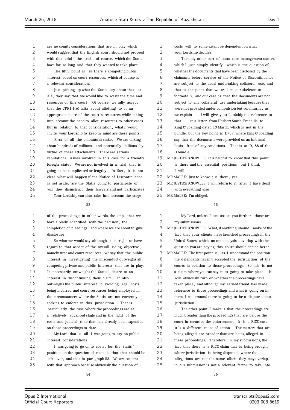are no comity considerations that are in play which would suggest that the English court should not proceed with this trial ; the trial , of course, which the Statis have for so long said that they wanted to take place . The fifth point is : is there a competing public interest based on court resources, which of course is a relevant consideration . 8 Just picking up what the Statis say about that, at 3.A, they say that we would like to waste the time and 10 resources of this court. Of course, we fully accept that the CPR1.1(e) talks about allotting to it an 12 appropriate share of the court's resources while taking into account the need to allot resources to other cases . 14 But in relation to that consideration, what I would invite your Lordship to keep in mind are these points: First of all the amounts at stake. We are talking about hundreds of millions , and potentially billions by virtue of these attachments. There are serious reputational issues involved in this case for a friendly foreign state . We are not involved in a trial that is 21 going to be complicated or lengthy. In fact, it is not clear what will happen if the Notice of Discontinuance is set aside; are the Statis going to participate or will they disinstruct their lawyers and not participate ? Your Lordship can also take into account the stage

| 1  | of the proceedings; in other words, the steps that we    |
|----|----------------------------------------------------------|
| 2  | have already identified with the decision, the           |
| 3  | completion of pleadings, and where we are about to give  |
| 4  | disclosure.                                              |
| 5  | So what we would say, although it is right to have       |
| 6  | regard to that aspect of the overall riding objective,   |
| 7  | namely time and court resources, we say that the public  |
| 8  | interest in investigating the misconduct outweighs all   |
| 9  | competing private and public interests that are in play. |
| 10 | It necessarily outweighs the Statis' desire to an        |
| 11 | interest in discontinuing their claim. It also           |
| 12 | outweighs the public interest in avoiding legal costs    |
| 13 | being incurred and court resources being employed, in    |
| 14 | the circumstances where the Statis are not currently     |
| 15 | seeking to enforce in this jurisdiction. That is         |
| 16 | particularly the case where the proceedings are at       |
| 17 | a relatively advanced stage and in the light of the      |
| 18 | costs and judicial time that has already been expended   |
| 19 | on those proceedings to date.                            |
| 20 | My Lord, that is all I was going to say on public        |
| 21 | interest considerations.                                 |
| 22 | I was going to go on to costs, but the Statis'           |
| 23 | position on the question of costs is that that should be |
| 24 | left over, and that is paragraph 53. We are content      |
| 25 | with that approach because obviously the question of     |

| $\mathbf{1}$      | costs will to some extent be dependent on what                          |
|-------------------|-------------------------------------------------------------------------|
| 2                 | your Lordship decides.                                                  |
| 3                 | The only other sort of costs case management matter,                    |
| 4                 | which I just simply identify, which is the question of                  |
| 5                 | whether the documents that have been disclosed by the                   |
| 6                 | claimants before service of the Notice of Discontinuance                |
| 7                 | are subject to the usual undertaking collateral use, and                |
| 8                 | that is the point that we trail in our skeleton at                      |
| 9                 | footnote 2, and our case is that the documents are not                  |
| 10                | subject to any collateral use undertaking because they                  |
| 11                | were not provided under compulsion but voluntarily, as                  |
| $12 \overline{ }$ | we explain $--$ I will give your Lordship the reference to              |
| 13                | that $--$ in a letter from Herbert Smith Freehills to                   |
| 14                | King & Spalding dated 13 March, which is not in the                     |
| 15                | bundle, but the key point is $D/37$ , where King & Spalding             |
| 16                | say that the documents were provided on an informal                     |
| 17                | basis, free of any conditions. That is at D, 88 of the                  |
| 18                | D bundle.                                                               |
| 19                | MR JUSTICE KNOWLES: It is helpful to know that this point               |
| 20                | is there and the essential positions, but I think                       |
| 21                | I will $--$                                                             |
| 22                | MR MALEK: Just to know it is there, yes.                                |
| າ າ               | <b>MD HIGHIGH EMIOMILES.</b> Lattle advanced to the aftern I have duals |

- 23 MR JUSTICE KNOWLES: I will return to it after I have dealt
- with everything else .
- MR MALEK: I'm obliged.

# 

 My Lord, unless I can assist you further , those are my submissions.

MR JUSTICE KNOWLES: What, if anything, should I make of the

fact that your clients have launched proceedings in the

United States which, on one analysis , overlap with the

question you are saying this court should decide here?

 MR MALEK: The first point is , as I understand the position the defendants haven't accepted the jurisdiction of the courts in relation to those proceedings. So this is not a claim where you can say it is going to take place . It will obviously turn on whether the proceedings have taken place , and although my learned friend has made reference to those proceedings and what is going on in them, I understand there is going to be a dispute about 15 jurisdiction.

 The other point I make is that the proceedings are much broader than the proceedings that are before the court in terms of the enforcement. It is a RICO case, 19 it 's a different cause of action. The matters that are being alleged are broader than are being alleged in these proceedings. Therefore, in my submissions, the fact that there is a RICO claim that is being brought where jurisdiction is being disputed, where the allegations are not the same, albeit they may overlap, in our submission is not a relevant factor to take into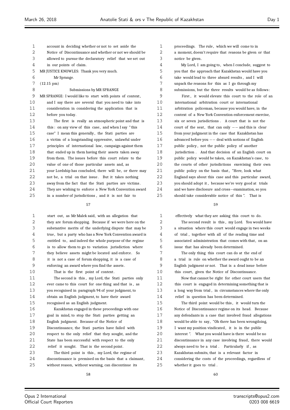account in deciding whether or not to set aside the Notice of Discontinuance and whether or not we should be allowed to pursue the declaratory relief that we set out in our points of claim. MR JUSTICE KNOWLES: Thank you very much. Mr Sprange. (12.15 pm) Submissions by MR SPRANGE 9 MR SPRANGE: I would like to start with points of context, and I say there are several that you need to take into consideration in considering the application that is before you today. The first is really an atmospheric point and that is 14 this: on any view of this case, and when I say "this case" I mean this generally , the Stati parties are a victim of a longstanding oppressive, unlawful under principles of international law, campaign against them that ended up in them having their assets taken away from them. The issues before this court relate to the value of one of those particular assets and, as 21 vour Lordship has concluded, there will be, or there may not be, a trial on that issue . But it takes nothing away from the fact that the Stati parties are victims . They are wishing to enforce a New York Convention award in a number of jurisdictions , and it is not fair to

 start out, as Mr Malek said, with an allegation that they are forum shopping. Because if we were here on the substantive merits of the underlying dispute that may be true , but a party who has a New York Convention award is entitled to , and indeed the whole purpose of the regime is to allow them to go to variation jurisdiction where they believe assets might be located and enforce. So it is not a case of forum shopping, it is a case of enforcing an award where you find the assets . 10 That is the first point of context.

 The second is this , my Lord, the Stati parties only ever came to this court for one thing and that is , as you recognised in paragraph 94 of your judgment, to obtain an English judgment, to have their award recognised as an English judgment.

 Kazakhstan engaged in these proceedings with one goal in mind, to stop the Stati parties getting an English judgment. Because of the Notice of Discontinuance, the Stati parties have failed with respect to the only relief that they sought, and the State has been successful with respect to the only relief it sought. That is the second point. 23 The third point is this, my Lord, the regime of discontinuance is premised on the basis that a claimant, without reason, without warning, can discontinue its

 proceedings. The rule , which we will come to in a moment, doesn't require that reasons be given or that notice be given . My Lord, I am going to , when I conclude, suggest to you that the approach that Kazakhstan would have you take would lead to three absurd results , and I will unpack the reasons for this as I go through my submissions, but the three results would be as follows: First , it would elevate this court to the role of an international arbitration court or international arbitration policeman, because you would have, in the context of a New York Convention enforcement exercise, six or seven jurisdictions . A court that is not the 14 court of the seat, that can only *−−* and this is clear<br>15 from your indement in the case that Kazakhstan has from your judgment in the case that Kazakhstan has

 advanced before you *−−* deal with notions of English public policy, not the public policy of another 18 jurisdiction . And that decision of an English court on public policy would be taken, on Kazakhstan's case, to 20 the courts of other jurisdictions exercising their own 21 public policy on the basis that, "Here, look what England says about this case and this particular award, you should adopt it , because we're very good at trials and we have disclosure and cross*−*examination, so you should take considerable notice of this ". That is

effectively what they are asking this court to do.

 The second result is this , my Lord. You would have a situation where this court would engage in two weeks of trial , together with all of the reading time and associated administration that comes with that, on an issue that has already been determined.

 The only thing this court can do at the end of a trial is rule on whether the award ought to be an English judgment or not. That is a dead issue before 10 this court, given the Notice of Discontinuance.

 Now that cannot be right for other court users that this court is engaged in determining something that is a long way from trial , in circumstances where the only relief in question has been determined.

 The third point would be this , it would turn the Notice of Discontinuance regime on its head. Because any defendants in a case that involved fraud allegations would be able to say, "Oh there has been wrongdoing, 19 I want my position vindicated, it is in the public interest ". What you would have is there would be no discontinuance in any case involving fraud, there would always need to be a trial . Particularly if , as Kazakhstan submits, that is a relevant factor in considering the costs of the proceedings, regardless of whether it goes to trial .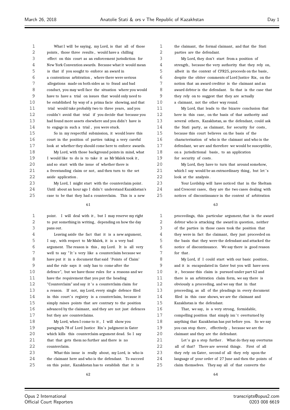1 What I will be saying, my Lord, is that all of those 2 points, those three results, would have a chilling effect on this court as an enforcement jurisdiction for New York Convention awards. Because what it would mean is that if you sought to enforce an award in a contentious arbitration , where there were serious allegations made on both sides as to fraud and bad conduct, you may well face the situation where you would have to have a trial on issues that would only need to be established by way of a prima facie showing, and that 11 trial would take probably two to three years, and you couldn't avoid that trial if you decide that because you had found more assets elsewhere and you didn't have is to engage in such a trial , you were stuck. So in my respectful submission, it would leave this court in the position of parties taking a very careful

 look at whether they should come here to enforce awards. My Lord, with those background points in mind, what I would like to do is to take it as Mr Malek took it ,

20 and so start with the issue of whether there is a freestanding claim or not, and then turn to the set aside application .

23 My Lord, I might start with the counterclaim point. 24 Until about an hour ago I didn't understand Kazakhstan's case to be that they had a counterclaim. This is a new

1 point. I will deal with it, but I may reserve my right to put something in writing , depending on how the day pans out.

 Leaving aside the fact that it is a new argument, I say, with respect to Mr Malek, it is a very bad argument. The reason is this , my Lord. It is all very 7 well to say "It's very like a counterclaim because we have put it in a document that said ' Points of Claim' and the rule says it only has to come after the defence", but we have those rules for a reasons and we have the requirement that you put the heading 12 "Counterclaim" and say it's a counterclaim claim for a reason. If not, my Lord, every single defence filed 14 in this court's registry is a counterclaim, because it simply raises points that are contrary to the position advanced by the claimant, and they are not just defences but they are counterclaims.

18 My Lord, when I come to it, I will show you paragraph 78 of Lord Justice Rix' s judgment in Gater which kills this counterclaim argument dead. So I say 21 that that gets them no further and there is no counterclaim.

 What this issue is really about, my Lord, is who is the claimant here and who is the defendant. To succeed 25 on this point, Kazakhstan has to establish that it is

 the claimant, the formal claimant, and that the Stati parties are the defendant.

 My Lord, they don't start from a position of 4 strength, because the very authority that they rely on, albeit in the context of CPR25, proceeds on the basis , 6 despite the obiter comments of Lord Justice Rix, on the notion that an award creditor is the claimant and an award debtor is the defendant. So that is the case that they rely on to suggest that they are actually a claimant, not the other way round.

 My Lord, that leads to the bizarre conclusion that here in this case, on the basis of that authority and several others, Kazakhstan, as the defendant, could ask 14 the Stati party, as claimant, for security for costs, because this court believes on the basis of the characterisation of who is the claimant and who is the defendant, we are and therefore we would be susceptible, 18 on a jurisdictional basis, to an application for security of costs .

 My Lord, they have to turn that around somehow, 21 which I say would be an extraordinary thing, but let's 22 look at the analysis.

 Your Lordship will have noticed that in the Sheltam and Crescent cases , they are the two cases dealing with notices of discontinuance in the context of arbitration

 proceedings, this particular argument, that is the award debtor who is attacking the award in question, neither of the parties in those cases took the position that they were in fact the claimant, they just proceeded on the basis that they were the defendant and attacked the notice of discontinuance. We say there is good reason 7 for that.

 My Lord, if I could start with our basic position , and it is encapsulated in Gater but you will have seen it , because this claim is pursued under part 62 and there is an arbitration claim form, we say there is obviously a proceeding, and we say that in that proceeding, as all of the pleadings in every document filed in this case shows, we are the claimant and Kazakhstan is the defendant.

 That, we say, is a very strong, formidable, 17 compelling position that simply isn't overturned by anything that Kazakhstan has put before you. So we say 19 you can stop there, effectively, because we are the claimant and they are the defendant.

21 Let's go a step further. What do they say overturns 22 all of that? There are several things. First of all they rely on Gater, second of all they rely upon the language of your order of 27 June and then the points of claim themselves. They say all of that converts the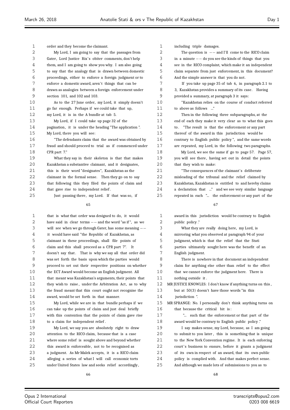| 1      | order and they become the claimant.                                                                           | 1      | including triple damages.                                                                                          |
|--------|---------------------------------------------------------------------------------------------------------------|--------|--------------------------------------------------------------------------------------------------------------------|
| 2      | My Lord, I am going to say that the passages from                                                             | 2      | The question is $-$ and I'll come to the RICO claim                                                                |
| 3      | Gater, Lord Justice Rix's obiter comments, don't help                                                         | 3      | in a minute $--$ do you see the kinds of things that you                                                           |
| 4<br>5 | them, and I am going to show you why. I am also going                                                         | 4<br>5 | see in the RICO complaint, which make it an independent<br>claim separate from just enforcement, in this document? |
| 6      | to say that the analogy that is drawn between domestic                                                        | 6      |                                                                                                                    |
| 7      | proceedings, either to enforce a foreign judgment or to                                                       | 7      | And the simple answer is that you do not.                                                                          |
| 8      | enforce a domestic award, aren't things that can be<br>drawn as analogies between a foreign enforcement under | 8      | If you take up page 35 of tab 6, in paragraph 2.1 to<br>3, Kazakhstan provides a summary of its case. Having       |
| 9      |                                                                                                               | 9      |                                                                                                                    |
| 10     | section 101, and 102 and 103.                                                                                 | 10     | provided a summary, at paragraph 3 it says:<br>"Kazakhstan relies on the course of conduct referred                |
| 11     | As to the 27 June order, my Lord, it simply doesn't                                                           | 11     | to above as follows "                                                                                              |
| 12     | go far enough. Perhaps if we could take that up,                                                              | 12     |                                                                                                                    |
| 13     | my Lord, it is in the A bundle at tab 5.<br>My Lord, if I could take up page 32 of the                        | 13     | Then in the following three subparagraphs, at the<br>end of each they make it very clear as to what this goes      |
| 14     | pagination, it is under the heading "The application".                                                        | 14     | to. "The result is that the enforcement or any part                                                                |
| 15     | My Lord, there you will see:                                                                                  | 15     | thereof of the award in this jurisdiction would be                                                                 |
| 16     | "The defendants claim that the award was obtained by                                                          | 16     | contrary to English public policy", and the same words                                                             |
| 17     | fraud and should proceed to trial as if commenced under                                                       | 17     | are repeated, my Lord, in the following two paragraphs.                                                            |
| 18     | CPR part 7."                                                                                                  | 18     | My Lord, we see the same if go to page 57. Page 57,                                                                |
| 19     | What they say in their skeleton is that that makes                                                            | 19     | you will see there, having set out in detail the points                                                            |
| 20     | Kazakhstan a substantive claimant, and it designates,                                                         | 20     | that they wish to make:                                                                                            |
| 21     | this is their word "designates", Kazakhstan as the                                                            | 21     | "The consequences of the claimant's deliberate                                                                     |
| 22     | claimant in the formal sense. Then they go on to say                                                          | 22     | misleading of the tribunal and the relief claimed by                                                               |
| 23     | that following this they filed the points of claim and                                                        | 23     | Kazakhstan, Kazakhstan is entitled to and hereby claims                                                            |
| 24     | that gave rise to independent relief.                                                                         | 24     | a declaration that " and we see very similar language                                                              |
| 25     | Just pausing there, my Lord. If that was so, if                                                               | 25     | repeated in each " the enforcement or any part of the                                                              |
|        |                                                                                                               |        |                                                                                                                    |
|        | 65                                                                                                            |        | 67                                                                                                                 |
| 1      | that is what that order was designed to do, it would                                                          | 1      | award in this jurisdiction would be contrary to English                                                            |
| 2      | have said in clear terms $--$ and the word "as if", as we                                                     | 2      | public policy."                                                                                                    |
| 3      | will see when we go through Gater, has some meaning $--$                                                      | 3      | What they are really doing here, my Lord, is                                                                       |
| 4      | it would have said "the Republic of Kazakhstan, as                                                            | 4      | mirroring what you observed at paragraph 94 of your                                                                |
| 5      | claimant in these proceedings, shall file points of                                                           | 5      | judgment, which is that the relief that the Stati                                                                  |
| 6      | claim and this shall proceed as a CPR part 7". It                                                             | 6      | parties ultimately sought here was the benefit of an                                                               |
| 7      | doesn't say that. That is why we say all that order did                                                       | 7      | English judgment.                                                                                                  |
| 8      | was set forth the basis upon which the parties would                                                          | 8      | There is nowhere in that document an independent                                                                   |
| 9      | proceed to set out their respective positions on whether                                                      | 9      | claim for anything else other than relief to the effect                                                            |
| 10     | the ECT Award would become an English judgment. All                                                           | 10     | that we cannot enforce the judgment here. There is                                                                 |
| 11     | that meant was Kazakhstan's arguments, their points that                                                      | 11     | nothing outside it.                                                                                                |
| 12     | they wish to raise, under the Arbitration Act, as to why                                                      | 12     | MR JUSTICE KNOWLES: I don't know if anything turns on this,                                                        |
| 13     | the fraud meant that this court ought not recognise the                                                       | 13     | but at 50(3) doesn't have those words "in this                                                                     |
| 14     | award, would be set forth in that manner.                                                                     | 14     | jurisdiction ".                                                                                                    |
| 15     | My Lord, while we are in that bundle perhaps if we                                                            | 15     | MR SPRANGE: No. I personally don't think anything turns on                                                         |
| 16     | can take up the points of claim and just deal briefly                                                         | 16     | that because the critical bit is:                                                                                  |
| 17     | with this contention that the points of claim gave rise                                                       | $17$   | " such that the enforcement or that part of the                                                                    |
| 18     | to a claim for independent relief.                                                                            | 18     | award would be contrary to English public policy."                                                                 |
| 19     | My Lord, we say you are absolutely right to draw                                                              | 19     | I say makes sense, my Lord, because, as I am going                                                                 |
| 20     | attention to the RICO claim, because that is a case                                                           | 20     | to submit to you later, this is something that is unique                                                           |
| 21     | where some relief is sought above and beyond whether                                                          | 21     | to the New York Convention regime. It is each enforcing                                                            |
| 22     | this award is enforceable, not to be recognised as                                                            | 22     | court's business to ensure, before it grants a judgment                                                            |
| 23     | a judgment. As Mr Malek accepts, it is a RICO claim                                                           | 23     | of its own in respect of an award, that its own public                                                             |

24 alleging a series of what I will call economic torts 25 under United States law and seeks relief accordingly , 24 policy is complied with. And that makes perfect sense. 25 And although we made lots of submissions to you as to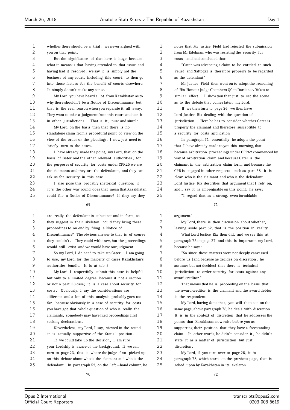2 vou on that point. But the significance of that here is huge, because what it means is that having attended to that issue and 5 having had it resolved, we say it is simply not the 6 business of any court, including this court, to then go into those factors for the benefit of courts elsewhere. It simply doesn't make any sense. My Lord, you have heard a lot from Kazakhstan as to why there shouldn't be a Notice of Discontinuance, but that is the real reason when you separate it all away. They want to take a judgment from this court and use it in other jurisdictions . That is it , pure and simple. My Lord, on the basis then that there is no standalone claim from a procedural point of view on the view of the order or the pleadings, I now just need to briefly turn to the cases . I have already made the point, my Lord, that on the basis of Gater and the other relevant authorities , for 20 the purposes of security for costs under CPR25 we are 21 the claimants and they are the defendants, and they can

whether there should be a trial , we never argued with

 ask us for security in this case. I also pose this probably rhetorical question: if 24 it 's the other way round, does that mean that Kazakhstan could file a Notice of Discontinuance? If they say they

 are really the defendant in substance and in form, as 2 they suggest in their skeleton, could they bring these proceedings to an end by filing a Notice of Discontinuance? The obvious answer to that is of course 5 they couldn't. They could withdraw, but the proceedings would still exist and we would have our judgment. So my Lord, I do need to take up Gater. I am going to use, my Lord, for the majority of cases Kazakhstan's authorities bundle. It is at tab 3. My Lord, I respectfully submit this case is helpful but only to a limited degree, because it not a section or not a part 38 case; it is a case about security for costs . Obviously, I say the considerations are different and a lot of this analysis probably goes too far , because obviously in a case of security for costs you have got that whole question of who is really the claimants, somebody may have filed proceedings first seeking declarations .

 Nevertheless, my Lord, I say, viewed in the round, it is actually supportive of the Statis ' position . 21 If we could take up the decision, I am sure your Lordship is aware of the background. If we can turn to page 23, this is where the judge first picked up on this debate about who is the claimant and who is the defendant. In paragraph 52, on the left *<sup>−</sup>*hand column, he

 notes that Mr Justice Field had rejected the submission from Mr Edelman, who was resisting the security for costs , and had concluded that: "Gater was advancing a claim to be entitled to such relief and Naftogaz is therefore properly to be regarded as the defendant." Mr Justice Field then went on to adopt the reasoning of His Honour Judge Chambers QC in Dardana v Yukos to similar effect . I show you that just to set the scene 10 as to the debate that comes later, my Lord. 11 If we then turn to page 26, we then have Lord Justice Rix dealing with the question of 13 jurisdiction . Here he has to consider whether Gater is properly the claimant and therefore susceptible to a security for costs application . In paragraph 71, essentially he adopts the point that I have already made to you this morning, that because arbitration proceedings under CPR62 commenced by way of arbitration claim and because Gater is the claimant in the arbitration claim form, and because the CPR is engaged in other respects , such as part 58, it is clear who is the claimant and who is the defendant.

Lord Justice Rix describes that argument that I rely on,

24 and I say it is impregnable on this point, he says:

25 T regard that as a strong, even formidable

# 

argument."

 My Lord, there is then discussion about whether, leaving aside part 62, that is the position in reality .

 What Lord Justice Rix then did , and we see this at paragraph 75 on page 27, and this is important, my Lord, because he says:

 "So since these matters were not deeply canvassed before us [and because he decides on discretion , he assumes but not decides] that there is technical jurisdiction to order security for costs against any award creditor ."

 That means that he is proceeding on the basis that the award creditor is the claimant and the award debtor is the respondent.

15 My Lord, having done that, you will then see on the same page, above paragraph 76, he deals with discretion . It is in the context of discretion that he addresses the points that Kazakhstan now raise before you as supporting their position that they have a freestanding 20 claim. In other words, he didn't consider it, he didn't state it as a matter of jurisdiction but just discretion .

 My Lord, if you turn over to page 28, it is paragraph 78, which starts on the previous page, that is relied upon by Kazakhstan in its skeleton .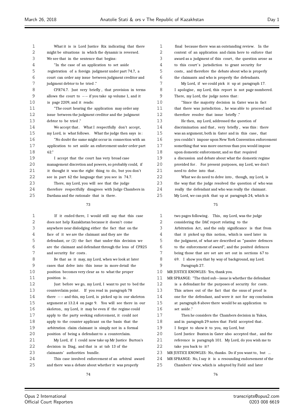| 1  | What it is is Lord Justice Rix indicating that there       |              |
|----|------------------------------------------------------------|--------------|
| 2  | might be situations in which the dynamic is reversed.      |              |
| 3  | We see that in the sentence that begins:                   |              |
| 4  | "In the case of an application to set aside                |              |
| 5  | registration of a foreign judgment under part 74.7, a      |              |
| 6  | court can order any issue between judgment creditor and    |              |
| 7  | judgment debtor to be tried."                              |              |
| 8  | CPR74.7. Just very briefly, that provision in terms        |              |
| 9  | allows the court to $--$ if you take up volume 1, and it   |              |
| 10 | is page 2209, and it reads:                                | 1            |
| 11 | "The court hearing the application may order any           | 1            |
| 12 | issue between the judgment creditor and the judgment       | 1            |
| 13 | debtor to be tried."                                       | 1            |
| 14 | We accept that. What I respectfully don't accept,          | $\mathbf{1}$ |
| 15 | my Lord, is what follows. What the judge then says is:     | $\mathbf{1}$ |
| 16 | "No doubt the same might occur in connection with an       | $\mathbf{1}$ |
| 17 | application to set aside an enforcement under order part   | $\mathbf{1}$ |
| 18 | $62.$ "                                                    | $\mathbf{1}$ |
| 19 | I accept that the court has very broad case                | $\mathbf{1}$ |
| 20 | management discretion and powers, so probably could, if    | 2            |
| 21 | it thought it was the right thing to do, but you don't     | 2            |
| 22 | see in part 62 the language that you see in 74.7.          | 2            |
| 23 | There, my Lord, you will see that the judge                | 2            |
| 24 | therefore respectfully disagrees with Judge Chambers in    | $\tilde{ }$  |
| 25 | Dardana and the rationale that is there.                   | $\tilde{ }$  |
|    | 73                                                         |              |
| 1  | If it ended there, I would still say that this case        |              |
| 2  | does not help Kazakhstan because it doesn't come           |              |
| 3  | anywhere near dislodging either the fact that on the       |              |
| 4  | face of it we are the claimant and they are the            |              |
| 5  | defendant, or (2) the fact that under this decision we     |              |
| 6  | are the claimant and defendant through the lens of CPR25   |              |
| 7  | and security for costs.                                    |              |
| 8  | Be that as it may, my Lord, when we look at later          |              |
| 9  | cases that delve into this issue in more detail the        |              |
| 10 | position becomes very clear as to what the proper          | 1            |
| 11 | position is.                                               | 1            |
| 12 | Just before we go, my Lord, I want to put to bed the       | 1            |
| 13 | counterclaim point. If you read in paragraph 78            | 1            |
| 14 | there $--$ and this, my Lord, is picked up in our skeleton | 1            |
| 15 | argument at 13.2.4 on page 9. You will see there in our    | 1            |
| 16 | skeleton, my Lord, it may be even if the regime could      | 1            |
| 17 | apply to the party seeking enforcement, it could not       | 1            |
| 18 | apply to the counter applicant on the basis that the       | 1            |

 arbitration claim claimant is simply not in a formal position of being a defendant to a counterclaim.

 My Lord, if I could now take up Mr Justice Burton's decision in Diag, and that is at tab 13 of the claimants' authorities bundle.

This case involved enforcement of an arbitral award

and there was a debate about whether it was properly

 final because there was an outstanding review. In the context of an application and claim here to enforce that 3 award as a judgment of this court, the question arose as 4 to this court's jurisdiction to grant security for costs , and therefore the debate about who is properly the claimants and who is properly the defendants. My Lord, if we could pick it up at paragraph 17. 8 I apologise, my Lord, this report is not page numbered. There, my Lord, the judge notes that : "Since the majority decision in Gater was in fact that there was jurisdiction , he was able to proceed and therefore resolve that issue briefly ." He then, my Lord, addressed the question of 14 discrimination and that, very briefly, was this: there was an argument, both in Gater and in this case, that you couldn't impose upon New York Convention enforcement something that was more onerous than you would impose upon domestic enforcement, and so that required a discussion and debate about what the domestic regime provided for . For present purposes, my Lord, we don't 21 need to delve into that.

 What we do need to delve into , though, my Lord, is the way that the judge resolved the question of who was really the defendant and who was really the claimant. My Lord, we can pick that up at paragraph 24, which is

| 1  | two pages following. This, my Lord, was the judge           |
|----|-------------------------------------------------------------|
| 2  | considering the DAC report relating to the                  |
| 3  | Arbitration Act, and the only significance is that from     |
| 4  | that it picked up this notion, which is used later in       |
| 5  | the judgment, of what are described as "passive defences"   |
| 6  | to the enforcement of award", and the posited defences      |
| 7  | being those that are set are set out in sections 67 to      |
| 8  | 69. I show you that by way of background, my Lord.          |
| 9  | Paragraph 27.                                               |
| 10 | MR JUSTICE KNOWLES: Yes, thank you.                         |
| 11 | MR SPRANGE: "The third sub-issue is whether the defendant   |
| 12 | is a defendant for the purposes of security for costs.      |
| 13 | This arises out of the fact that the onus of proof is       |
| 14 | one for the defendant, and were it not for my conclusion    |
| 15 | at paragraph 8 above there would be an application to       |
| 16 | set aside."                                                 |
| 17 | Then he considers the Chambers decision in Yukos,           |
| 18 | and in paragraph 29 notes that Field accepted that.         |
| 19 | I forgot to show it to you, my Lord, but                    |
| 20 | Lord Justice Buxton in Gater also accepted that, and the    |
| 21 | reference is paragraph 101. My Lord, do you wish me to      |
| 22 | take you back to it?                                        |
| 23 | MR JUSTICE KNOWLES: No, thanks. Do if you want to, but      |
| 24 | MR SPRANGE: No, I say it is a resounding endorsement of the |
| 25 | Chambers' view, which is adopted by Field and later         |
|    |                                                             |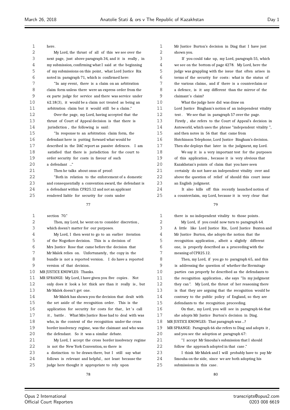$\equiv$ 

| 1  | here.                                                    | 1  | Mr Justice Burton's decision in Diag that I have just      |
|----|----------------------------------------------------------|----|------------------------------------------------------------|
| 2  | My Lord, the thrust of all of this we see over the       | 2  | shown you.                                                 |
| 3  | next page, just above paragraph 34, and it is really, in | 3  | If you could take up, my Lord, paragraph 55, which         |
| 4  | my submission, confirming what I said at the beginning   | 4  | we see on the bottom of page 4278. My Lord, here the       |
| 5  | of my submissions on this point, what Lord Justice Rix   | 5  | judge was grappling with the issue that often arises in    |
| 6  | noted in paragraph 71, which is confirmed here:          | 6  | terms of the security for costs: what is the status of     |
| 7  | "In any event, there is a claim on an arbitration        | 7  | the various claims, and if there is a counterclaim or      |
| 8  | claim form unless there were an express order from the   | 8  | a defence, is it any different than the mirror of the      |
| 9  | ex parte judge for service and there was service under   | 9  | claimant's claim?                                          |
| 10 | $62.18(3)$ , it would be a claim not treated as being an | 10 | What the judge here did was draw on                        |
| 11 | arbitration claim but it would still be a claim."        | 11 | Lord Justice Bingham's notion of an independent vitality   |
| 12 | Over the page, my Lord, having accepted that the         | 12 | test. We see that in paragraph 57 over the page.           |
| 13 | thrust of Court of Appeal decision is that there is      | 13 | Firstly, she refers to the Court of Appeal's decision in   |
| 14 | jurisdiction, the following is said:                     | 14 | Autoworld, which uses the phrase "independent vitality",   |
| 15 | "In response to an arbitration claim form, the           | 15 | and then notes in 56 that that came from                   |
| 16 | defendant here is putting forward what would be          | 16 | Hutchinson Telephone, Lord Justice Bingham's decision.     |
| 17 | described in the DAC report as passive defences. I am    | 17 | Then she deploys that later in the judgment, my Lord.      |
| 18 | satisfied that there is jurisdiction for the court to    | 18 | We say it is a very important test for the purposes        |
| 19 | order security for costs in favour of such               | 19 | of this application, because it is very obvious that       |
| 20 | a defendant "                                            | 20 | Kazakhstan's points of claim that you have seen            |
| 21 | Then he talks about onus of proof:                       | 21 | certainly do not have an independent vitality over and     |
| 22 | "Both in relation to the enforcement of a domestic       | 22 | above the question of relief of should this court issue    |
| 23 | and consequentially a convention award, the defendant is | 23 | an English judgment.                                       |
| 24 | a defendant within CPR25.12 and not an applicant         | 24 | It also kills off this recently launched notion of         |
| 25 | rendered liable for security for costs under             | 25 | a counterclaim, my Lord, because it is very clear that     |
|    | 77                                                       |    | 79                                                         |
| 1  | section 70."                                             | 1  | there is no independent vitality to those points.          |
| 2  | Then, my Lord, he went on to consider discretion,        | 2  | My Lord, if you could now turn to paragraph 64.            |
| 3  | which doesn't matter for our purposes.                   | 3  | A little like Lord Justice Rix, Lord Justice Buxton and    |
| 4  | My Lord, I then went to go to an earlier iteration       | 4  | Mr Justice Burton, she adopts the notion that the          |
| 5  | of the Nogotkov decision. This is a decision of          | 5  | recognition application, albeit a slightly different       |
| 6  | Mrs Justice Rose that came before the decision that      | 6  | one, is properly described as a proceeding with the        |
| 7  | Mr Malek relies on. Unfortunately, the copy in the       | 7  | meaning of CPR25.12.                                       |
| 8  | bundle is not a reported version. I do have a reported   | 8  | Then, my Lord, if you go to paragraph 65, and this         |
| 9  | version of that decision.                                | 9  | is addressing the question of whether the Hermitage        |
| 10 | MR JUSTICE KNOWLES: Thanks.                              | 10 | parties can properly be described as the defendants to     |
| 11 | MR SPRANGE: My Lord, I have given you five copies. Not   | 11 | the recognition application, she says "In my judgment      |
| 12 | only does it look a lot thick are than it really is, but | 12 | they can". My Lord, the thrust of her reasoning there      |
| 13 | Mr Malek doesn't get one.                                | 13 | is that they are arguing that the recognition would be     |
| 14 | Mr Malek has shown you the decision that dealt with      | 14 | contrary to the public policy of England, so they are      |
| 15 | the set aside of the recognition order. This is the      | 15 | defendants to the recognition proceeding.                  |
| 16 | application for security for costs for that, let's call  | 16 | On that, my Lord, you will see in paragraph 66 that        |
| 17 | it, battle. What Mrs Justice Rose had to deal with was   | 17 | she adopts Mr Justice Burton's decision in Diag.           |
| 18 | who, in the context of the recognition under the cross   | 18 | MR JUSTICE KNOWLES: That paragraph was ?                   |
| 19 | border insolvency regime, was the claimant and who was   | 19 | MR SPRANGE: Paragraph 66 she refers to Diag and adopts it, |
| 20 | the defendant. So it was a similar debate.               | 20 | and you see the adoption at paragraph 67:                  |
| 21 | My Lord, I accept the cross border insolvency regime     | 21 | "I accept Mr Smouha's submission that I should             |
| 22 | is not the New York Convention, so there is              | 22 | follow the approach adopted in that case."                 |
| 23 | a distinction to be drawn there, but I still say what    | 23 | I think Mr Malek and I will probably have to pay Mr        |
| 24 | follows is relevant and helpful, not least because the   | 24 | Smouha on the side, since we are both adopting his         |
| 25 | judge here thought it appropriate to rely upon           | 25 | submissions in this case.                                  |
|    | 78                                                       |    | 80                                                         |
|    |                                                          |    |                                                            |

Ξ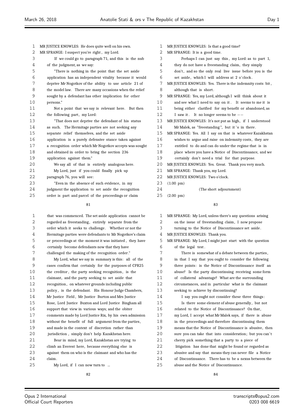| $\mathbf{1}$ | MR JUSTICE KNOWLES: He does quite well on his own.       |
|--------------|----------------------------------------------------------|
| 2            | MR SPRANGE: I suspect you're right, my Lord.             |
| 3            | If we could go to paragraph 71, and this is the nub      |
| 4            | of the judgment, as we say:                              |
| 5            | "There is nothing in the point that the set aside        |
| 6            | application has an independent vitality because it would |
| 7            | deprive Mr Nogotkov of the ability to use article 21 of  |
| 8            | the model law. There are many occasions when the relief  |
| 9            | sought by a defendant has other implication for other    |
| 10           | persons."                                                |
| 11           | Not a point that we say is relevant here. But then       |
| 12           | the following part, my Lord:                             |
| 13           | "That does not deprive the defendant of his status       |
| 14           | as such. The Hermitage parties are not seeking any       |
| 15           | separate relief themselves, and the set aside            |
| 16           | application is a purely defensive stance taken against   |
| 17           | a recognition order which Mr Nogotkov accepts was sought |
| 18           | and obtained in order to bring the section 236           |
| 19           | application against them."                               |
| 20           | We say all of that is entirely analogous here.           |
| 21           | My Lord, just if you could finally pick up               |
| 22           | paragraph 76, you will see:                              |
| 23           | "Even in the absence of such evidence, in my             |
| 24           | judgment the application to set aside the recognition    |
| 25           | order is part and parcel of the proceedings or claim     |

| 1  | that was commenced. The set aside application cannot be  |
|----|----------------------------------------------------------|
| 2  | regarded as freestanding, entirely separate from the     |
|    | order which it seeks to challenge. Whether or not the    |
|    | Hermitage parties were defendants to Mr Nogotkov's claim |
| .5 | or proceedings at the moment it was initiated, they have |
| 6  | certainly become defendants now that they have           |
|    | challenged the making of the recognition order."         |

 My Lord, what we say in summary is this: all of the cases confirm that certainly for the purposes of CPR25 10 the creditor, the party seeking recognition, is the claimant, and the party seeking to set aside that 12 recognition, on whatever grounds including public policy , is the defendant. His Honour Judge Chambers, Mr Justice Field , Mr Justice Burton and Mrs Justice Rose, Lord Justice Buxton and Lord Justice Bingham all support that view in various ways; and the obiter comments made by Lord Justice Rix, by his own admission without the benefit of full argument from the parties , and made in the context of discretion rather than jurisdiction , simply don't help Kazakhstan here. Bear in mind, my Lord, Kazakhstan are trying to climb an Everest here, because everything else is against them on who is the claimant and who has the claim.

My Lord, if I can now turn to ...

| 1 | MR JUSTICE KNOWLES: Is that a good time?                   |
|---|------------------------------------------------------------|
| 2 | MR SPRANGE: It is a good time.                             |
| 3 | Perhaps I can just say this, my Lord: as to part 1,        |
| 4 | they do not have a freestanding claim, they simply         |
| 5 | don't, and so the only real live issue before you is the   |
| 6 | set aside, which I will address at 2 o'clock.              |
| 7 | MR JUSTICE KNOWLES: Yes. There is the indemnity costs bit, |
| 8 | although that is short.                                    |
| 9 | MR SPRANGE: Yes, my Lord, although I will think about it   |
|   |                                                            |

- and see what I need to say on it . It seems to me it is being either clarified for my benefit or abandoned, as
	-

12 I saw it. It no longer seems to be  $-$ -<br>13 MR IUSTICE KNOWLES: It's not put as high. MR JUSTICE KNOWLES: It's not put as high, if I understood 14 Mr Malek, as "freestanding", but it 's in there.

- MR SPRANGE: Yes. All I say on that is whatever Kazakhstan
- wishes to argue and raise on indemnity costs , they are
- entitled to do and can do under the regime that is in
- place where you have a Notice of Discontinuance, and we
- certainly don't need a trial for that purpose.
- 20 MR JUSTICE KNOWLES: Yes. Great. Thank you very much.
- MR SPRANGE: Thank you, my Lord.
- 22 MR JUSTICE KNOWLES: Two o'clock.
- (1.00 pm)
- (The short adjournment)
- (2.00 pm)

| $\mathbf{1}$ | MR SPRANGE: My Lord, unless there's any questions arising |
|--------------|-----------------------------------------------------------|
| 2            | on the issue of freestanding claim, I now propose         |
| 3            | turning to the Notice of Discontinuance set aside.        |
| 4            | MR JUSTICE KNOWLES: Thank you.                            |
| 5            | MR SPRANGE: My Lord, I might just start with the question |
| 6            | of the legal test.                                        |
| 7            | There is somewhat of a debate between the parties,        |
| 8            | in that I say that you ought to consider the following    |
| 9            | three points: is the Notice of Discontinuance itself an   |
| 10           | abuse? Is the party discontinuing receiving some form     |
| 11           | of collateral advantage? What are the surrounding         |
| 12           | circumstances, and in particular what is the claimant     |
| 13           | seeking to achieve by discontinuing?                      |
| 14           | I say you ought not consider these three things:          |
| 15           | Is there some element of abuse generally, but not         |
| 16           | related to the Notice of Discontinuance? On that,         |
| 17           | my Lord, I accept what Mr Malek says, if there is abuse   |
| 18           | in the proceedings and therefore discontinuing them       |
| 19           | means that the Notice of Discontinuance is abusive, then  |
| 20           | sure you can take that into consideration; but you can't  |
| 21           | cherry pick something that a party to a piece of          |
| 22           | litigation has done that might be found or regarded as    |
| 23           | abusive and say that means they can never file a Notice   |
| 24           | of Discontinuance. There has to be a nexus between the    |
| 25           | abuse and the Notice of Discontinuance.                   |
|              |                                                           |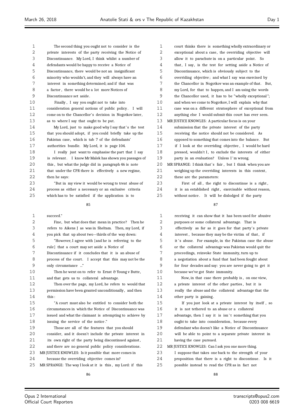| 1  | The second thing you ought not to consider is the        | 1  | court thinks there is something wholly extraordinary or   |
|----|----------------------------------------------------------|----|-----------------------------------------------------------|
| 2  | private interests of the party receiving the Notice of   | 2  | exceptional about a case, the overriding objective will   |
| 3  | Discontinuance. My Lord, I think whilst a number of      | 3  | allow it to parachute in on a particular point. So        |
| 4  | defendants would be happy to receive a Notice of         | 4  | that, I say, is the test for setting aside a Notice of    |
| 5  | Discontinuance, there would be not an insignificant      | 5  | Discontinuance, which is obviously subject to the         |
| 6  | minority who wouldn't, and they will always have an      | 6  | overriding objective; and what I say was exercised by     |
| 7  | interest in something determined; and if that was        | 7  | the Chancellor in Nogotkov was an example of that. But    |
| 8  | a factor, there would be a lot more Notices of           | 8  | my Lord, for that to happen, and I am using the words     |
| 9  | Discontinuance set aside.                                | 9  | the Chancellor used, it has to be "wholly exceptional";   |
| 10 | Finally, I say you ought not to take into                | 10 | and when we come to Nogotkov, I will explain why that     |
| 11 | consideration general notions of public policy. I will   | 11 | case was on a different stratosphere of exceptional from  |
| 12 | come on to the Chancellor's decision in Nogotkov later,  | 12 | anything else I would submit this court has ever seen.    |
| 13 | as to where I say that ought to be put.                  | 13 | MR JUSTICE KNOWLES: A particular focus is on your         |
| 14 | My Lord, just to make good why I say that's the test     | 14 | submission that the private interest of the party         |
| 15 | that you should adopt, if you could briefly take up the  | 15 | receiving the notice should not be considered. As         |
| 16 | Pakistan case, which is tab 7 of the defendants'         | 16 | opposed to something that comes into the balance. But     |
| 17 | authorities bundle. My Lord, it is page 104.             | 17 | if I look at the overriding objective, I would be hard    |
| 18 | I really just want to emphasise the part that I say      | 18 | pressed, wouldn't I, to exclude the interests of either   |
| 19 | is relevant. I know Mr Malek has shown you passages of   | 19 | party in an evaluation? Unless I'm wrong.                 |
| 20 | this, but what the judge did in paragraph 46 is note     | 20 | MR SPRANGE: I think that's fair, but I think when you are |
| 21 | that under the CPR there is effectively a new regime,    | 21 | weighing up the overriding interests in this context,     |
| 22 | then he says:                                            | 22 | these are the parameters:                                 |
| 23 | "But in my view it would be wrong to treat abuse of      | 23 | First of all, the right to discontinue is a right,        |
| 24 | process as either a necessary or an exclusive criteria   | 24 | it is an established right, exercisable without reason,   |
| 25 | which has to be satisfied if the application is to       | 25 | without notice. It will be dislodged if the party         |
|    | 85                                                       |    | 87                                                        |
| 1  | succeed."                                                | 1  | receiving it can show that it has been used for abusive   |
| 2  | Fine, but what does that mean in practice? Then he       | 2  | purposes or some collateral advantage. That is            |
| 3  | refers to Aikens J as was in Sheltam. Then, my Lord, if  | 3  | effectively as far as it goes for that party's private    |
| 4  | you pick that up about two-thirds of the way down:       | 4  | interest, because they may be the victim of that, if      |
| 5  | "However, I agree with [and he is referring to the       | 5  | it's abuse. For example, in the Pakistan case the abus    |
| 6  | rule] that a court may set aside a Notice of             | 6  | or the collateral advantage was Pakistan would quit the   |
| 7  | Discontinuance if it concludes that it is an abuse of    | 7  | proceedings, reinvoke State immunity, turn up to          |
| 8  | process of the court. I accept that this may not be the  | 8  | a negotiation about a fund that had been fought about     |
| 9  | only circumstance "                                      | 9  | for four decades and say: you are never going to get it   |
| 10 | Then he went on to refer to Ernst & Young v Butte,       | 10 | because we've got State immunity.                         |
| 11 | and that gets us to collateral advantage.                | 11 | Now, in that case there probably is, on one view,         |
| 12 | Then over the page, my Lord, he refers to would that     | 12 | a private interest of the other parties, but it is        |
| 13 | permission have been granted unconditionally, and then   | 13 | really the abuse and the collateral advantage that the    |
| 14 | this:                                                    | 14 | other party is gaining.                                   |
| 15 | "A court must also be entitled to consider both the      | 15 | If you just look at a private interest by itself, send    |
| 16 | circumstances in which the Notice of Discontinuance was  | 16 | it is not tethered to an abuse or a collateral            |
| 17 | issued and what the claimant is attempting to achieve by | 17 | advantage, then I say it is isn't something that you      |
| 18 | issuing the service of the notice."                      | 18 | ought to take into consideration, because every           |
| 19 | Those are all of the features that you should            | 19 | defendant who doesn't like a Notice of Discontinuance     |
| 20 | consider, and it doesn't include the private interest in | 20 | will be able to point to a separate private interest in   |

| 1  | receiving it can show that it has been used for abusive |
|----|---------------------------------------------------------|
| 2  | purposes or some collateral advantage. That is          |
| 3  | effectively as far as it goes for that party's private  |
| 4  | interest, because they may be the victim of that, if    |
| 5  | it's abuse. For example, in the Pakistan case the abuse |
| 6  | or the collateral advantage was Pakistan would quit the |
| 7  | proceedings, reinvoke State immunity, turn up to        |
| 8  | a negotiation about a fund that had been fought about   |
| 9  | for four decades and say: you are never going to get it |
| 10 | because we've got State immunity.                       |
| 11 | Now, in that case there probably is, on one view,       |
| 12 | a private interest of the other parties, but it is      |
| 13 | really the abuse and the collateral advantage that the  |
| 14 | other party is gaining.                                 |
| 15 | If you just look at a private interest by itself, so    |
| 16 | it is not tethered to an abuse or a collateral          |
| 17 | advantage, then I say it is isn't something that you    |
| 18 | ought to take into consideration, because every         |
| 19 | defendant who doesn't like a Notice of Discontinuance   |
| 20 | will be able to point to a separate private interest in |
| 21 | having the case pursued.                                |
| 22 | MR JUSTICE KNOWLES: Can I ask you one more thing.       |
| 23 | I suppose that takes one back to the strength of your   |
| 24 | proposition that there is a right to discontinue. Is it |
| 25 | possible instead to read the CPR as in fact not         |

MR SPRANGE: The way I look at it is this , my Lord: if this

21 its own right of the party being discontinued against, and there are no general public policy considerations . MR JUSTICE KNOWLES: Is it possible that more comes in

because the overriding objective comes in?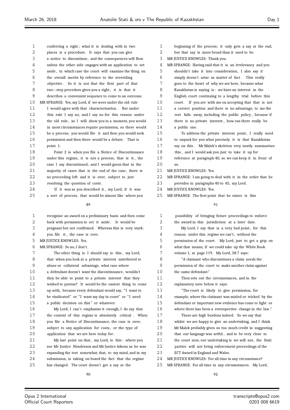conferring a right ; what it is dealing with in two places is a procedure. It says that you can give a notice to discontinue, and the consequences will flow unless the other side engages with an application to set 5 aside, in which case the court will examine the thing on the overall merits by reference to the overriding objective . So it is not that the first part of that two*−*step procedure gives you a right , it is that it describes a convenient sequence to come to an outcome. MR SPRANGE: Yes, my Lord, if we were under the old rule 11 I would agree with that characterisation. But under this rule I say no, and I say no for this reason: under the old rule , as I will show you in a moment, you would in most circumstances require permission, so there would be a process; you would file it and then you would seek permission and then there would be a debate. That is point 1. Point 2 is when you file a Notice of Discontinuance under this regime, it is not a process, that is it , the case I say discontinued; and I would guess that in the majority of cases that is the end of the case, there is no proceeding left and it is over, subject to just resolving the question of costs . If it was as you described it , my Lord, if it was a sort of process, that would be almost like where you recognise an award on a preliminary basis and then come 2 back with permission to set it aside. It would be pregnant but not confirmed. Whereas this is very stark: you file it , the case is over. MR JUSTICE KNOWLES: Yes. MR SPRANGE: So no, I don't . The other thing is I should say is this , my Lord, that when you look at a private interest untethered to abuse or collateral advantage, what case where a defendant doesn't want the discontinuance, wouldn't they be able to point to a private interest that they wished to pursue? It would be the easiest thing to come 13 up with, because every defendant would say, "I want to 14 be vindicated" or "I want my day in court" or "I need a public decision on this " or whatever. 16 My Lord, I can't emphasise it enough, I do say that the context of this regime is absolutely critical . When you file a Notice of Discontinuance, the case is over; subject to any application for costs , or the type of application that we are here today for . 21 My last point on that, my Lord, is this: where you see Mr Justice Henderson and Mr Justice Aikens as he was expanding the test somewhat, that, to my mind, and in my submission, is taking on board the fact that the regime has changed. The court doesn't get a say at the beginning of the process; it only gets a say at the end, but that say is more broad than it used to be. MR JUSTICE KNOWLES: Thank you. MR SPRANGE: Having said that it is an irrelevancy and you 5 shouldn't take it into consideration, I also say it simply doesn't arise as matter of fact . This really goes to the heart of why we are here, because what Kazakhstan is saying is : we have an interest in the English court continuing to a lengthy trial before this 10 court. If you are with me on accepting that that is not a correct position and there is no advantage, to me the rest falls away, including the public policy , because if there is no private interest , how can there really be a public one. 15 To address the private interest point, I really need to unpack for you what precisely it is that Kazakhstan say on this . Mr Malek's skeleton very neatly summarises 18 this, and I would ask you just to take it up for reference at paragraph 40, so we can keep it in front of  $20 \text{ u} s.$ 21 MR JUSTICE KNOWLES: Yes. MR SPRANGE: I am going to deal with it in the order that he provides in paragraphs 40 to 45, my Lord. 24 MR JUSTICE KNOWLES: Yes. MR SPRANGE: The first point that he raises is this **Q1**  possibility of bringing future proceedings to enforce the award in this jurisdiction at a later date. 3 My Lord, I say that is a very bad point, for this reason: under this regime we can't , without the 5 permission of the court. My Lord, just to get a grip on what that means, if we could take up the White Book volume 1, at page 119. My Lord, 38.7 says: "A claimant who discontinues a claim needs the permission of the court to make another claim against the same defendant." Then sets out the circumstances, and in the explanatory note below it says: "The court is likely to give permission, for example, where the claimant was misled or tricked by the defendant or important new evidence has come to light or where there has been a retrospective change in the law ." Those are high burdens indeed. So we say that whilst we are happy to give an undertaking, and I think Mr Malek probably gives us too much credit in suggesting that our language was artful , and to be very clear to the court now, our undertaking is we will not, the Stati parties will not bring enforcement proceedings of the ECT Award in England and Wales. MR JUSTICE KNOWLES: For all time in any circumstance? MR SPRANGE: For all time in any circumstances. My Lord,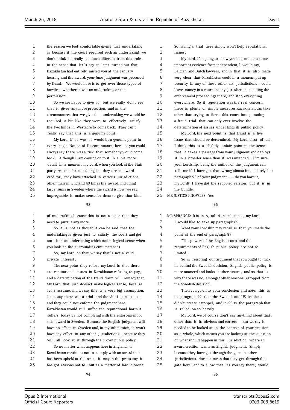- the reason we feel comfortable giving that undertaking 2 is because if the court required such an undertaking, we don't think it really is much different from this rule , 4 in the sense that let's say it later turned out that Kazakhstan had entirely misled you at the January hearing and the award, your June judgment was procured by fraud. We would have is to get over those types of hurdles, whether it was an undertaking or the permission. So we are happy to give it , but we really don't see that it gives any more protection, and in the
- circumstances that we give that undertaking we would be required, a bit like they were, to effectively satisfy the two limbs in Westacre to come back. They can't really say that this is a genuine point.

 My Lord, if it was, it would be a genuine point in every single Notice of Discontinuance, because you could always say there was a risk that somebody would come back. Although I am coming on to it in a bit more detail in a moment, my Lord, when you look at the Stati party reasons for not doing it , they are an award 22 creditor, they have attached in various jurisdictions other than in England 40 times the award, including large sums in Sweden where the award is now, we say, impregnable, it makes sense for them to give that kind

 of undertaking because this is not a place that they need to pursue any more.

 So it is not as though it can be said that the undertaking is given just to satisfy the court and get 5 out; it 's an undertaking which makes logical sense when you look at the surrounding circumstances.

7 So, my Lord, on that we say that's not a valid private interest .

 The next point they raise , my Lord, is that there are reputational issues in Kazakhstan refusing to pay, and a determination of the fraud claim will remedy that. My Lord, that just doesn't make logical sense, because 13 let's assume, and we say this is a very big assumption, 14 let 's say there was a trial and the Stati parties lost and they could not enforce the judgment here. Kazakhstan would still suffer the reputational harm it suffers today by not complying with the enforcement of this award in Sweden. Because the English judgment will have no effect in Sweden and, in my submission, it won't have any effect in any other jurisdictions , because they will all look at it through their own public policy . So no matter what happens here in England, if Kazakhstan continues not to comply with an award that 24 has been upheld at the seat, it may in the press say it 25 has got reasons not to, but as a matter of law it won't.

 So having a trial here simply won't help reputational issues .

| 3  | My Lord, I'm going to show you in a moment some          |
|----|----------------------------------------------------------|
| 4  | important evidence from independent, I would say,        |
| 5  | Belgian and Dutch lawyers, and in that it is also made   |
| 6  | very clear that Kazakhstan could in a moment put up      |
| 7  | security in any of these other six jurisdictions, could  |
| 8  | leave money in a court in any jurisdiction pending the   |
| 9  | enforcement proceedings there, and stop everything       |
| 10 | everywhere. So if reputation was the real concern,       |
| 11 | there is plenty of simple measures Kazakhstan can take   |
| 12 | other than trying to force this court into pursuing      |
| 13 | a fraud trial that can only ever involve the             |
| 14 | determination of issues under English public policy.     |
| 15 | My Lord, the next point is that fraud is a live          |
| 16 | issue that should be determined. My Lord, first of all,  |
| 17 | I think this is a slightly unfair point in the sense     |
| 18 | that it takes a passage from your judgment and deploys   |
| 19 | it in a broader sense than it was intended. I'm sure     |
| 20 | your Lordship, being the author of the judgment, can     |
| 21 | tell me if I have got that wrong almost immediately, but |
| 22 | paragraph 93 of your judgment $-$ do you have it,        |
| 23 | my Lord? I have got the reported version, but it is in   |
| 24 | the bundle.                                              |

25 MR JUSTICE KNOWLES: Yes.

#### 

| $\mathbf{1}$ | MR SPRANGE: It is in A, tab 4 in substance, my Lord,     |
|--------------|----------------------------------------------------------|
| 2            | I would like to take up paragraph 89.                    |
| 3            | What your Lordship may recall is that you made the       |
| 4            | point at the end of paragraph 89:                        |
| 5            | "The powers of the English court and the                 |
| 6            | requirements of English public policy are not so         |
| 7            | limited."                                                |
| 8            | So in rejecting our argument that you ought to tuck      |
| 9            | in behind the Swedish decision, English public policy is |
| 10           | more nuanced and looks at other issues, and so that is   |
| 11           | why there was no, amongst other reasons, estoppel from   |
| 12           | the Swedish decision.                                    |
| 13           | Then you go on to your conclusion and note, this is      |
| 14           | in paragraph 92, that the Swedish and US decisions       |
| 15           | didn't create estoppel, and in 93 is the paragraph that  |
| 16           | is relied on so heavily.                                 |
| 17           | My Land we of course don't goy opything shout that       |

 My Lord, we of course don't say anything about that , 18 other than it is obvious and correct. But we say it needed to be looked at in the context of your decision as a whole, which means you are looking at the question of what should happen in this jurisdiction where an award creditor wants an English judgment. Simply because they have got through the gate in other jurisdictions doesn't mean that they get through the 25 gate here; and to allow that, as you say there, would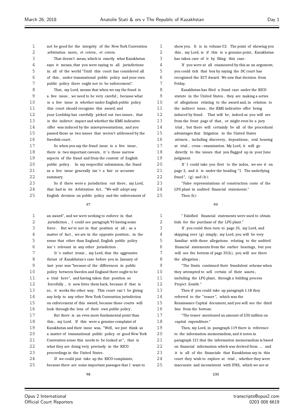not be good for the integrity of the New York Convention arbitration users, et cetera , et cetera . That doesn't mean, which is exactly what Kazakhstan says it means, that you were saying to all jurisdictions in all of the world "Until this court has considered all of this , under transnational public policy and your own public policy there ought not to be enforcement". That, my Lord, means that when we say the fraud is a live issue , we need to be very careful ; because what is a live issue is whether under English public policy this court should recognise this award, and your Lordship has carefully picked out two issues , that is the indirect impact and whether the KMG indicative offer was induced by the misrepresentations, and you passed those as two issues that weren't addressed by the Swedish court. So when you say the fraud issue is a live issue , 18 there is two important caveats, it 's those narrow aspects of the fraud and from the context of English public policy . In my respectful submission, the fraud 21 as a live issue generally isn't a fair or accurate summary. 23 So if there were a jurisdiction out there, my Lord, that had in its Arbitration Act, "We will adopt any English decision on public policy and the enforcement of an award", and we were seeking to enforce in that jurisdiction , I could see paragraph 93 having some force . But we're not in that position at all ; as a matter of fact , we are in the opposite position , in the sense that other than England, English public policy 6 isn't relevant in any other jurisdiction. Then (h):

7 It 's rather ironic, my Lord, that the aggressive thrust of Kazakhstan's case before you in January of last year was "because of the differences in public policy between Sweden and England there ought to be a trial here ", and having taken that position so forcefully , it now bites them back, because if that is 13 so, it works the other way. This court can't be giving any help to any other New York Convention jurisdiction on enforcement of this award, because those courts will look through the lens of their own public policy .

 But there is an even more fundamental point than this , my Lord. If this were a genuine complaint of Kazakhstan and their issue was, "Well, we just think as a matter of transnational public policy or good New York Convention sense this needs to be looked at ", that is what they are doing very precisely in the RICO proceedings in the United States . If we could just take up the RICO complaints, because there are some important passages that I want to

 show you. It is in volume C2. The point of showing you this , my Lord, is if this is a genuine point, Kazakhstan has taken care of it by filing this case.

 If you were at all enamoured by this as an argument, you could tick that box by saying the DC court has recognised the ECT Award. We saw that decision from Friday .

 Kazakhstan has filed a fraud case under the RICO statute in the United States , they are making a series of allegations relating to the award and, in relation to 11 the indirect issue, the KMG indicative offer being induced by fraud. That will be, indeed as you will see 13 from the front page of that, or might even be a jury 14 trial, but there will certainly be all of the procedural advantages that litigation in the United States 16 attracts, including discovery, depositions, oral hearing at trial , cross*−*examination. My Lord, it will go directly to the issues that you flagged up in your June judgment.

 If I could take you first to the index, we see it on page 2, and it is under the heading "1. The underlying 22 fraud",  $(g)$  and  $(h)$ :

 "False representations of construction costs of the LPG plant in audited financial statements."

### 

 " Falsified financial statements were used to obtain bids for the purchase of the LPG plant ."

 If you could then turn to page 35, my Lord, and skipping over (g) simply, my Lord, you will be very familiar with those allegations relating to the audited financial statements from the earlier hearings, but you will see the bottom of page 35(h), you will see there the allegation :

 "The Statis continued their fraudulent scheme when they attempted to sell certain of their assets , including the LPG plant, through a bidding process

Project Zenith ."

 Then if you could take up paragraph 1.18 they referred to the "teaser ", which was the Renaissance Capital document, and you will see the third line from the bottom:

 "The teaser mentioned an amount of 230 million on capital expenditure."

 Then, my Lord, in paragraph 119 there is reference to the information memorandum, and it notes in paragraph 121 that the information memorandum is based on financial information which was derived from ... and it is all of the financials that Kazakhstan say in this court they wish to explore at trial , whether they were inaccurate and inconsistent with IFRS, which we see at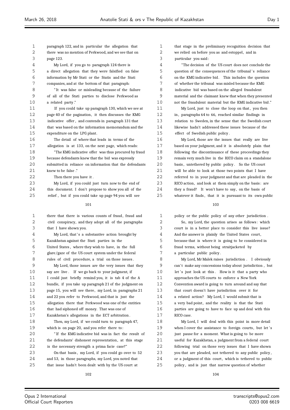paragraph 122, and in particular the allegation that there was no mention of Perkwood, and we see that on page 123. My Lord, if you go to paragraph 124 there is a direct allegation that they were falsified on false information by Mr Stati or the Statis and the Stati companies, and at the bottom of that paragraph: " It was false or misleading because of the failure of all of the Stati parties to disclose Perkwood as a related party ." If you could take up paragraph 130, which we see at page 40 of the pagination, it then discusses the KMG indicative offer , and contends in paragraph 131 that that was based on the information memorandum and the expenditure on the LPG plant. The detail of where that leads in terms of the allegation is at 133, on the next page, which reads: "The KMG indicative offer was thus procured by fraud because defendants knew that the bid was expressly 20 submitted in reliance on information that the defendants knew to be false ." Then there you have it . My Lord, if you could just turn now to the end of this document. I don't propose to show you all of the relief , but if you could take up page 94 you will see there that there is various counts of fraud, fraud and civil conspiracy, and they adopt all of the paragraphs

 that I have shown you. 4 My Lord, that's a substantive action brought by Kazakhstan against the Stati parties in the United States , where they wish to have, in the full glare/gaze of the US court system under the federal rules of civil procedure, a trial on those issues . My Lord, those issues are the very issues that they say are live . If we go back to your judgment, if I could just briefly remind you, it is tab 4 of the A bundle, if you take up paragraph 21 of the judgment on page 15, you will see there , my Lord, in paragraphs 21 and 22 you refer to Perkwood, and that is just the allegation there that Perkwood was one of the entities that had siphoned off money. That was one of Kazakhstan's allegations in the ECT arbitration .

 Then, my Lord, if we could turn to paragraph 47, which is on page 20, and you refer there to:

 " If the KMG indicative bid was in fact the result of 21 the defendants' dishonest representation, at this stage is the necessary strength a prima facie case?" 23 On that basis, my Lord, if you could go over to 52 and 53, in those paragraphs, my Lord, you noted that that issue hadn't been dealt with by the US court at

 that stage in the preliminary recognition decision that we relied on before you as and estoppel, and in

particular you said:

 "The decision of the US court does not conclude the 5 question of the consequences of the tribunal's reliance on the KMG indicative bid . This includes the question of whether the tribunal was misled because the KMG indicative bid was based on the alleged fraudulent material and the claimant knew that when they presented not the fraudulent material but the KMG indicative bid ."

11 My Lord, just to close the loop on that, you then in , paragraphs 64 to 66, reached similar findings in relation to Sweden, in the sense that the Swedish court likewise hadn't addressed these issues because of the effect of Swedish public policy .

 My Lord, those are the issues that really are live based on your judgment, and it is absolutely plain that following the discontinuance of these proceedings they remain very much live in the RICO claim on a standalone 20 basis, untethered by public policy. So the US court will be able to look at those two points that I have referred to in your judgment and that are pleaded in the 23 RICO action, and look at them simply on the basis: are they a fraud? It won't have to say, on the basis of whatever it finds , that it is pursuant to its own public

### 

 policy or the public policy of any other jurisdiction . So, my Lord, the question arises as follows: which court is in a better place to consider this live issue? And the answer is plainly the United States court , because that is where it is going to be considered in fraud terms, without being straitjacketed by a particular public policy .

 My Lord, Mr Malek raises jurisdiction . I obviously 9 can't make any concessions today about jurisdiction, but 10 let's just look at this. How is it that a party who approaches the US courts to enforce a New York Convention award is going to turn around and say that that court doesn't have jurisdiction over it for a related action? My Lord, I would submit that is a very bad point , and the reality is that the Stati parties are going to have to face up and deal with this RICO case.

 My Lord, I will deal with this point in more detail 19 when I cover the assistance to foreign courts, but let's just pause for a moment. What is going to be more useful for Kazakhstan, a judgment from a federal court following trial on those very issues that I have shown you that are pleaded, not tethered to any public policy , 24 or a judgment of this court, which is tethered to public policy , and is just that narrow question of whether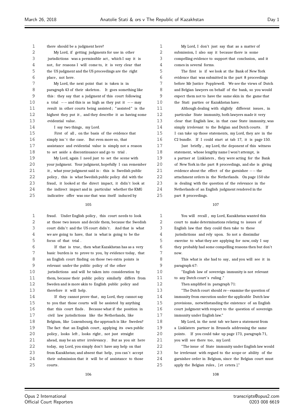| 1                 | there should be a judgment here?                         |
|-------------------|----------------------------------------------------------|
| 2                 | My Lord, if getting judgments for use in other           |
| 3                 | jurisdictions was a permissible act, which I say it is   |
| 4                 | not, for reasons I will come to, it is very clear that   |
| 5                 | the US judgment and the US proceedings are the right     |
| 6                 | place, not here.                                         |
| 7                 | My Lord, the next point that is taken is in              |
| 8                 | paragraph 43 of their skeleton. It goes something like   |
| 9                 | this: they say that a judgment of this court following   |
| 10                | a trial $-$ and this is as high as they put it $-$ may   |
| 11                | result in other courts being assisted; "assisted" is the |
| $12 \overline{ }$ | highest they put it, and they describe it as having some |
| 13                | evidential value.                                        |
| 14                | I say two things, my Lord.                               |
| 15                | First of all, on the basis of the evidence that          |
| 16                | simply isn't the case. But even more so, that            |
| 17                | assistance and evidential value is simply not a reason   |
| 18                | to set aside a discontinuance and go to trial.           |
| 19                | My Lord, again I need just to set the scene with         |
| 20                | your judgment. Your judgment, hopefully I can remember   |
| 21                | it, what your judgment said is: this is Swedish public   |
| 22                | policy, this is what Swedish public policy did with the  |
| 23                | fraud, it looked at the direct impact, it didn't look at |
| 24                | the indirect impact and in particular whether the KMG    |
| 25                | indicative offer was one that was itself induced by      |

 fraud. Under English policy , this court needs to look at those two issues and decide them, because the Swedish 3 court didn't and the US court didn't. And that is what we are going to have, that is what is going to be the focus of that trial .

 If that is true , then what Kazakhstan has as a very basic burden is to prove to you, by evidence today, that an English court finding on those two extra points is relevant under the public policy of the other 10 jurisdictions and will be taken into consideration by them, because their public policy similarly differs from Sweden and is more akin to English public policy and therefore it will help.

14 If they cannot prove that, my Lord, they cannot say to you that those courts will be assisted by anything 16 that this court finds. Because what if the position in civil law jurisdictions like the Netherlands, like Belgium, like Luxembourg, the approach is like Sweden? 19 The fact that an English court, applying its own public 20 policy, looks left, looks right, not just straight ahead, may be an utter irrelevancy . But as you sit here today, my Lord, you simply don't have any help on that 23 from Kazakhstan; and absent that help, you can't accept their submission that it will be of assistance to those 25 courts.

 My Lord, I don't just say that as a matter of submission, I also say it because there is some compelling evidence to support that conclusion, and it comes in several forms. The first is if we look at the Bank of New York

 evidence that was submitted in the part 8 proceedings before Mr Justice Popplewell. We see the views of Dutch and Belgian lawyers on behalf of the bank, so you would expect them not to have the same skin in the game that the Stati parties or Kazakhstan have.

 Although dealing with slightly different issues , in particular State immunity, both lawyers made it very clear that English law, in that case State immunity, was simply irrelevant to the Belgian and Dutch courts. If I can take up those statements, my Lord, they are in the C2 bundle. If I could start at tab 17, it is page 150.

 Just briefly , my Lord, the deponent of this witness statement, whose lengthy name I won't attempt, is a partner at Linklaters , they were acting for the Bank of New York in the part 8 proceedings, and she is giving evidence about the effect of the garnishee *−−* the attachment orders in the Netherlands. On page 150 she is dealing with the question of the relevance in the Netherlands of an English judgment rendered in the part 8 proceedings.

#### 

 You will recall , my Lord, Kazakhstan wanted this court to make determinations relating to issues of English law that they could then take to these jurisdictions and rely upon. So not a dissimilar exercise to what they are applying for now, only I say they probably had some compelling reasons then but don't now.

 This what is she had to say, and you will see it in paragraph 67:

 "English law of sovereign immunity is not relevant to any Dutch court's ruling ."

Then amplified in paragraph 71:

 "The Dutch court should re*−*examine the question of immunity from execution under the applicable Dutch law provisions , notwithstanding the existence of an English court judgment with respect to the question of sovereign immunity under English law."

 My Lord, in the next tab we have a statement from a Linklaters partner in Brussels addressing the same points . If you could take up page 173, paragraph 71, you will see there too, my Lord:

 "The issue of State immunity under English law would be irrelevant with regard to the scope or ability of the garnishee order in Belgium, since the Belgian court must 25 apply the Belgian rules, [et cetera ]."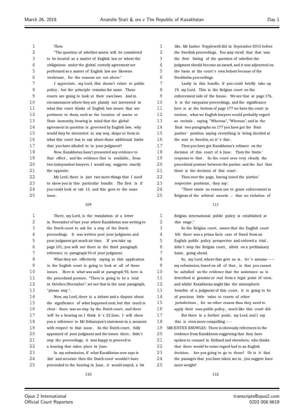$\equiv$ 

| 1  | Then:                                                    | 1           | like Mr Justice Popplewell did in September 2015 before  |
|----|----------------------------------------------------------|-------------|----------------------------------------------------------|
| 2  | "The question of whether assets will be considered       | 2           | the Swedish proceedings. You may recall that that was    |
| 3  | to be located as a matter of English law or where the    | 3           | the first listing of the question of whether the         |
| 4  | obligations under the global custody agreement are       | 4           | judgment should become an award, and it was adjourned on |
| 5  | performed as a matter of English law are likewise        | 5           | the basis at the court's own behest because of the       |
| 6  | irrelevant, for the reasons set out above."              | 6           | Stockholm proceedings.                                   |
| 7  | I appreciate, my Lord, this doesn't relate to public     | 7           | Lastly in this bundle, if you could briefly take up      |
| 8  | policy, but the principle remains the same. These        | 8           | 19, my Lord. This is the Belgian court on the            |
| 9  | courts are going to look at their own laws. And in       | 9           | enforcement side of the house. We see that at page 176.  |
| 10 | circumstances where they are plainly not interested in   | 10          | It is the exequatur proceedings, and the significance    |
| 11 | what this court thinks of English law issues that are    | 11          | here is at the bottom of page 177 we have the court in   |
| 12 | pertinent to them, such as the location of assets or     | 12          | various, what we English lawyers would probably regard   |
| 13 | State immunity, bearing in mind that the global          | 13          | as recitals, saying "Whereas", "Whereas", and in the     |
| 14 | agreement in question is governed by English law, why    | 14          | final two paragraphs on 177 you have got the Stati       |
| 15 | would they be interested in any way, shape or form in    | 15          | parties' position saying everything is being decided at  |
| 16 | what this court has to say about those additional limbs  | 16          | the seat in Sweden, so it's fine.                        |
| 17 | that you have alluded to in your judgment?               | 17          | Then you have got Kazakhstan's reliance on the           |
| 18 | Now, Kazakhstan hasn't presented any evidence to         | 18          | decision of this court of 6 June. Then the Statis'       |
| 19 | that effect, and the evidence that is available, from    | 19          | response to that. So the court sees very clearly the     |
| 20 | two independent lawyers, I would say, suggests exactly   | 20          | procedural posture between the parties and the fact that |
| 21 | the opposite.                                            | 21          | there is the decision of this court.                     |
| 22 | My Lord, there is just two more things that I need       | 22          | Then over the page, having noted the parties'            |
| 23 | to show you in this particular bundle. The first is if   | 23          | respective positions, they say:                          |
| 24 | you could look at tab 13, and this goes to the same      | 24          | "There exists no reason not to grant enforcement in      |
| 25 | issue.                                                   | 25          | Belgium of the arbitral awards  that no violation of     |
|    | 109                                                      |             | 111                                                      |
| 1  | There, my Lord, is the translation of a letter           | $\mathbf 1$ | Belgian international public policy is established at    |
| 2  | in November of last year where Kazakhstan was writing to | 2           | this stage."                                             |
| 3  | the Dutch court to ask for a stay of the Dutch           | 3           | So the Belgian court, aware that the English court       |
| 4  | proceedings. It was written post your judgment, and      | 4           | felt there was a prima facie case of fraud from an       |
| 5  | your judgment got much air time. If you take up          | 5           | English public policy perspective and ordered a trial,   |
| 6  | page 101, you will see there in the third paragraph      | 6           | didn't stop the Belgian court, albeit on a preliminary   |
| 7  | reference to paragraph 93 of your judgment.              | 7           | basis, going ahead.                                      |
| 8  | What they are effectively saying in this application     | 8           | So, my Lord, where that gets us is, let's assume $--$    |
| 9  | is the English court is going to look at all of these    | 9           | my submission, based on all of that, is that you cannot  |
| 10 | issues. Here is what was said at paragraph 93, here is   | $10$        | be satisfied on the evidence that the assistance as is   |
| 11 | the procedural posture, "There is going to be a trial    | 11          | described is genuine or real from a legal point of view, |
| 12 | in October/November", we see that in the next paragraph, | 12          | and whilst Kazakhstan might like the atmospheric         |
| 13 | "please stay".                                           | 13          | benefits of a judgment of this court, it is going to be  |
| 14 | Now, my Lord, there is a debate and a dispute about      | 14          | of precious little value to courts of other              |
| 15 | the significance of what happened next, but this much is | 15          | jurisdictions, for no other reason than they need to     |
| 16 | clear: there was no stay by the Dutch court, and there   | 16          | apply their own public policy, much like this court did. |
| 17 | will be a hearing on I think it's 22 June, I will show   | $17\,$      | But there is a further point, my Lord, and I say         |
| 18 | you a reference to Mr Dzhazoyan's statement in a moment, | 18          | this is even more compelling $--$                        |
| 19 | with respect to that issue. So the Dutch court, fully    | 19          | MR JUSTICE KNOWLES: There is obviously references in the |
| 20 | appraised of your judgment and the issues there, didn't  | 20          | evidence from Kazakhstan suggesting that they have       |
| 21 | stay the proceedings, it was happy to proceed to         | 21          | spoken to counsel in Holland and elsewhere, who thinks   |
| 22 | a hearing that takes place in June.                      | 22          | that there would be some regard had to an English        |
| 23 | In my submission, if what Kazakhstan now says is         | 23          | decision. Are you going to go to those? Or is it that    |
| 24 | fair and accurate then the Dutch court wouldn't have     | 24          | the passages that you have taken me to, you suggest have |
| 25 | proceeded to the hearing in June, it would stayed, a bit | 25          | more weight?                                             |
|    |                                                          |             |                                                          |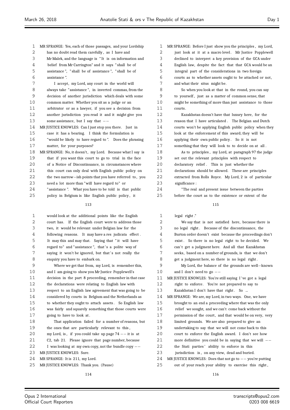| 1  | MR SPRANGE: Yes, each of those passages, and your Lordship |
|----|------------------------------------------------------------|
| 2  | has no doubt read them carefully, as I have and            |
| 3  | Mr Malek, and the language is "It is on information and    |
| 4  | belief from Mr Carrington" and it says "shall be of        |
| 5  | assistance", "shall be of assistance", "shall be of        |
| 6  | assistance".                                               |
| 7  | I accept, my Lord, any court in the world will             |
| 8  | always take "assistance", in inverted commas, from the     |
| 9  | decision of another jurisdiction which deals with some     |
| 10 | common matter. Whether you sit as a judge or an            |
| 11 | arbitrator or as a lawyer, if you see a decision from      |
| 12 | another jurisdiction you read it and it might give you     |
| 13 | some assistance, but I say that $--$                       |
| 14 | MR JUSTICE KNOWLES: Can I just stop you there. Just in     |
| 15 | case it has a bearing. I think the formulation is          |
| 16 | "would be likely to have regard to". Does the phrasing     |
| 17 | matter, for your purposes?                                 |
| 18 | MR SPRANGE: No, it doesn't, my Lord. Because what I say is |
| 19 | that if you want this court to go to trial in the face     |
| 20 | of a Notice of Discontinuance, in circumstances where      |
| 21 | this court can only deal with English public policy on     |
| 22 | the two narrow-ish points that you have referred to, you   |
| 23 | need a lot more than "will have regard to" or              |
| 24 | "assistance". What you have to be told is that public      |

policy in Belgium is like English public policy , it

#### 

 would look at the additional points like the English court has. If the English court were to address those two, it would be relevant under Belgian law for the following reasons. It may have a res judicata effect . It may this and may that. Saying that " it will have 6 regard to" and "assistance", that's a polite way of 7 saying it won't be ignored, but that's not really the enquiry you have to embark on. Where we get that from, my Lord, is remember this, and I am going to show you Mr Justice Popplewell's

 decision in the part 8 proceeding, remember in that case the declarations were relating to English law with respect to an English law agreement that was going to be considered by courts in Belgium and the Netherlands as to whether they ought to attach assets . So English law was fairly and squarely something that those courts were 17 going to have to look at.

 That application failed for a number of reasons, but the ones that are particularly relevant to this , my Lord, is , if you could take up page 74 *−−* it is at C2, tab 21. Please ignore that page number, because I was looking at my own copy, not the bundle copy *−−* 23 MR JUSTICE KNOWLES: Sure.

MR SPRANGE: It is 211, my Lord.

MR JUSTICE KNOWLES: Thank you. (Pause)

 MR SPRANGE: Before I just show you the principles , my Lord, 2 just look at it at a macro level. Mr Justice Popplewell declined to interpret a key provision of the GCA under English law, despite the fact that that GCA would be an integral part of the considerations in two foreign courts as to whether assets ought to be attached or not, and what their situs might be. So when you look at that in the round, you can say 9 to yourself, just as a matter of common sense, that might be something of more than just assistance to those 11 courts. Kazakhstan doesn't have that luxury here, for the reason that I have articulated . The Belgian and Dutch courts won't be applying English public policy when they look at the enforcement of this award; they will be applying their own public policy . So it is not something that they will look to to decide on at all .

 As to principles , my Lord, at paragraph 97 the judge set out the relevant principles with respect to declaratory relief . This is just whether the declarations should be allowed. These are principles extracted from Rolls Royce. My Lord, 2 is of particular significance :

 "The real and present issue between the parties before the court as to the existence or extent of the

| 1  | legal right."                                               |
|----|-------------------------------------------------------------|
| 2  | We say that is not satisfied here, because there is         |
| 3  | no legal right. Because of the discontinuance, the          |
| 4  | Burton order doesn't exist because the proceedings don't    |
| 5  | exist. So there is no legal right to be decided. We         |
| 6  | can't get a judgment here. And all that Kazakhstan          |
| 7  | seeks, based on a number of grounds, is that we don't       |
| 8  | get a judgment here, so there is no legal right.            |
| 9  | My Lord, the balance of the grounds are well-known          |
| 10 | and I don't need to go $--$                                 |
| 11 | MR JUSTICE KNOWLES: You're still saying I've got a legal    |
| 12 | right to enforce. You're not prepared to say to             |
| 13 | Kazakhstan I don't have that right. So                      |
| 14 | MR SPRANGE: We are, my Lord, in two ways. One, we have      |
| 15 | brought to an end a proceeding where that was the only      |
| 16 | relief we sought, and we can't come back without the        |
| 17 | permission of the court, and that would be on very, very    |
| 18 | limited grounds. We are also prepared to give an            |
| 19 | undertaking to say that we will not come back to this       |
| 20 | court to enforce the English award. I don't see how         |
| 21 | more definitive you could be in saying that we will $-$     |
| 22 | the Stati parties' ability to enforce in this               |
| 23 | jurisdiction is, on any view, dead and buried.              |
| 24 | MR JUSTICE KNOWLES: Does that not go to $--$ you're putting |
| 25 | out of your reach your ability to exercise this right,      |
|    | 116                                                         |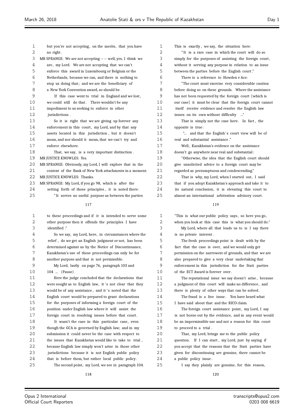| 1  | but you're not accepting, on the merits, that you have      | 1  | This is exactly, we say, the situation here:             |
|----|-------------------------------------------------------------|----|----------------------------------------------------------|
| 2  | no right.                                                   | 2  | "It is a rare case in which the court will do so         |
| 3  | MR SPRANGE: We are not accepting $--$ well, yes, I think we | 3  | simply for the purposes of assisting the foreign court,  |
| 4  | are, my Lord. We are not accepting that we can't            | 4  | without it serving any purpose in relation to an issue   |
| 5  | enforce this award in Luxembourg or Belgium or the          | 5  | between the parties before the English court."           |
| 6  | Netherlands, because we can, and there is nothing to        | 6  | There is a reference to Howden v Ace:                    |
| 7  | stop us doing that; and we are the beneficiary of           | 7  | "The court must exercise very considerable caution       |
| 8  | a New York Convention award, so should be.                  | 8  | before doing so on these grounds. Where the assistance   |
| 9  | If this case went to trial in England and we lost,          | 9  | has not been requested by the foreign court [which is    |
| 10 | we could still do that. There wouldn't be any               | 10 | our case] it must be clear that the foreign court cannot |
| 11 | impediment to us seeking to enforce in other                | 11 | itself receive evidence and resolve the English law      |
| 12 | jurisdictions.                                              | 12 | issues on its own without difficulty "                   |
| 13 | So it is right that we are giving up forever any            | 13 | That is simply not the case here. In fact, the           |
| 14 | enforcement in this court, my Lord, and by that any         | 14 | opposite is true:                                        |
| 15 | assets located in this jurisdiction, but it doesn't         | 15 | " and that the English's court view will be of           |
| 16 | mean, and nor should it mean, that we can't try and         | 16 | real and substantial assistance."                        |
| 17 | enforce elsewhere.                                          | 17 | Well, Kazakhstan's evidence on the assistance            |
| 18 | That, we say, is a very important distinction.              | 18 | doesn't go anywhere near real and substantial:           |
| 19 | MR JUSTICE KNOWLES: Yes.                                    | 19 | "Otherwise, the idea that the English court should       |
| 20 | MR SPRANGE: Obviously, my Lord, I will explore that in the  | 20 | give unsolicited advice to a foreign court may be        |
| 21 | context of the Bank of New York attachments in a moment.    | 21 | regarded as presumptuous and condescending."             |
| 22 | MR JUSTICE KNOWLES: Thanks.                                 | 22 | That is why, my Lord, when I started out, I said         |
| 23 | MR SPRANGE: My Lord, if you go 98, which is after the       | 23 | that if you adopt Kazakhstan's approach and take it to   |
| 24 | setting forth of those principles, it is noted there:       | 24 | its natural conclusion, it is elevating this court to    |
| 25 | "It serves no useful purpose as between the parties         | 25 | almost an international arbitration advisory court.      |
|    | 117                                                         |    | 119                                                      |
|    |                                                             |    |                                                          |
| 1  | to these proceedings and if it is intended to serve some    | 1  | "This is what our public policy says, so here you go,    |
| 2  | other purpose then it offends the principles I have         | 2  | when you look at this case this is what you should do."  |
| 3  | identified."                                                | 3  | My Lord, where all that leads us to is I say there       |
| 4  | So we say, my Lord, here, in circumstances where the        | 4  | is no private interest.                                  |
| 5  | relief, do we get an English judgment or not, has been      | 5  | The fresh proceedings point is dealt with by the         |
| 6  | determined against us by the Notice of Discontinuance,      | 6  | fact that the case is over, and we would only get        |
| 7  | Kazakhstan's use of these proceedings can only be for       | 7  | permission on the narrowest of grounds, and that we are  |
| 8  | another purpose and that is not permissible.                | 8  | also prepared to give a very clear undertaking that      |
| 9  | My Lord, lastly on page 76, paragraph 103 and               | 9  | enforcement in this jurisdiction for the Stati parties   |
| 10 | 104  (Pause)                                                | 10 | of the ECT Award is forever over.                        |
| 11 | Here the judge concluded that the declarations that         | 11 | The reputational issue we say doesn't arise, because     |
| 12 | were sought as to English law, it's not clear that they     | 12 | a judgment of this court will make no difference, and    |
| 13 | would be of any assistance, and it's noted that the         | 13 | there is plenty of other ways that can be solved.        |
| 14 | English court would be prepared to grant declarations       | 14 | The fraud is a live issue. You have heard what           |
| 15 | for the purposes of informing a foreign court of the        | 15 | I have said about that and the RICO claim.               |
| 16 | position under English law where it will assist the         | 16 | The foreign court assistance point, my Lord, I say       |
| 17 | foreign court in resolving issues before that court.        | 17 | is not borne out by the evidence, and in any event would |
| 18 | It wasn't the case in this particular case, even            | 18 | be an impermissible use and not a reason for this court  |
| 19 | though the GCA is governed by English law; and in my        | 19 | to proceed to a trial.                                   |
| 20 | submission it could never be the case with respect to       | 20 | That, my Lord, brings me to the public policy            |
| 21 | the issues that Kazakhstan would like to take to trial,     | 21 | question. If I can start, my Lord, just by saying if     |
| 22 | because English law simply won't arise in those other       | 22 | you accept that the reasons that the Stati parties have  |
|    |                                                             |    |                                                          |
| 23 | jurisdictions because it is not English public policy       | 23 | given for discontinuing are genuine, there cannot be     |

24 that is before them, but rather local public policy . 25 The second point, my Lord, we see in paragraph 104.

25 I say they plainly are genuine, for this reason,

24 a public policy issue .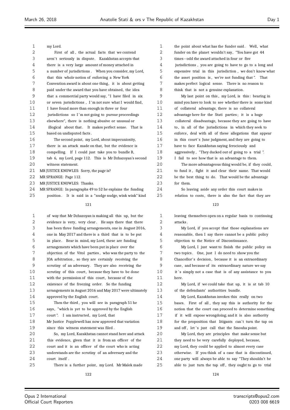| 1  | my Lord.                                                   |
|----|------------------------------------------------------------|
| 2  | First of all, the actual facts that we contend             |
| 3  | aren't seriously in dispute. Kazakhstan accepts that       |
| 4  | there is a very large amount of money attached in          |
| 5  | a number of jurisdictions. When you consider, my Lord,     |
| 6  | that this whole notion of enforcing a New York             |
| 7  | Convention award is about one thing, it is about getting   |
| 8  | paid under the award that you have obtained, the idea      |
| 9  | that a commercial party would say, "I have filed in six    |
| 10 | or seven jurisdictions, I'm not sure what I would find,    |
| 11 | I have found more than enough in three or four             |
| 12 | jurisdictions so I'm not going to pursue proceedings       |
| 13 | elsewhere", there is nothing abusive or unusual or         |
| 14 | illogical about that. It makes perfect sense. That is      |
| 15 | based on undisputed facts.                                 |
| 16 | The second point, my Lord, about impecuniosity,            |
| 17 | there is an attack made on that, but the evidence is       |
| 18 | compelling. If I could just take you to bundle B,          |
| 19 | tab 6, my Lord, page 112. This is Mr Dzhazoyan's second    |
| 20 | witness statement.                                         |
| 21 | MR JUSTICE KNOWLES: Sorry, the page is?                    |
| 22 | MR SPRANGE: Page 112.                                      |
| 23 | MR JUSTICE KNOWLES: Thanks.                                |
| 24 | MR SPRANGE: In paragraphs 49 to 52 he explains the funding |
| 25 | position. It is said in a "nudge nudge, wink wink" kind    |
|    |                                                            |

 of way that Mr Dzhazoyan is making all this up, but the 2 evidence is very, very clear. He says there that there has been three funding arrangements, one in August 2016, one in May 2017 and there is a third that is to be put in place . Bear in mind, my Lord, these are funding arrangements which have been put in place over the objection of the Vitol parties , who was the party to the JOA arbitration , so they are certainly receiving the scrutiny of an adversary. They are also receiving the 10 scrutiny of this court, because they have to be done 11 with the permission of this court, because of the existence of the freezing order. So the funding arrangements in August 2016 and May 2017 were ultimately approved by the English court . Then the third , you will see in paragraph 51 he says , "which is yet to be approved by the English court ". I am instructed, my Lord, that Mr Justice Popplewell has now approved that variation since this witness statement was filed . So, my Lord, Kazakhstan cannot stand here and attack this evidence, given that it is from an officer of the court and it is an officer of the court who is acting understands are the scrutiny of an adversary and the court itself . 25 There is a further point, my Lord. Mr Malek made

1 the point about what has the funder said. Well, what funder on the planet wouldn't say, "You have got 44 times*−*odd the award attached in four or five jurisdictions , you are going to have to go to a long and expensive trial in this jurisdiction , we don't know what the asset position is , we're not funding that ". That makes perfect logical sense. There is no reason to think that is not a genuine explanation. My last point on this , my Lord, is this : bearing in mind you have to look to see whether there is some kind of collateral advantage, there is no collateral advantage here for the Stati parties ; it is a huge collateral disadvantage, because they are going to have to , in all of the jurisdictions in which they seek to enforce, deal with all of these allegations that appear 16 in this court's June judgment, and they are going to have to face Kazakhstan saying ferociously and aggressively , "They ducked out of going to a trial ". I fail to see how that is an advantage to them.

 The more advantageous thing would be, if they could, 21 to fund it, fight it and clear their name. That would be the best thing to do. That would be the advantage for them.

 So leaving aside any order this court makes in relation to costs , there is also the fact that they are

#### 

 leaving themselves open on a regular basis to continuing attacks .

 My Lord, if you accept that those explanations are reasonable, then I say there cannot be a public policy objection to the Notice of Discontinuance.

 My Lord, I just want to finish the public policy on two topics . One, just I do need to show you the 8 Chancellor's decision, because it is an extraordinary case, and because of its extraordinary nature we say 10 it's simply not a case that is of any assistance to you here.

 My Lord, if we could take that up, it is at tab 10 of the defendants' authorities bundle.

 My Lord, Kazakhstan invokes this really on two bases. First of all , they say this is authority for the notion that the court can proceed to determine something if it will expose wrongdoing; and it is also authority 18 for the proposition that litigants can't turn the tap on 19 and off, let's just call that the Smouha point.

 My Lord, they are principles that make sense but they need to be very carefully deployed, because, my Lord, they could be applied to almost every case otherwise. If you think of a case that is discontinued, one party will always be able to say "They shouldn't be 25 able to just turn the tap off, they ought to go to trial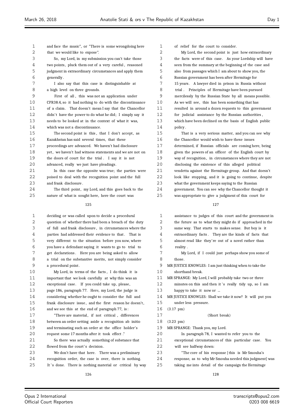$\equiv$ 

| 1  | and face the music", or "There is some wrongdoing here     | 1  | O              |
|----|------------------------------------------------------------|----|----------------|
| 2  | that we would like to expose".                             | 2  |                |
| 3  | So, my Lord, in my submission you can't take those         | 3  | tŀ             |
| 4  | two points, pluck them out of a very careful, reasoned     | 4  | S6             |
| 5  | judgment in extraordinary circumstances and apply them     | 5  | al             |
| 6  | generally.                                                 | 6  | R              |
| 7  | I also say that this case is distinguishable at            | 7  | 1              |
| 8  | a high level on three grounds.                             | 8  | t.             |
| 9  | First of all, this was not an application under            | 9  | m              |
| 10 | CPR38.4, so it had nothing to do with the discontinuance   | 10 | A              |
| 11 | of a claim. That doesn't mean I say that the Chancellor    | 11 | $r\epsilon$    |
| 12 | didn't have the power to do what he did; I simply say it   | 12 | fc             |
| 13 | needs to be looked at in the context of what it was,       | 13 | W              |
| 14 | which was not a discontinuance.                            | 14 | p              |
| 15 | The second point is this, that I don't accept, as          | 15 |                |
| 16 | Kazakhstan has said several times, that these              | 16 | tŀ             |
| 17 | proceedings are advanced. We haven't had disclosure        | 17 | d              |
| 18 | yet, we haven't had witness statements and we are not on   | 18 | gi             |
| 19 | the doors of court for the trial. I say it is not          | 19 | W              |
| 20 | advanced, really we just have pleadings.                   | 20 | d              |
| 21 | In this case the opposite was true; the parties were       | 21 | V(             |
| 22 | poised to deal with the recognition point and the full     | 22 | lo             |
| 23 | and frank disclosure.                                      | 23 | W              |
| 24 | The third point, my Lord, and this goes back to the        | 24 | g              |
| 25 | nature of what is sought here, here the court was          | 25 | W              |
|    | 125                                                        |    |                |
| 1  | deciding or was called upon to decide a procedural         | 1  | a:             |
| 2  | question of whether there had been a breach of the duty    | 2  | tŀ             |
| 3  | of full and frank disclosure, in circumstances where the   | 3  | Sέ             |
| 4  | parties had addressed their evidence to that.<br>That is   | 4  | e <sub>2</sub> |
| 5  | very different to the situation before you now, where      | 5  | al             |
| 6  | you have a defendant saying it wants to go to trial to     | 6  | $\mathbf r$    |
| 7  | get declarations. Here you are being asked to allow        | 7  |                |
| 8  | a trial on the substantive merits, not simply consider     | 8  | tŀ             |
| 9  | a procedural point.                                        | 9  | MR JU          |
| 10 | My Lord, in terms of the facts, I do think it is           | 10 | sł             |
| 11 | important that we look carefully at why this was an        | 11 | MR SF          |
| 12 | exceptional case. If you could take up, please,            | 12 | m              |
| 13 | page 186, paragraph 77. Here, my Lord, the judge is        | 13 | h:             |
| 14 | considering whether he ought to consider the full and      | 14 | MR JU          |
| 15 | frank disclosure issue, and the first reason he doesn't,   | 15 | u.             |
| 16 | and we see this at the end of paragraph 77, is:            | 16 | (3.17)         |
| 17 | "There are material, if not critical, differences          | 17 |                |
| 18 | between an order setting aside a recognition ab initio     | 18 | (3.23)         |
| 19 | and terminating such an order at the office holder's       | 19 | MR SF          |
| 20 | request some 17 months after it took effect."              | 20 |                |
| 21 | So there was actually something of substance that          | 21 | e.             |
| 22 | flowed from the court's decision.                          | 22 | W              |
| 23 | We don't have that here. There was a preliminary           | 23 |                |
| 24 | recognition order, the case is over, there is nothing.     | 24 | re             |
| 25 | It's done.<br>There is nothing material or critical by way | 25 | ta             |
|    |                                                            |    |                |

|  |  |  | of relief for the court to consider. |
|--|--|--|--------------------------------------|

| 2  | My Lord, the second point is just how extraordinary      |
|----|----------------------------------------------------------|
| 3  | the facts were of this case. As your Lordship will have  |
| 4  | seen from the summary at the beginning of the case and   |
| 5  | also from passages which I am about to show you, the     |
| 6  | Russian government has been after Hermitage for          |
| 7  | 15 years. A lawyer died in prison in Russia without      |
| 8  | trial. Principles of Hermitage have been pursued         |
| 9  | mercilessly by the Russian State by all means possible.  |
| 10 | As we will see, this has been something that has         |
| 11 | resulted in around a dozen requests to this government   |
| 12 | for judicial assistance by the Russian authorities,      |
| 13 | which have been declined on the basis of English public  |
| 14 | policy.                                                  |
| 15 | That is a very serious matter, and you can see why       |
| 16 | the Chancellor would wish to have these issues           |
| 17 | determined, if Russian officials are coming here, being  |
| 18 | given the powers of an officer of the English court by   |
| 19 | way of recognition, in circumstances where they are not  |
| 20 | disclosing the existence of this alleged political       |
| 21 | vendetta against the Hermitage group. And that doesn't   |
| 22 | look like stopping, and it is going to continue, despite |
| 23 | what the government keeps saying to the Russian          |
| 24 | government. You can see why the Chancellor thought it    |
| 25 | was appropriate to give a judgment of this court for     |

| 1  | assistance to judges of this court and the government in  |
|----|-----------------------------------------------------------|
| 2  | the future as to what they might do if approached in the  |
| 3  | same way. That starts to makes sense. But boy is it       |
| 4  | extraordinary facts. They are the kinds of facts that     |
| 5  | almost read like they're out of a novel rather than       |
| 6  | reality.                                                  |
| 7  | My Lord, if I could just perhaps show you some of         |
| 8  | those.                                                    |
| 9  | MR JUSTICE KNOWLES: I am just thinking when to take the   |
| 10 | shorthand break.                                          |
| 11 | MR SPRANGE: My Lord, I will probably take two or three    |
| 12 | minutes on this and then it's really tidy up, so I am     |
| 13 | happy to take it now or                                   |
| 14 | MR JUSTICE KNOWLES: Shall we take it now? It will put you |
| 15 | under less pressure.                                      |
| 16 | $(3.17 \text{ pm})$                                       |
| 17 | (Short break)                                             |
| 18 | $(3.23 \text{ pm})$                                       |
| 19 | MR SPRANGE: Thank you, my Lord.                           |
| 20 | In paragraph 78, I wanted to refer you to the             |
| 21 | exceptional circumstances of this particular case. You    |
| 22 | will see halfway down:                                    |
| 23 | "The core of his response [this is Mr Smouha's            |
| 24 | response, as to why Mr Smouha needed this judgment] was   |
| 25 | taking me into detail of the campaign the Hermitage       |
|    |                                                           |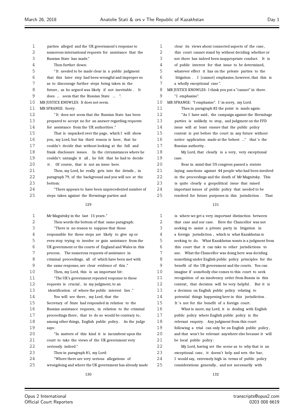| parties alleged and the UK government's response to      | 1  | clear its views about connected aspects of the case,     |
|----------------------------------------------------------|----|----------------------------------------------------------|
| numerous international requests for assistance that the  | 2  | this court cannot stand by without deciding whether or   |
|                                                          | 3  | not there has indeed been inappropriate conduct. It is   |
|                                                          | 4  | of public interest for that issue to be determined,      |
| "It needed to be made clear in a public judgment         | 5  | whatever effect it has on the private parties to the     |
| that this later step had been wrongful and improper so   | 6  | litigation . I [cannot] emphasise, however, that this is |
| as to discourage further steps being taken in the        | 7  | a wholly exceptional case".                              |
| future, as he argued was likely if not inevitable. It    | 8  | MR JUSTICE KNOWLES: I think you put a "cannot" in there. |
| does  seem that the Russian State $\,$ ".                | 9  | "I emphasise".                                           |
|                                                          | 10 | MR SPRANGE: "I emphasise". I'm sorry, my Lord.           |
|                                                          | 11 | Then in paragraph 82 the point is made again:            |
| "It does not seem that the Russian State has been        | 12 | "As I have said, the campaign against the Hermitage      |
| prepared to accept no for an answer regarding requests   | 13 | parties is unlikely to stop, and judgment on the FFD     |
| for assistance from the UK authorities."                 | 14 | issue will at least ensure that the public policy        |
| That is unpacked over the page, which I will show        | 15 | context is put before the court in any future without    |
| you, my Lord, but his third reason is here, that he      | 16 | notice application made at the behest " that's the       |
| couldn't decide that without looking at the full and     | 17 | Russian authority.                                       |
| frank disclosure issues. In the circumstances where he   | 18 | My Lord, that clearly is a very, very exceptional        |
| couldn't untangle it all, he felt that he had to decide  | 19 | case.                                                    |
| it. Of course, that is not an issue here.                | 20 | Bear in mind that US congress passed a statute           |
| Then, my Lord, he really gets into the details, in       | 21 | laying sanctions against 44 people who had been involved |
| paragraph 79, of the background and you will see at the  | 22 | in the proceedings and the death of Mr Magnitsky. This   |
|                                                          | 23 | is quite clearly a geopolitical issue that raised        |
| "There appears to have been unprecedented number of      | 24 | important issues of public policy that needed to be      |
| steps taken against the Hermitage parties and            | 25 | resolved for future purposes in this jurisdiction. That  |
|                                                          |    | 131                                                      |
|                                                          |    |                                                          |
|                                                          | 1  | is where we get a very important distinction between     |
| Then words the bottom of that same paragraph:            | 2  | that case and our case. Here the Chancellor was not      |
| "There is no reason to suppose that those                | 3  | seeking to assist a private party in litigation in       |
| responsible for these steps are likely to give up or     | 4  | a foreign jurisdiction, which is what Kazakhstan is      |
| even stop trying to involve or gain assistance from the  | 5  | seeking to do. What Kazakhstan wants is a judgment from  |
| UK government or the courts of England and Wales in this | 6  | this court that it can take to other jurisdictions to    |
| process. The numerous requests of assistance in          | 7  | use. What the Chancellor was doing here was deciding     |
| criminal proceedings, all of which have been met with    | 8  | something under English public policy principles for the |
| the same response, are clear evidence of this."          | 9  | benefit of the UK government and the courts. You can     |
|                                                          |    |                                                          |

iples for the s You can imagine if somebody else comes to this court to seek recognition of an insolvency order from Russia in this 12 context, that decision will be very helpful. But it is a decision on English public policy relating to potential things happening here in this jurisdiction . 15 It's not for the benefit of a foreign court.

 What is more, my Lord, it is dealing with English public policy where English public policy is the relevant enquiry. Any judgment from this court following a trial can only be on English public policy , and that won't be relevant anywhere else because it will be local public policy :

 My Lord, having set the scene as to why that is an exceptional case, it doesn't help and sets the bar, I would say, extremely high in terms of public policy considerations generally , and not necessarily with

seriously indeed."

Then in paragraph 81, my Lord:

says:

 Then, my Lord, this is an important bit : "The UK's government repeated response to these

 requests is crucial , in my judgment, to an identification of where the public interest lies ." You will see there , my Lord, that the

 Secretary of State had responded in relation to the Russian assistance requests, in relation to the criminal proceedings there, that to do so would be contrary to , among other things, English public policy . As the judge

 "In matters of this kind it is incumbent upon the court to take the views of the UK government very

 wrongdoing and where the UK government has already made 

"Where there are very serious allegations of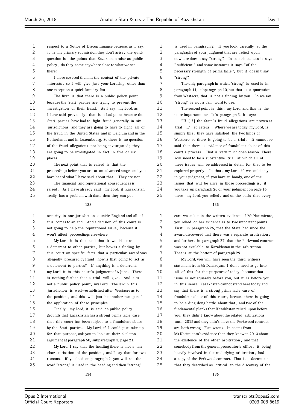respect to a Notice of Discontinuance because, as I say, 2 it is my primary submission they don't arise, the quick question is : the points that Kazakhstan raise as public

- policy , do they come anywhere close to what we see
- there?

 I have covered them in the context of the private interests , so I will give just your Lordship, other than one exception a quick laundry list .

 The first is that there is a public policy point because the Stati parties are trying to prevent the investigation of their fraud. As I say, my Lord, as 12 I have said previously, that is a bad point because the Stati parties have had to fight fraud generally in six 14 jurisdictions and they are going to have to fight all of the fraud in the United States and in Belgium and in the Netherlands and in Luxembourg. So there is no question of the fraud allegations not being investigated ; they are going to be investigated in fact in five or six places .

 The next point that is raised is that the proceedings before you are at an advanced stage, and you 22 have heard what I have said about that. They are not. The financial and reputational consequences is 24 raised. As I have already said, my Lord, if Kazakhstan really has a problem with that, then they can put

 security in one jurisdiction outside England and all of this comes to an end. And a decision of this court is not going to help the reputational issue , because it won't affect proceedings elsewhere.

 My Lord, it is then said that it would act as a deterrent to other parties , but how is a finding by this court on specific facts that a particular award was allegedly procured by fraud, how is that going to act as a deterrent to parties? If anything is a deterrent , 10 my Lord, it is this court's judgment of 6 June. There is nothing further that a trial will give . And it is 12 not a public policy point, my Lord. The law in this jurisdiction is well*−*established after Westacre as to the position, and this will just be another example of the application of those principles .

 Finally , my Lord, it is said on public policy grounds that Kazakhstan has a strong prima facie case that this court has been subject to a fraudulent abuse by the Stati parties . My Lord, if I could just take up for that purpose, ask you to look at their skeleton argument at paragraph 50, subparagraph 3, page 21.

 My Lord, I say that the heading there is not a fair 23 characterisation of the position, and I say that for two reasons. If you look at paragraph 2, you will see the word "strong" is used in the heading and then "strong"

 is used in paragraph 2. If you look carefully at the paragraphs of your judgment that are relied upon, nowhere does it say "strong ". In some instances it says " sufficient " and some instances it says "of the necessary strength of prima facie ", but it doesn't say "strong ".

 The only paragraph in which "strong" is used is in paragraph 11, subparagraph 10, but that is a quartation from Westacre, that is not a finding by you. So we say "strong" is not a fair word to use.

 The second point is this , my Lord, and this is the 12 more important one. It's paragraph 3, it says:

13 "If [if] the State's fraud allegations are proven at 14 trial ..." et cetera. Where we are today, my Lord, is simply this : they have satisfied the two limbs of Westacre, so there is going to be a trial . It cannot be said that there is evidence of fraudulent abuse of this 18 court's process. That is very much open season. There will need to be a substantive trial at which all of 20 these issues will be addressed in detail for that to be 21 explored properly. In that, my Lord, if we could stay in your judgment, if you have it handy, one of the 23 issues that will be alive in those proceedings is, if you take up paragraph 26 of your judgment on page 16, 25 there, my Lord, you relied, and on the basis that every

 care was taken in the written evidence of Ms Nacimiento, you relied on her evidence as to two important points. First , in paragraph 26, that the State had since the award discovered that there was a separate arbitration ; and further , in paragraph 27, that the Perkwood contract was not available to Kazakhstan in the arbitration . That is at the bottom of paragraph 29.

 My Lord, you will have seen the third witness statement from Mr Dzhazoyan. I don't need to go into all of this for the purposes of today, because that issue is not squarely before you, but it is before you in this sense: Kazakhstan cannot stand here today and say that there is a strong prima facie case of fraudulent abuse of this court , because there is going 15 to be a ding dong battle about that, and two of the fundamental planks that Kazakhstan relied upon before 17 you, they didn't know about the related arbitrations until 2015 and they didn't have the Perkwood contract are both wrong. Flat wrong. It seems from Ms Nacimiento's evidence that they knew in 2013 about the existence of the other arbitration , and that somebody from the general prosecutor's office , it being heavily involved in the underlying arbitration , had a copy of the Perkwood contract. That is a document that they described as critical to the discovery of the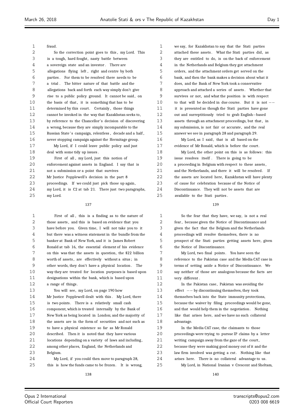| 1              | fraud.                                                   |
|----------------|----------------------------------------------------------|
| $\overline{2}$ | So the correction point goes to this, my Lord. This      |
| 3              | is a tough, hard fought, nasty battle between            |
| 4              | a sovereign state and an investor. There are             |
| 5              | allegations flying left, right and centre by both        |
| 6              | parties. For them to be resolved there needs to be       |
| 7              | a trial. The bitter nature of that battle and the        |
| 8              | allegations back and forth each way simply don't give    |
| 9              | rise to a public policy ground. It cannot be said, on    |
| 10             | the basis of that, it is something that has to be        |
| 11             | determined by this court. Certainly, those things        |
| 12             | cannot be invoked in the way that Kazakhstan seeks to,   |
| 13             | by reference to the Chancellor's decision of discovering |
| 14             | a wrong, because they are simply incomparable to the     |
| 15             | Russian State's campaign, relentless, decade and a half, |
| 16             | never stopping campaign against the Hermitage group.     |
| 17             | My Lord, if I could leave public policy and just         |
| 18             | deal with some tidy up issues.                           |
| 19             | First of all, my Lord, just this notion of               |
| 20             | enforcement against assets in England. I say that is     |
| 21             | not a submission or a point that survives                |
| 22             | Mr Justice Popplewell's decision in the part 8           |
| 23             | proceedings. If we could just pick those up again,       |
| 24             | my Lord, it is C2 at tab 21. There just two paragraphs,  |
| 25             | my Lord.                                                 |

 First of all , this is a finding as to the nature of those assets , and this is based on evidence that you have before you. Given time, I will not take you to it but there was a witness statement in the bundle from the banker at Bank of New York, and it is James Robert Ronald at tab 16, the essential element of his evidence on this was that the assets in question, the \$22 billion worth of assets , are effectively without a situs ; in other words, they don't have a physical location . The way they are treated for location purposes is based upon designations within the bank, which is based upon a range of things . You will see, my Lord, on page 190 how 14 Mr Justice Popplewell dealt with this . My Lord, there is two points. There is a relatively small cash component, which is treated internally by the Bank of New York as being located in London; and the majority of the assets are in the form of securities and not such as to have a physical existence so far as Mr Ronald described. Then it is noted that they have various locations depending on a variety of laws and including , among other places, England, the Netherlands and Belgium. My Lord, if you could then move to paragraph 28, this is how the funds came to be frozen . It is wrong,

 we say, for Kazakhstan to say that the Stati parties 2 attached these assets. What the Stati parties did, as they are entitled to do, is on the back of enforcement in the Netherlands and Belgium they got attachment orders, and the attachment orders get served on the bank, and then the bank makes a decision about what it does, and the Bank of New York took a conservative approach and attached a series of assets . Whether that survives or not, and what the position is with respect to that will be decided in due course. But it is not *−−* it is presented as though the Stati parties have gone out and surreptitiously tried to grab English*−*based 13 assets through an attachment proceedings, but that, in 14 my submission, is not fair or accurate, and the real answer we see in paragraph 28 and paragraph 29. 16 My Lord, as I said, that is all based on the evidence of Mr Ronald, which is before the court . My Lord, the other point on this is as follows: this

 issue resolves itself . There is going to be a proceeding in Belgium with respect to these assets , 21 and the Netherlands, and there it will be resolved. If the assets are located here, Kazakhstan will have plenty of cause for celebration because of the Notice of Discontinuance. They will not be assets that are available to the Stati parties .

#### 13<sup>c</sup>

 So the fear that they have, we say, is not a real fear , because given the Notice of Discontinuance and given the fact that the Belgium and the Netherlands proceedings will resolve themselves, there is no prospect of the Stati parties getting assets here, given the Notice of Discontinuance.

 My Lord, two final points . You have seen the reference to the Pakistan case and the Media CAT case in terms of setting aside a Notice of Discontinuance. We say neither of those are analogous because the facts are very different .

 In the Pakistan case, Pakistan was avoiding the effect *−−* by discontinuing themselves, they took themselves back into the State immunity protections, because the waiver by filing proceedings would be gone, and that would help them in the negotiation . Nothing 17 like that arises here, and we have no such collateral advantage.

 In the Media CAT case, the claimants to those proceedings were trying to pursue IP claims by a letter 21 writing campaign away from the gaze of the court, because they were making good money out of it and the law firm involved was getting a cut . Nothing like that arises here. There is no collateral advantage to us. My Lord, in National Iranian v Crescent and Sheltam,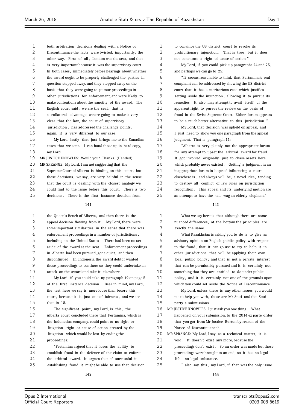| $\mathbf{1}$ | both arbitration decisions dealing with a Notice of      |
|--------------|----------------------------------------------------------|
| 2            | Discontinuance the facts were twisted, importantly, the  |
| 3            | other way. First of all, London was the seat, and that   |
| 4            | is very important because it was the supervisory court.  |
| 5            | In both cases, immediately before hearings about whether |
| 6            | the award ought to be properly challenged the parties in |
| 7            | question stepped away, and they stepped away on the      |
| 8            | basis that they were going to pursue proceedings in      |
| 9            | other jurisdictions for enforcement, and were likely to  |
| 10           | make contentions about the sanctity of the award. The    |
| 11           | English court said: we are the seat, that is             |
| 12           | a collateral advantage, we are going to make it very     |
| 13           | clear that the law, the court of supervisory             |
| 14           | jurisdiction, has addressed the challenge points.        |
| 15           | Again, it is very different to our case.                 |
| 16           | My Lord, lastly that just brings me to the Canadian      |
| 17           | cases that we sent. I can hand those up in hard copy,    |
| 18           | my Lord.                                                 |
| 19           | MR JUSTICE KNOWLES: Would you? Thanks. (Handed)          |
| 20           | MR SPRANGE: My Lord, I am not suggesting that the        |
| 21           | Supreme Court of Alberta is binding on this court, but   |
| 22           | these decisions, we say, are very helpful in the sense   |
| 23           | that the court is dealing with the closest analogy we    |
| 24           | could find to the issue before this court. There is two  |
| 25           | decisions. There is the first instance decision from     |

 the Queen's Bench of Alberta , and then there is the appeal decision flowing from it . My Lord, there were some important similarities in the sense that there was enforcement proceedings in a number of jurisdictions , including in the United States . There had been no set aside of the award at the seat . Enforcement proceedings 7 in Alberta had been pursued, gone quiet, and then discontinued. In Indonesia the award debtor wanted those proceedings to continue so they could undertake an attack on the award and take it elsewhere. My Lord, if you could take up paragraph 19 on page 5 of the first instance decision . Bear in mind, my Lord, the test here we say is more loose than before this 14 court, because it is just one of fairness, and we see that in 18. 16 The significant point, my Lord, is this, the Alberta court concluded there that Pertamina, which is the Indonesian company, could point to no right or litigation right or cause of action created by the litigation which would be lost by ending the proceedings: "Pertamina argued that it loses the ability to establish fraud in the defence of the claim to enforce the arbitral award. It argues that if successful in establishing fraud it might be able to use that decision

 My Lord, if you could pick up paragraphs 24 and 25, and perhaps we can go to 25:

 " It seems reasonable to think that Pertamina's real complaint can be addressed by showing the US district court that it has a meritorious case which justifies setting aside the injunction , allowing it to pursue its remedies. It also may attempt to avail itself of the apparent right to pursue the review on the basis of fraud in the Swiss Supreme Court. Either forum appears to be a much better alternative to this jurisdiction ."

 My Lord, that decision was upheld on appeal, and I just need to show you one paragraph from the appeal judgment. That is paragraph 11:

 "Alberta is very plainly not the appropriate forum 18 for any attempt to upset the arbitral award for fraud. It got involved originally just to chase assets here which probably never existed . Getting a judgment in an inappropriate forum in hope of influencing a court 22 elsewhere is, and always will be, a novel idea, tending to destroy all conflict of law rules on jurisdiction 24 recognition. This appeal and its underlying motion are an attempt to have the tail wag an elderly elephant ."

 What we say here is that although there are some nuanced differences , at the bottom the principles are exactly the same.

 What Kazakhstan is asking you to do is to give an advisory opinion on English public policy with respect to the fraud, that it can go use to try to help it in other jurisdictions that will be applying their own local public policy ; and that is not a private interest that can be permissibly pursued and it is certainly not something that they are entitled to do under public policy , and it is certainly not one of the grounds upon which you could set aside the Notice of Discontinuance. My Lord, unless there is any other issues you would me to help you with, those are Mr Stati and the Stati party's submissions. MR JUSTICE KNOWLES: I just ask you one thing. What happened, on your submission, to the 2014 ex parte order 18 that you got from Mr Justice Burton by reason of the Notice of Discontinuance? MR SPRANGE: My Lord, I say, as a technical matter, it is void. It doesn't exist any more, because the proceedings don't exist . So an order was made but those proceedings were brought to an end, so it has no legal life , no legal substance. I also say this , my Lord, if that was the only issue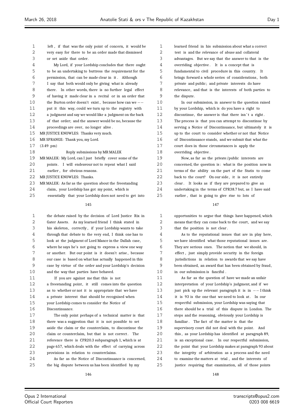| 1  | left, if that was the only point of concern, it would be |              |
|----|----------------------------------------------------------|--------------|
| 2  | very easy for there to be an order made that dismissed   |              |
| 3  | or set aside that order.                                 |              |
| 4  | My Lord, if your Lordship concludes that there ought     |              |
| 5  | to be an undertaking to buttress the requirement for the |              |
| 6  | permission, that can be made clear in it. Although       |              |
| 7  | I say that both would only be giving what is already     |              |
| 8  | there. In other words, there is no further legal effect  |              |
| 9  | of having it made clear in a recital or in an order that |              |
| 10 | the Burton order doesn't exist, because how can we $--$  | $\mathbf{1}$ |
| 11 | put it this way, could we turn up to the registry with   | $\mathbf{1}$ |
| 12 | a judgment and say we would like a judgment on the back  | $\mathbf{1}$ |
| 13 | of that order; and the answer would be no, because the   | $\mathbf{1}$ |
| 14 | proceedings are over, no longer alive.                   | $\mathbf{1}$ |
| 15 | MR JUSTICE KNOWLES: Thanks very much.                    | $\mathbf{1}$ |
| 16 | MR SPRANGE: Thank you, my Lord.                          | $\mathbf{1}$ |
| 17 | $(3.49 \text{ pm})$                                      | $\mathbf{1}$ |
| 18 | Reply submissions by MR MALEK                            | $\mathbf{1}$ |
| 19 | MR MALEK: My Lord, can I just briefly cover some of the  | $\mathbf{1}$ |
| 20 | points. I will endeavour not to repeat what I said       | 2            |
| 21 | earlier, for obvious reasons.                            | 2            |
| 22 | MR JUSTICE KNOWLES: Thanks.                              | 2            |
| 23 | MR MALEK: As far as the question about the freestanding  | 2            |
| 24 | claim, your Lordship has got my point, which is          | 2            |
| 25 | essentially that your Lordship does not need to get into | 2            |

 the debate raised by the decision of Lord Justice Rix in Gater Assets . As my learned friend I think stated in 3 his skeleton, correctly, if your Lordship wants to take through that debate to the very end, I think one has to look at the judgment of Lord Mance in the Dallah case, where he says he's not going to express a view one way or another. But our point is it doesn't arise , because our case is based on what has actually happened in this case by virtue of the order and your Lordship's decision and the way that parties have behaved. If you are against me that this is not 12 a freestanding point, it still comes into the question as to whether or not it is appropriate that we have a private interest that should be recognised when your Lordship comes to consider the Notice of Discontinuance. The only point perhaps of a technical matter is that 18 there was a suggestion that it is not possible to set aside the claim or the counterclaim, to discontinue the 20 claim or counterclaim, but that is not correct. The reference there is CPR20.3 subparagraph 1, which is at page 657, which deals with the effect of carrying across provisions in relation to counterclaims.

 As far as the Notice of Discontinuance is concerned, the big dispute between us has been identified by my

 learned friend in his submission about what a correct test is and the relevance of abuse and collateral advantages. But we say that the answer to that is the overriding objective . It is a concept that is fundamental to civil procedure in this country. It brings forward a whole series of considerations , both private and public; and private interests do have relevance, and that is the interests of both parties to the dispute. In our submission, in answer to the question raised by your Lordship, which is do you have a right to 12 discontinue, the answer is that there isn't a right. The process is that you can attempt to discontinue by

 serving a Notice of Discontinuance, but ultimately it is up to the court to consider whether or not that Notice of Discontinuance stands, and we submit that what the court does in those circumstances is apply the overriding objective .

 Now, as far as the private/public interests are concerned, the question is : what is the position now in terms of the ability on the part of the Statis to come 22 back to the court? On our side, it is not entirely clear . It looks as if they are prepared to give an undertaking in the terms of CPR38.7 but, as I have said earlier , that is going to give rise to lots of

#### 

 opportunities to argue that things have happened, which 2 means that they can come back to the court, and we say that the position is not clear .

 As to the reputational issues that are in play here, we have identified what those reputational issues are . They are serious ones. The notion that we should, in effect , just simply provide security in the foreign 8 jurisdictions in relation to awards that we say have been obtained, an award that has been obtained by fraud, in our submission is fanciful .

 As far as the question of have we made an unfair interpretation of your Lordship's judgment, and if we just pick up the relevant paragraph it is in *−−* I think it is 93 is the one that we need to look at. In our respectful submission, your Lordship was saying that there should be a trial of this dispute in London. The steps and the reasoning, obviously your Lordship is familiar . The fact of the matter is that the 19 supervisory court did not deal with the point. And this , as your Lordship has identified at paragraph 89, is an exceptional case. In our respectful submission, the point that your Lordship makes at paragraph 93 about the integrity of arbitration as a process and the need to examine the matters at trial , and the interests of justice requiring that examination, all of those points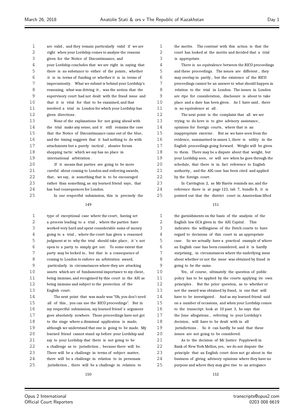- are valid , and they remain particularly valid if we are right when your Lordship comes to analyse the reasons given for the Notice of Discontinuance, and
- your Lordship concludes that we are right in saying that
- 5 there is no substance to either of the points, whether
- it is in terms of funding or whether it is in terms of
- impecuniosity. What we submit is behind your Lordship's reasoning, what was driving it , was the notion that the
- supervisory court had not dealt with the fraud issue and that it is vital for that to be examined, and that
- involved a trial in London for which your Lordship has given directions .
- None of the explanations for not going ahead with the trial make any sense, and it still remains the case that the Notice of Discontinuance came out of the blue, and the timing suggests that it had nothing to do with attachments but a purely tactical , abusive forum shopping tactic which we say has no place in
- international arbitration .
- If it means that parties are going to be more careful about coming to London and enforcing awards, 22 that, we say, is something that is to be encouraged 23 rather than something, as my learned friend says, that has bad consequences for London.
- In our respectful submission, this is precisely the

1 type of exceptional case where the court, having set a process leading to a trial , where the parties have worked very hard and spent considerable sums of money going to a trial , where the court has given a reasoned 5 judgment at to why the trial should take place, it's not open to a party to simply get out. To some extent that party may be locked in , but that is a consequence of coming to London to enforce an arbitration award, particularly in circumstances where they are attacking assets which are of fundamental importance to my client , being immune, and recognised by this court in the AIG as being immune and subject to the protection of the 13 English court.

 The next point that was made was "Oh, you don't need all of this , you can use the RICO proceedings". But in 16 my respectful submission, my learned friend's argument goes absolutely nowhere. Those proceedings have not got to the stage where a dismissal application is made, although we understand that one is going to be made. My learned friend cannot stand up before your Lordship and say to your Lordship that there is not going to be a challenge as to jurisdiction , because there will be. There will be a challenge in terms of subject matter, there will be a challenge in relation to in personam jurisdiction , there will be a challenge in relation to

 the merits. The contrast with this action is that the court has looked at the merits and decided that a trial is appropriate.

 There is no equivalence between the RICO proceedings and these proceedings. The issues are different , they may overlap in partly , but the existence of the RICO proceedings cannot be an answer to what should happen in relation to the trial in London. The issues in London 9 are ripe for consideration, disclosure is about to take 10 place and a date has been given. As I have said, there 11 is no equivalence at all.

 The next point is the complaint that all we are trying to do here is to give advisory assistance , 14 opinions for foreign courts, where that is an inappropriate exercise . But as we have seen from the evidence, summarised in annex 1, there is utility in the English proceedings going forward. Weight will be given to them. There may be a dispute about that weight, but your Lordship sees, or will see when he goes through the schedule, that there is in fact reference to English 21 authority, and the AIG case has been cited and applied 22 by the foreign court.

 In Carrington 2, as Mr Harris reminds me, and the reference there is at page 123, tab 7, bundle B, it is pointed out that the district court in Amsterdam lifted

### 

 the garnishments on the basis of the analysis of the 2 English law GCA given in the AIG Capital. This indicates the willingness of the Dutch courts to have regard to decisions of this court in an appropriate case. So we actually have a practical example of where an English case has been considered; and it is hardly 7 surprising, in circumstances where the underlying issue about whether or not the issue was obtained by fraud is going to be the same.

 Yes, of course, ultimately the question of public policy has to be applied by the courts applying its own principles . But the prior question, as to whether or not the award was obtained by fraud, is one that will have to be investigated . And as my learned friend said on a number of occasions, and when your Lordship comes to the transcript look at 10 past 3, he says that the June allegations , referring to your Lordship's 18 decision, will have to be dealt with in all jurisdictions . So it can hardly be said that these issues are not going to be considered.

 As to the decision of Mr Justice Popplewell in Bank of New York Mellon, yes, we do not dispute the principle that an English court does not go about in the business of giving advisory opinions where they have no purpose and where they may give rise to an arrogance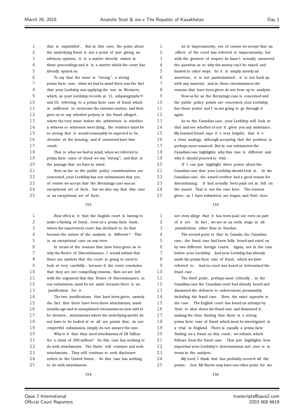- that is unjustified . But in this case, the point about the underlying fraud is not a point of just giving an advisory opinion, it is a matter directly raised in these proceedings and it is a matter which the court has
- already opined on.
- To say that the issue is "strong ", a strong prima facie case, what we had in mind there was the fact 8 that your Lordship was applying the test in Westacre, which, as your Lordship records at 11, subparagraphs 9 and 10, referring to a prima facie case of fraud which is sufficient to overcome the extreme caution, and then goes on to say whether perjury is the fraud alleged , where the very issue before the arbitrators is whether a witness or witnesses were lying , the evidence must be so strong that it would reasonably be expected to be decisive of the hearing, and if answered have that result .

 That is what we had in mind, when we referred to prima facie cases of fraud we say "strong ", and that is the passage that we have in mind.

 Now, as far as the public policy considerations are concerned, your Lordship has our submissions that yes, of course we accept that the Hermitage case was an exceptional set of facts , but we also say that this case is an exceptional set of facts .

#### 

 How often is it that the English court is having to make a finding of fraud, even on a prima facie basis , where the supervisory court has declined to do that 4 because the nature of the analysis is different? This is an exceptional case on any view.

 In terms of the reasons that have been given as to why the Notice of Discontinuance, I would submit that those are matters that the court is going to need to look at very carefully ; because if the court concludes that they are not compelling reasons, then we are left with the argument that this Notice of Discontinuance, in our submission, must be set aside because there is no 13 justification for it.

 The two justifications that have been given, namely the fact that there have been these attachments, made months ago and in unexplained circumstances now said to be decisive , attachments where the underlying merits do 18 not have to be looked at at all are points that, in our respectful submission, simply do not answer the case.

 Why is it that they need attachments of 28 billion for a claim of 500 million? So this case has nothing to do with attachments. The Statis will continue and seek attachments. They will continue to seek disclosure orders in the United States . So this case has nothing to do with attachments.

 As to impecuniosity, yes of course we accept that an officer of the court has referred to impecuniosity, but with the greatest of respect he hasn't actually answered the question as to why the money can't be raised and funded in other ways. So it is simply merely an assertion , it is not particularised , it is not back up 7 with any material, and in those circumstances the reasons that have been given do not bear up to analysis .

 Now as far as the Hermitage case is concerned and the public policy points are concerned, your Lordship has those points and I 'm not going to go through it again.

 As to the Canadian case, your Lordship will look at that and see whether or not it gives you any assistance . 15 My learned friend says it 's very helpful, that it 's a close analogy, although accepting that the position is perhaps more nuanced. But in our submission the Canadian case highlights why this case is different and why it should proceed to trial .

20 If I can just highlight three points about the 21 Canadian case that your Lordship should look at. In the Canadian case, the award creditor had a good reason for 23 discontinuing. It had actually been paid out in full on the award. That is not the case here. The reasons 25 given, as I have submitted, are bogus, and Stati does

#### 

 not even allege that it has been paid out even on part 2 of it yet. In fact, we are at an early stage in all jurisdictions other than in Sweden.

 The second point is that in Canada, the Canadian case, the fraud case had been fully heard and ruled on by two different foreign courts . Again, not in the case before your Lordship. And your Lordship has already made the prima facie case of fraud, which we have referred to . And no court has heard or determined the fraud case.

11 The third point, perhaps most critically, in the Canadian case the Canadian court had already heard and dismissed the defences to enforcement, presumably including the fraud case. Here, the exact opposite is the case. The English court has heard an attempt by Stati to shut down the fraud case and dismissed it , making the clear finding that there is a strong prima facie case of fraud which must be investigated at a trial in England. There is equally a prima facie 20 finding on a fraud on this court, we submit, which follows from the fraud case. That just highlights how important your Lordship's determination last year is in terms in the analysis .

 My Lord, I think that has probably covered all the 25 points. Just Mr Harris may have one other point for me.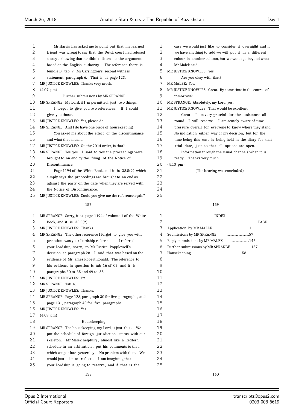| $\mathbf{1}$ | Mr Harris has asked me to point out that my learned        |
|--------------|------------------------------------------------------------|
| 2            | friend was wrong to say that the Dutch court had refused   |
| 3            | a stay, showing that he didn't listen to the argument      |
| 4            | based on the English authority. The reference there is     |
| 5            | bundle B, tab 7, Mr Carrington's second witness            |
| 6            | statement, paragraph 6. That is at page 123.               |
| 7            | MR JUSTICE KNOWLES: Thanks very much.                      |
| 8            | $(4.07 \text{ pm})$                                        |
| 9            | Further submissions by MR SPRANGE                          |
| 10           | MR SPRANGE: My Lord, if I'm permitted, just two things.    |
| 11           | I forgot to give you two references.<br>If I could         |
| 12           | give you those.                                            |
| 13           | MR JUSTICE KNOWLES: Yes, please do.                        |
| 14           | MR SPRANGE: And I do have one piece of housekeeping.       |
| 15           | You asked me about the effect of the discontinuance        |
| 16           | and what that meant.                                       |
| 17           | MR JUSTICE KNOWLES: On the 2014 order, is that?            |
| 18           | MR SPRANGE: Yes, yes. I said to you the proceedings were   |
| 19           | brought to an end by the filing of the Notice of           |
| 20           | Discontinuance.                                            |
| 21           | Page 1194 of the White Book, and it is 38.5(2) which       |
| 22           | simply says the proceedings are brought to an end as       |
| 23           | against the party on the date when they are served with    |
| 24           | the Notice of Discontinuance.                              |
| 25           | MR JUSTICE KNOWLES: Could you give me the reference again? |

| 1  | MR SPRANGE: Sorry, it is page 1194 of volume 1 of the White |
|----|-------------------------------------------------------------|
| 2  | Book, and it is 38.5(2).                                    |
| 3  | MR JUSTICE KNOWLES: Thanks.                                 |
| 4  | MR SPRANGE: The other reference I forgot to give you with   |
| 5  | precision was your Lordship referred $--$ I referred        |
| 6  | your Lordship, sorry, to Mr Justice Popplewell's            |
| 7  | decision at paragraph 28. I said that was based on the      |
| 8  | evidence of Mr James Robert Ronald. The reference to        |
| 9  | his evidence in question is tab 16 of C2, and it is         |
| 10 | paragraphs 30 to 35 and 49 to 55.                           |
| 11 | MR JUSTICE KNOWLES: C2.                                     |
| 12 | MR SPRANGE: Tab 16.                                         |
| 13 | MR JUSTICE KNOWLES: Thanks.                                 |
| 14 | MR SPRANGE: Page 128, paragraph 30 for five paragraphs, and |
| 15 | page 131, paragraph 49 for five paragraphs.                 |
| 16 | MR JUSTICE KNOWLES: Yes.                                    |
| 17 | $(4.09 \text{ pm})$                                         |
| 18 | Housekeeping                                                |
| 19 | MR SPRANGE: The house keeping, my Lord, is just this. We    |
| 20 | put the schedule of foreign jurisdiction status with our    |
| 21 | skeleton. Mr Malek helpfully, almost like a Redfern         |
| 22 | schedule in an arbitration, put his comments to that,       |
| 23 | which we got late yesterday. No problem with that. We       |
| 24 | would just like to reflect. I am imagining that             |
| 25 | your Lordship is going to reserve, and if that is the       |
|    |                                                             |

| 1    | case we would just like to consider it overnight and if  |
|------|----------------------------------------------------------|
| 2    | we have anything to add we will put it in a different    |
| 3    | colour in another column, but we won't go beyond what    |
| 4    | Mr Malek said.                                           |
| 5    | MR JUSTICE KNOWLES: Yes.                                 |
| 6    | Are you okay with that?                                  |
| 7    | MR MALEK: Yes.                                           |
| 8    | MR JUSTICE KNOWLES: Great. By some time in the course of |
| 9    | tomorrow?                                                |
| 10   | MR SPRANGE: Absolutely, my Lord, yes.                    |
| 11   | MR JUSTICE KNOWLES: That would be excellent.             |
| 12   | Great. I am very grateful for the assistance all         |
| 13   | round. I will reserve. I am acutely aware of time        |
| 14   | pressure overall for everyone to know where they stand.  |
| 15   | No indication either way of my decision, but for the     |
| 16   | time being this case is being held in the diary for that |
| 17   | trial date, just so that all options are open.           |
| 18   | Information through the usual channels when it is        |
| 19   | ready. Thanks very much.                                 |
| 20   | $(4.10 \text{ pm})$                                      |
| 21   | (The hearing was concluded)                              |
| 2.2. |                                                          |
| 23   |                                                          |

# 

# INDEX

- PAGE Application by MR MALEK ..............................1
- Submissions by MR SPRANGE ...........................57
- Reply submissions by MR MALEK ......................145
- Further submissions by MR SPRANGE ..................157
- Housekeeping .......................................158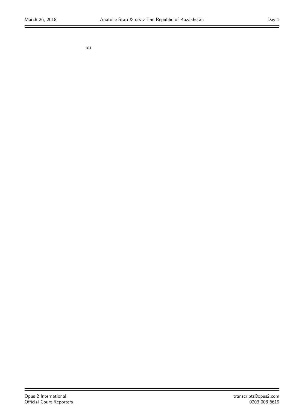$\equiv$ 

161

 $\equiv$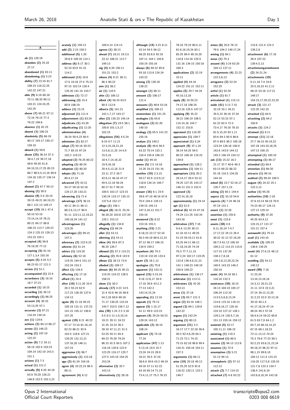**A ab (1)** 126:18 **abandon (2)** 25:18  $27.17$ **abandoned (1)** 83:11 **abandoning (1)** 5:23 **ability (7)** 23:16 81:7 108:23 116:22,25 142:22 147:21 **able (9)** 6:18 60:18 75:11 88:20 90:11 103:21 124:24,25 142:25 **above (7)** 66:21 67:11 72:16 76:15 77:3 79:22 109:6 **absence (1)** 81:23 **absent (1)** 106:23 **absolutely (5)** 66:19 90:17 103:17 150:17 159:10 **absurd (1)** 59:6 **abuse (25)** 36:14 37:3 38:4,7,19 39:17,18 48:6 49:20 51:8 84:10,15,17,25 85:23 86:7 88:5,5,13,16 90:9 134:18 135:17 136:14 147:2 **abused (2)** 47:7 50:13 **abusing (1)** 50:5 **abusive (9)** 5:4 20:19 39:15 49:21 84:19,23 88:1 121:13 149:17 **accept (19)** 24:1 47:4 50:10 53:10 73:14,14,19 78:21 80:21 84:17 86:8 106:23 113:7 120:22 124:3 125:15 129:13 153:23 155:1 **accepted (4)** 56:8 76:18,20 77:12 **accepting (5)** 91:10 117:1,3,4 155:16 **accepts (5)** 4:24 5:2 66:23 81:17 121:3 **access (1)** 51:1 **accompanied (1)** 22:4 **accordance (3)** 16:10 18:7 27:23 **accorded (1)** 18:15 **according (1)** 36:13 **accordingly (1)** 66:25 **account (4)** 30:10 53:13,25 57:1 **accurate (3)** 97:21 110:24 139:14 **ace (1)** 119:6 **achieve (2)** 84:13 86:17 **across (1)** 146:22 **acting (2)** 107:19 122:22 **action (9)** 7:2 24:11 56:19 102:4 103:23 104:14 142:19 143:3 151:1 **actions (1)** 7:3 **actual (1)** 121:2 **actually (9)** 6:20 34:18 63:9 70:20 126:21 146:8 152:5 155:3,23

**acutely (1)** 159:13 **add (2)** 2:15 159:2 **additional (5)** 1:20 29:8,9 109:16 114:1 **address (6)** 8:17 30:1 52:10 83:6 91:15 114:2 **addressed (11)** 16:6 17:5 19:18 27:4 75:13 97:15 103:14 126:4 135:20 141:14 143:7 **addresses (1)** 72:17 **addressing (3)** 15:4 80:9 108:19 **adduce (1)** 23:15 **adjourned (1)** 111:4 **adjournment (1)** 83:24 **adjudicate (1)** 43:20 **adjudicating (1)** 12:20 **administration (4)** 38:24 50:4,23 60:5 **admission (1)** 82:17 **adopt (7)** 50:16 59:23 71:7 85:15 97:24 102:2 119:23 **adopted (2)** 76:25 80:22 **adopting (1)** 80:24 **adoption (1)** 80:20 **adopts (4)** 71:16 80:4,17,19 **advanced (7)** 42:21 54:17 59:16 62:16 125:17,20 133:21 **advancing (1)** 71:4 **advantage (17)** 36:15 40:11 84:11 86:11 88:2,6,13,17 90:9 91:11 123:11,12,19,22 140:18,24 141:12 **advantageous (1)** 123:20 **advantages (2)** 99:15 147:3 **adversary (2)** 122:9,23 **adverse (1)** 51:14 **advice (1)** 119:20 **advisory (6)** 52:18 119:25 144:5 151:13 152:24 153:3 **affect (1)** 134:4 **affecting (1)** 17:16 **afford (1)** 24:4 **after (10)** 5:11,20 10:4 26:3 55:23 62:9 117:23 126:20 127:6 134:13 **again (9)** 21:18 49:23 105:19 131:11 137:23 141:15 155:12 156:6 157:25 **against (19)** 8:21 40:22 57:17 72:10 81:16,19 82:23 86:21 92:9 102:5 118:6 127:21 129:25 131:12,21 137:16,20 146:11 157:23 **aggressive (1)** 98:7 **aggressively (1)** 123:18 **ago (2)** 61:24 154:16 **agree (4)** 33:22,23 86:5 89:11 **agreement (4)** 6:12

109:4,14 114:13 **agrees (1)** 38:13 **ahead (7)** 18:21 19:3,5 23:12 106:21 112:7 149:13 **aig (4)** 6:20 150:11 151:21 152:2 **aikens (4)** 6:21 38:11 86:3 90:22 **aim (1)** 38:2 **air (1)** 110:5 **akin (1)** 106:12 **albeit (4)** 56:24 63:5 80:5 112:6 **alberta (5)** 141:21 142:1,7,17 143:17 **alive (2)** 135:23 145:14 **allegation (7)** 19:5 58:1 100:8,101:1,5,17 102:15 **allegations (54)** 4:5,24 8:10 9:7 11:21 12:3,15,18,21,24 13:5,8,11,25 14:4,9 15:5,15 18:4,7,14,16,22 19:9,16,18 20:4,5,12,18 21:9 23:11 27:2 30:7 42:6,11 46:16 47:17 49:5,12,18 56:24 60:17 61:7 99:10 100:5 102:17 123:15 130:24 133:17 135:13 137:5,8 152:17 **allege (1)** 156:1 **alleged (8)** 18:21 25:24 56:20,20 103:8 127:20 129:1 153:12 **allegedly (1)** 134:8 **alleging (1)** 66:24 **allot (1)** 53:13 **allotting (1)** 53:11 **allow (4)** 58:6 87:3 96:25 126:7 **allowed (2)** 57:3 115:21 **allowing (2)** 35:8 143:9 **allows (2)** 28:13 73:9 **alluded (1)** 109:17 **almost (6)** 89:25 95:21 119:25 124:22 128:5 158:21 **alone (1)** 30:2 **already (17)** 4:22 14:5 21:4 42:8 46:18 48:8 54:2,18 60:6 69:18 71:17 130:25 133:24 145:7 153:5 156:7,12 **also (39)** 1:24 2:3 3:18 5:5 6:3 11:1,9,10,14 19:21 20:11 24:23 31:25 33:23 36:2 39:10 47:11,21 51:5 53:25 54:11 65:4 69:23 76:20 79:24 86:15 91:5 95:5 107:2 116:18 120:8 122:9 123:25 124:17 125:7 127:5 143:10 144:25 153:24 **alternative (2)** 35:7 143:13 **alternatively (1)** 28:16

**although (14)** 3:15 8:11 42:14 54:5 56:12 68:25 83:8,9 93:19 107:11 144:1 145:6 150:19 155:16 **always (6)** 60:22 85:6 93:18 113:8 124:24 143:22 **among (2)** 130:18 138:22 **amongst (1)** 96:11 **amount (2)** 100:17 121:4 **amounts (2)** 48:6 53:16 **amplified (1)** 108:12 **amsterdam (1)** 151:25 **analogies (1)** 65:8 **analogous (2)** 81:20 140:10 **analogy (3)** 65:5 141:23 155:16 **analyse (1)** 149:2 **analysis (8)** 46:6 56:5 63:22 70:14 152:1 154:4 155:8 156:23 **andor (1)** 49:10 **annex (5)** 2:5 14:18 15:20 24:23 151:16 **another (10)** 2:3,15 59:17 92:9 113:9,12 118:8 134:14 146:7 159:3 **answer (16)** 6:1 23:9 39:6 47:10 48:16 67:6 70:4 104:4 129:13 139:15 145:13 147:3,10,12 151:7 154:19 **answered (3)** 8:22 153:16 155:3 **anything (15)** 2:21 8:18,23 22:17 52:10 56:3 64:18 68:9,12,15 87:12 96:17 106:15 134:9 159:2 **anywhere (4)** 74:3 119:18 132:20 133:4 **apart (2)** 18:1,12 **apologise (1)** 75:8 **apparent (1)** 143:11 **appeal (15)** 5:15,16 9:18 12:8,17 16:9 17:10 26:6 43:2,3 77:13 142:2 143:14,15,24 **appealing (1)** 12:10 **appeals (1)** 79:13 **appear (5)** 1:15,17 41:11 49:9 123:15 **appears (4)** 29:24 50:23 129:24 143:12 **applicable (2)** 36:10 108:14 **applicant (2)** 74:18 77:24 **application (47)** 1:13 5:13,16 10:5 22:7 23:24 24:15 28:9 34:21 35:5 37:24 38:6,9 39:6 43:2 48:19 49:16 57:11 61:22 63:18 65:14 71:15 73:4,11,17 75:2 76:15

78:16 79:19 80:5,11 81:6,16,19,24 82:1 85:25 89:4 90:19,20 110:8 114:18 125:9 131:16 134:15 150:18 160:3 **applications (2)** 32:19 33:11 **applied (4)** 44:16 124:22 151:21 152:11 **applies (5)** 29:7 44:24 45:10,13,18 **apply (8)** 19:20,23 74:17,18 108:25 112:16 125:5 147:17 **applying (9)** 35:22 38:21 106:19 108:5 115:14,16 144:7 152:11 153:8 **appraised (1)** 110:20 **appreciate (1)** 109:7 **appreciated (1)** 5:24 **approach (9)** 37:1,24 38:14 54:25 59:5 80:22 106:18 119:23 139:8 **approached (1)** 128:2 **approaches (1)** 104:11 **appropriate (11)** 20:2 28:14,17 39:4 53:12 78:25 127:25 143:17 146:13 151:3 152:4 **approved (3)** 122:14,16,18 **approximately (1)** 24:14 **apt (1)** 51:5 **arbitral (6)** 42:19 47:18 74:24 111:25 142:24 143:18 **arbitration (37)** 7:16 9:4,6 13:20 38:13 41:16 42:11 49:25 51:23 59:10,11 61:6 63:25 64:11 66:12 71:18,19,20 74:19 76:3 77:7,11,15 97:2,24 102:17 119:25 122:8 136:4,6,21,23 141:1 148:23 149:19 150:8 158:22 **arbitrations (1)** 136:17 **arbitrator (1)** 113:11 **arbitrators (2)** 42:20 153:13 **areas (1)** 37:18 **arent (2)** 65:7 121:3 **argue (2)** 83:16 148:1 **argued (3)** 69:1 129:8 142:22 **argues (1)** 142:24 **arguing (1)** 80:13 **argument (21)** 3:3 16:17 17:7 22:18 36:6 40:2 62:4,6,20 64:1 71:23 72:1 74:15 75:15 82:18 96:8 99:4 134:21 150:16 154:11 157:3 **arguments (1)** 66:11 **arise (10)** 20:18 40:12 51:25,25 52:9 91:6 118:22 120:11 133:2 146:7

**arises (6)** 25:6 76:13 79:5 104:2 140:17,24 **arising (1)** 84:1 **arose (1)** 75:3 **around (4)** 3:19 63:20 104:12 127:11 **arrangements (4)** 22:23  $122.3613$ **arrogance (2)** 52:24 152:25 **artful (1)** 92:20 **article (1)** 81:7 **articulated (1)** 115:13 **aside (41)** 3:13 7:15 32:19 33:1 34:21 35:5,23 36:16 37:24 52:13 53:23 57:1 61:22 62:4 72:3 73:4,17 76:16 78:15 81:5,15,24 82:1,11 83:6 84:3 85:9 86:6 87:4 89:5 90:2 105:18 123:24 126:18 140:9 142:6 143:9 144:12 145:3 146:19 154:12 **ask (13)** 15:22 16:2 21:17 37:7 40:6 49:3 63:13 69:22 88:22 91:18 110:3 134:20 144:16 **asked (6)** 23:7 52:16,17 126:7 157:1,15 **asking (2)** 60:1 144:4 **aspect (2)** 33:10 54:6 **aspects (4)** 7:24 46:18 97:19 131:1 **assert (1)** 22:20 **assertion (1)** 155:6 **asset (1)** 123:6 **assets (38)** 4:8 6:11,18,19 7:4,7 17:17,22 24:13 26:4 30:22 41:12 57:18,20 58:7,9 61:13 100:10 109:2,12 114:15 115:6 117:15 137:20 138:2,7,8,18 139:2,8,13,20,22,24 140:5 143:19 146:2 150:10 **assist (4)** 34:18 56:1 118:16 132:3 **assistance (30)** 18:15 34:13 104:19 105:17 106:24 112:10 113:5,5,6,8,13,24 114:6 115:10 118:13 119:8,16,17 120:16 124:10 127:12 128:1 129:2,14 130:5,7,16 151:13 155:14 159:12 **assisted (4)** 42:17 105:11,11 106:15 **assisting (1)** 119:3 **associated (1)** 60:5 **assume (2)** 94:13 112:8 **assumes (1)** 72:9 **assumption (3)** 5:21 51:13 94:13 **atmospheric (2)** 57:13 112:12 **attach (2)** 7:7 114:15 **attached (7)** 4:8 93:22

115:6 121:4 123:3 139:2,8 **attachment (6)** 17:16 26:4 107:22 139:4,5,13 **attachmentgarnishment (2)** 24:21,24 **attachments (19)** 6:11,18 7:4 24:8 25:5,16,23 41:2,11 48:15 53:18 117:21 149:17 154:15,17,20,22,23,25 **attack (3)** 121:17 122:20 142:10 **attacked (1)** 64:5 **attacking (2)** 64:2 150:9 **attacks (1)** 124:2 **attained (1)** 6:11 **attempt (11)** 22:18 27:7 36:15 45:19,22 107:18 143:10,18,25 147:13 156:15 **attempted (1)** 100:10 **attempting (1)** 86:17 **attended (1)** 69:4 **attention (1)** 66:20 **attracts (1)** 99:16 **audited (2)** 99:24 100:5 **august (4)** 24:22 25:1 122:3,13 **author (1)** 95:20 **authorities (10)** 2:18 37:8 43:14 69:19 70:9 74:23 85:17 124:13 127:12 129:14 **authority (9)** 37:20 45:25 63:4,12 124:15,17 131:17 151:21 157:4 **autoworld (1)** 79:14 **avail (1)** 143:10 **available (3)** 109:19 136:6 139:25 **avoid (4)** 27:6,15 48:12 61:12 **avoiding (2)** 54:12 140:12 **award (99)** 7:16 11:23,24 13:10,13,16,16 14:3,12 20:21,23 21:11 22:9 23:3,21 27:14 30:12,13,20 31:2,23 32:9 33:13,16 39:10 40:1,5 41:17,18,24 47:14 48:24 49:2 57:24 58:4,9,14 59:22 60:8 61:5 63:7,8 64:1,2 65:7,16 66:10,14,22 67:15 68:1,18,23 72:11,13,13 74:24 75:3 76:6 77:23 90:1 92:2,23 93:6,21,23,24 94:18,23 96:22 97:11 98:1,15 99:6,10 104:12 111:4 115:15 116:20 117:5,8 120:10 121:7,8 123:3 134:7 136:4 141:6,10 142:6,8,10,24 143:18

Opus 2 International Official Court Reporters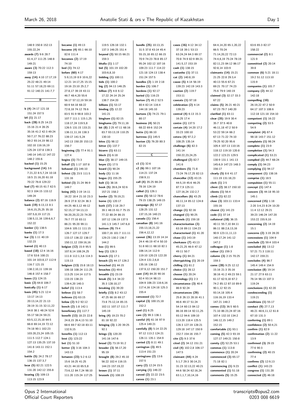148:9 150:8 152:13

63:6 65:3 82:17

155:22,24 **awards (7)** 9:6 28:7 61:4,17 111:25 148:8 149:21 **aware (3)** 70:22 112:3 159:13 **away (14)** 4:10 17:17,19 25:22 48:21 49:14 51:11 57:18,23 69:11 91:12 140:21 141:7,7 **B b (4)** 24:17 121:18 151:24 157:5 **b4 (1)** 21:17 **back (28)** 8:25 14:23 15:16 21:4 28:25 35:16 41:2 42:3 49:24 50:7,17 76:22 88:23 90:2 93:14,19 98:12 102:10 116:16,19 125:24 137:8 139:3 140:14 145:12 147:22 148:2 155:6 **backed (1)** 15:25 **background (14)** 3:6 7:21,22 8:5,7,24 10:18 18:5 21:16,20 61:18 70:22 76:8 129:22 **bad (7)** 48:15 61:7 62:5 92:3 104:15 133:12 149:24 **balance (2)** 87:16 116:9 **bank (19)** 6:13,13 8:1 16:6,15,25,25 35:18 107:5,8,19 117:21 138:5,11,16 139:6,6,7 152:22 **banker (1)** 138:5 **banks (1)** 17:3 **bar (3)** 1:11 40:19 132:23 **barred (1)** 40:13 **based (18)** 12:4 16:16 17:6 53:6 100:21 101:14 103:8,17 112:9 116:7 121:15 138:2,10,11 139:16 146:8 157:4 158:7 **bases (1)** 124:15 **basic (2)** 64:8 106:7 **basically (1)** 6:17 **basis (45)** 5:21 12:4 13:17 14:13 20:13,14,22 21:13 28:19 31:15 32:11,22 34:8 38:1 48:24 52:6 55:17 58:24 59:21 63:5,12,15,18 64:5 66:8 69:14,19 72:12 74:18 90:1 102:23 103:20,23,24 105:15 111:5 112:7 124:1 127:13 135:25 137:10 141:8 143:11 152:1 154:2 **battle (5)** 24:2 78:17 136:15 137:3,7 **bear (5)** 82:21 122:5 131:20 142:12 155:8 **bearing (3)** 109:13 113:15 123:9 74:10 156:7  $127.4$ 149:7

**became (1)** 49:13 **become (4)** 65:1 66:10 82:6 111:4 **becomes (2)** 17:19 **bed (1)** 74:12 **before (60)** 4:17 5:9,13,19 8:9 10:6,22 12:21 14:17,25 15:15 19:16 23:10 25:2,7 27:8,17 39:19 43:11 46:7 48:4,20 55:6 56:17 57:12,19 59:16 60:9 64:18 68:22 72:8,18 74:12 78:6 83:5 91:9 98:8 103:2 107:7 111:1 115:1,25 118:17,24 119:5,8 126:5 131:15 133:21 136:11,11,16 138:3 139:17 141:5,24 142:13 150:20 153:13 **beginning (3)** 77:4 91:1 **begins (1)** 73:3 **behalf (2)** 1:17 107:8 **behaved (1)** 146:10 **behest (3)** 23:5 111:5 131:16 **behind (3)** 21:24 96:9 **being (42)** 2:19 14:11 16:22 18:4 21:10 23:3 26:9 27:8 32:24 36:3 44:25 48:3,12 49:12 52:15,17 54:13,13 56:20,20,22,23 74:20 76:7 77:10 83:11 86:21 95:20 99:11 104:6 105:11 111:15 126:7 127:17 129:7 133:17 136:22 138:17 150:11,12 159:16,16 **belgian (12)** 15:9 95:5 107:8,14 108:24,25 111:8 112:1,3,6 114:3 115:13 **belgium (13)** 15:8 18:13 106:18 108:24 111:25 113:25 114:14 117:5 133:15 138:23 139:4,20 140:3 **belief (1)** 113:4 **believe (1)** 58:7 **believes (1)** 63:15 **below (2)** 9:2 92:12 **bench (2)** 1:8 142:1 **beneficiary (1)** 117:7 **benefit (13)** 18:23 22:8 24:8,15 26:4,13 51:10 68:6 69:7 82:18 83:11 132:9,15 **benefits (1)** 112:13 **best (1)** 123:22 **bet (1)** 51:10 **better (3)** 3:16 104:3 143:13 **between (23)** 5:2 6:12 15:6 16:25 41:25 43:21 44:10 65:5,8 73:6,12 84:7,24 98:10 111:20 115:24 117:25

119:5 126:18 132:1 137:3 146:25 151:4 **beyond (3)** 50:15 66:21 159:3 **bhalla (1)** 1:17 **bid (5)** 101:19 102:20 103:6,8,10 **bidding (1)** 100:11 **bids (1)** 100:2 **big (2)** 94:13 146:25 **billion (7)** 4:8 6:12 17:22 24:14 25:24 138:7 154:20 **billions (1)** 53:17 **binding (2)** 12:22 141:21 **bingham (1)** 82:15 **binghams (2)** 79:11,16 **bit (8)** 2:25 47:11 68:16 83:7 93:13,19 110:25 130:10 **bites (1)** 98:12 **bitter (1)** 137:7 **bizarre (1)** 63:11 **block (1)** 6:18 **blue (2)** 38:17 149:15 **bnym (1)** 17:5 **board (1)** 90:24 **body (1)** 11:16 **bogus (1)** 155:25 **bolt (1)** 38:16 **book (5)** 28:6,24 92:6 157:21 158:2 **border (2)** 78:19,21 **borne (1)** 120:17 **both (17)** 2:18 29:7 39:1 48:15 61:7 75:15 77:22 80:24 86:15 107:12 136:19 137:5 141:1,5 145:7 147:6,8 **bottom (9)** 79:4 100:7,16 101:7 111:11 129:23 130:2 136:7  $144.2$ **box (1)** 99:5 **boy (1)** 128:3 **branch (1)** 17:1 **breach (2)** 44:17 126:2 **breached (1)** 44:15 **breaches (1)** 49:6 **breadth (1)** 23:19 **break (5)** 3:4 34:22 35:3 128:10,17 **breaking (1)** 39:20 **briefly (13)** 8:2 43:12 47:25 66:16 69:17 73:8 75:12,14 85:15 102:11 107:17 111:7 145:19 **bring (4)** 19:23 70:2 81:18 92:22 **bringing (3)** 1:20 39:25 92:1 **brings (3)** 120:20 141:16 147:6 **broad (2)** 73:19 91:2 **broader (3)** 56:17,20 95:19 **brought (8)** 29:2 45:10 56:22 102:4 116:15 144:23 157:19,22 **brown (1)** 37:11 **brussels (1)** 108:19

**bundle (25)** 10:13,15 31:5 37:8 43:14 45:4 55:15,18 65:12 66:15 70:9 74:23 78:8 85:17 95:24 102:12 107:16 109:23 111:7 114:22 121:18 124:13 138:4 151:24 157:5 **bundles (2)** 1:19 2:18 **burden (1)** 106:7 **burdens (1)** 92:17 **buried (1)** 116:23 **burton (7)** 45:2 52:5 80:4 82:14 116:4 144:18 145:10 **burtons (3)** 74:21 79:1 80:17 **business (4)** 50:21 68:22 69:6 152:24 **butte (1)** 86:10 **buttress (1)** 145:5 **buxton (3)** 76:20 80:3 82:15 **C c1 (1)** 32:6 **c2 (6)** 99:1 107:16 114:21 137:24 158:9,11 **call (4)** 35:25 66:24 78:16 124:19 **called (1)** 126:1 **came (5)** 58:12 78:6 79:15 138:25 149:15 **campaign (6)** 57:17 128:25 131:12 137:15,16 140:21 **canada (1)** 156:4 **canadian (8)** 141:16 155:13,18,21,22 156:4,12,12 **cannot (26)** 13:19 14:14 24:4 46:19 47:4 50:10 51:8 60:11 68:10 82:1 106:14,14 112:9 119:10 120:23 122:20  $124 \cdot 4$  131 $\cdot 268$ 135:16 136:12 137:9,12 150:20 151:7 **cant (14)** 84:20 90:16 92:4 93:14 98:13 104:9 106:23 116:6,16 117:4,16 124:18 125:3 155:4 **canvassed (1)** 72:7 **capital (3)** 100:15,18 152:2 **card (1)** 6:25 **care (2)** 99:3 136:1 **careful (4)** 61:16 97:9 125:4 149:21 **carefully (8)** 5:14 22:25 97:12 113:2 124:21 126:11 135:1 154:9 **carried (2)** 8:11 49:1 **carrington (3)** 49:5 113:4 151:23 **carringtons (2)** 13:6 157:5 **carry (2)** 12:24 15:5 **carrying (1)** 146:22 **carved (2)** 22:22 23:5 **carves (1)** 23:1

**cases (16)** 4:12 34:12 37:18 39:1 53:13 63:24,24 64:3 69:17 70:8 74:9 82:9 89:21 141:5,17 153:19 **cash (1)** 138:15 **castanho (1)** 37:11 **cat (2)** 140:8,19 **cause (5)** 4:14 56:19 139:23 142:19 143:3 **caution (2)** 119:7 153:11 **caveats (1)** 97:18 **celebration (2)** 4:14 139:23 **central (4)** 6:13 15:3 16:25 17:4 **centre (1)** 137:5 **certain (4)** 14:20 17:2 33:23 100:10 **cetera (4)** 97:2,2 108:25 135:14 **challenge (6)** 82:3 141:14 150:22,23,24,25 **challenged (2)** 82:7 141:6 **chambers (5)** 71:8 73:24 76:17,25 82:13 **chancellor (12)** 43:15 44:5,19 45:6 46:25 87:7,9 125:11 127:16,24 132:2,7 **chancellors (6)** 43:25 46:11,14 85:12 124:8 137:13 **change (1)** 92:16 **changed (1)** 90:25 **channels (1)** 159:18 **characterisation (3)** 63:16 89:11 134:23 **characterised (1)** 41:20 **chase (1)** 143:19 **cherkasov (7)** 43:13 45:21,25 46:9 47:12 49:11 50:7 **cherry (1)** 84:21 **cherrypicking (1)** 20:19 **chilling (1)** 61:2 **choice (1)** 28:12 **choose (1)** 20:24 **chronology (1)** 2:3 **circumstance (3)** 40:4 86:9 92:24 **circumstances (29)** 25:8 26:13 28:16 41:1 46:6 49:17 51:24 54:14 60:13 84:12 86:16 89:14 92:11,25 93:12 94:6 109:10 113:20 118:4 125:5 126:3 127:19 128:21 129:18 147:17 150:9 152:7 154:16 155:7 **cite (2)** 9:3 37:6 **cited (2)** 34:12 151:21 **civil (4)** 102:2,8 106:17 147:5 **claimant (44)** 4:24 5:1,7 29:3 30:14,21 31:23 32:13,22 40:21 44:6 58:24 62:16,24 63:1,1,7,10,14,16

64:4,14,20 65:1,20,22 66:5 70:24 71:14,20,22 72:13 74:4,6,19 75:24 78:19 82:11,23 84:12 86:17 92:8,14 103:9 **claimants (14)** 15:21 21:25 22:8 29:3,4 40:13 55:6 67:21 69:21 70:17 74:23 75:6 79:9 140:19 **claimed (3)** 32:17 33:3 67:22 **claims (5)** 26:21 40:21 67:23 79:7 140:20 **clarified (1)** 83:11 **clear (35)** 19:9 30:4 35:7 37:5 40:8 46:11,18 47:2 50:9 53:22 59:14 66:2 67:13 71:22 74:10 79:25 92:20 95:6 105:4 107:13 110:16 118:12 119:10 120:8 122:2 123:21 129:5 130:9 131:1 141:13 145:6,9 147:23 148:3 156:17 **clearly (5)** 8:6 41:17 111:19 131:18,23 **clerk (1)** 2:5 **client (2)** 38:17 150:10 **clients (1)** 56:4 **climb (1)** 82:22 **close (3)** 103:11 133:4 155:16 **closest (1)** 141:23 **code (1)** 37:14 **collateral (18)** 36:15 40:11 55:7,10 84:11 86:11 88:2,6,13,16 90:9 123:11,11,13 140:17,24 141:12  $147.2$ **colleague (1)** 1:8 **colour (1)** 159:3 **column (3)** 2:15 70:25 159:3 **come (28)** 9:25 12:12 15:16 21:3 35:16 38:16 41:2 49:23 59:1 61:17 62:9,18 67:2 74:2 85:12 87:10 89:9 90:1,12 92:15 93:14,18 105:4 116:16,19 133:4 147:21 148:2 **comes (13)** 36:5 60:5 71:10 86:23,24 87:16 107:4 132:10 134:2 146:12,15 149:2 152:15 **comfortable (1)** 93:1 **coming (5)** 42:3 93:19 127:17 149:21 150:8 **comity (2)** 52:25 53:1 **commas (1)** 113:8 **commence (1)** 20:24 **commenced (3)** 65:17 71:18 82:1 **commencing (1)** 9:23 **commented (1)** 51:18 **comments (5)** 15:25

158:22 **commercial (2)** 8:1 121:9 **committed (2)** 20:14 39:8 **common (6)** 5:21 18:11 19:2 51:12 113:10 115:9 **companies (1)** 101:7 **company (2)** 44:12 142:18 **compelling (10)** 26:19,22 47:2 50:9 64:17 107:3 108:6 112:18 121:18 154:10 **competent (1)** 16:22 **competing (2)** 53:5 54:9 **complaint (4)** 67:4 98:18 143:7 151:12 **complaints (1)** 98:24 **complete (1)** 23:9 **completion (1)** 54:3 **complicated (1)** 53:21 **complied (2)** 44:7 68:24 **comply (1)** 94:23 **complying (1)** 94:17 **component (1)** 138:16 **comprise (1)** 18:5 **compulsion (1)** 55:11 **concept (1)** 147:4 **concern (3)** 44:18 95:10 145:1 **concerned (15)** 1:18 2:20 3:4,23 8:24 10:20 11:4 12:12 29:21 39:23 146:24 147:20 153:22 155:9,10 **concerning (2)** 14:19 15:1 **concerns (2)** 3:19 28:20 **concessions (1)** 104:9 **conclude (2)** 59:4 103:4 **concluded (6)** 13:12 57:21 71:3 118:11 142:17 159:21 **concludes (4)** 86:7 145:4 149:4 154:9 **conclusion (8)** 19:14 21:17 27:9 63:11 76:14 96:13 107:3 119:24 **conclusions (1)** 42:20 **condescending (1)** 119:21 **conditions (1)** 55:17 **conduct (9)** 27:7,13 46:21 48:6,11,12 61:8 67:10 131:3 **conferring (1)** 89:1 **confidence (2)** 50:4,21 **confirm (1)** 82:9 **confirmation (2)** 11:22 13:9 **confirmed (3)** 29:15 77:6 90:3 **confirming (2)** 40:15 77:4 **confirms (2)** 12:9,13 **conflict (1)** 143:23 **congress (1)** 131:20 **connected (2)** 46:18

Opus 2 International Official Court Reporters transcripts@opus2.com 0203 008 6619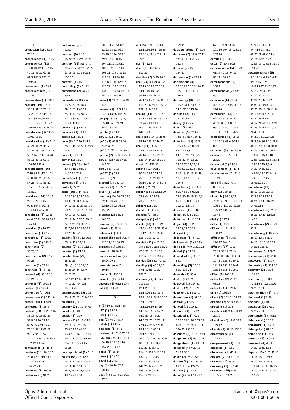27:9 28:10 43:6

131:1 **connection (2)** 23:24 73:16 **consequence (1)** 150:7 **consequences (11)** 10:8,10 12:11 27:15 41:17 47:20 67:21 89:3 103:5 133:23 149:24 **consequent (1)** 33:7 **consequentially (1)** 77:23 **conservative (1)** 139:7 **consider (19)** 12:15 36:17 37:23 71:13 72:20 78:2 84:8,14 85:1 86:15,20 104:3 121:5 126:8,14 127:1 146:15 147:15 159:1 **considerable (3)** 59:25 119:7 150:3 **consideration (17)** 11:2 39:21 41:24 45:5 47:21 48:1 50:2 52:20 53:7,14 57:11 84:20 85:11 88:18 91:5 106:10 151:9 **considerations (16)** 7:19 35:11,13 41:22 43:8,10 52:3,25 53:1 54:21 70:13 86:22 115:5 132:25 147:6 153:21 **considered (10)** 12:14 20:12 22:10 87:15 97:5 104:5 109:2 114:14 152:6,20 **considering (6)** 12:18 44:4 57:11 60:24 76:2 126:14 **considers (1)** 76:17 **consistent (1)** 27:7 **conspiracy (1)** 102:2 **constitute (1)** 143:3 **constituted (2)** 33:20,25 **construction (2)** 17:7 99:23 **construe (1)** 37:21 **construed (1)** 37:16 **contend (4)** 36:11,16 45:24 121:2 **contends (1)** 101:13 **content (1)** 54:24 **contention (1)** 66:17 **contentions (1)** 141:10 **contentious (1)** 61:6 **contested (1)** 26:9 **context (23)** 11:2 37:16 38:13 42:25 50:25 57:9 58:10 59:12 63:5,25 72:17 75:2 78:18 82:19 87:21 90:17 96:19 97:19 117:21 125:13 131:15 132:12 133:6 **continuance (1)** 18:6 **continue (10)** 20:6,17 23:8,12 37:19 38:5 127:22 142:9 154:22,23 **continued (1)** 100:9 **continues (1)** 94:23

**continuing (2)** 91:9 124:1 **contract (6)** 6:15 16:20,24 136:5,18,24 **contrary (11)** 5:1 14:1 24:6 42:7 52:25 62:15 67:16 68:1,18 80:14 130:17 **contrast (1)** 151:1 **controlling (1)** 51:21 **convenient (2)** 34:24 89:9 **convention (16)** 9:6 13:22 57:24 58:4 59:12 61:4 68:21 75:16 77:23 78:22 97:1 98:14,21 104:12 117:8 121:7 **converts (1)** 64:25 **convince (1)** 143:1 **copies (1)** 78:11 **copy (8)** 2:7,10 11:13 78:7 114:22,22 136:24 141:17 **core (1)** 128:23 **corner (1)** 15:24 **correct (7)** 25:4 36:9 39:4 91:11 96:18 146:20 147:1 **correction (1)** 137:2 **correctly (1)** 146:3 **cost (1)** 29:25 **costs (39)** 3:14 4:15 7:18 23:23,25 25:9 30:3,5,9 38:4 42:6 54:12,18,22,23 55:1,3 60:24 63:14,19 69:20 70:13,15 71:3,15 72:10 74:7 75:5 76:12 77:19,25 78:16 79:6 83:7,16 89:23 90:19 99:23 123:25 **couldnt (5)** 61:12 70:5 75:16 129:17,19 **counsel (2)** 11:8 112:21 **counter (1)** 74:18 **counterclaim (27)** 28:21,23 29:1,5,10,13,14,17 33:20,24 34:4,5,9 61:23,25 62:7,12,12,14,20,22 74:13,20 79:7,25 146:19,20 **counterclaims (5)** 29:8 33:19,22 62:17 146:23 **countries (1)** 9:7 **country (2)** 6:17 147:5 **counts (1)** 102:1 **couple (1)** 1:19 **course (21)** 1:10 6:16 7:5 11:5 17:1 26:1 35:6 37:18 41:10 53:3,6,10 67:10 70:4 96:17 129:20 139:10 152:10 153:23 155:1 159:8 **courtappointed (1)** 51:3 **courts (56)** 9:5 12:7 13:14,21 15:8 16:19 17:16 19:7 24:12 38:5,25 42:16,17,22 48:7 49:10,20

50:6,14,22 51:8,23 52:23 53:12 56:9 59:20 62:14 68:22 69:7 75:4 98:15 104:11,19 105:11 106:15,25 107:14 108:11 109:9 111:5 112:14 114:14,16 115:6,11,14 123:16 126:22 130:6 132:9 134:10 135:18 151:14 152:3,11 156:6 **cover (3)** 21:23 104:19 145:19 **covered (5)** 11:5 12:4 24:23 133:6 156:24 **cpr (9)** 28:2 37:4,14,21 65:18 66:6 71:21 85:21 88:25 **cpr11e (1)** 53:11 **cpr203 (1)** 146:21 **cpr25 (4)** 63:5 69:20 74:6 82:9 **cpr2512 (2)** 77:24 80:7 **cpr384 (2)** 36:10 125:10 **cpr387 (3)** 40:18 41:7 147:24 **cpr62 (1)** 71:18 **cpr747 (1)** 73:8 **create (1)** 96:15 **created (1)** 142:19 **credible (2)** 7:5 22:2 **credit (1)** 92:19 **creditor (10)** 20:22 63:7 72:11,13 73:6,12 82:10 93:22 96:22 155:22 **crescent (2)** 63:24 140:25 **criminal (2)** 130:8,16 **criteria (1)** 85:24 **criterion (1)** 38:8 **critical (5)** 68:16 90:17 126:17,25 136:25 **critically (1)** 156:11 **cross (2)** 78:18,21 **crossexamination (2)** 59:24 99:17 **crossreference (1)** 30:14 **crucial (1)** 130:12 **currently (1)** 54:14 **custody (2)** 6:12 109:4 **cut (1)** 140:23 **D d (3)** 10:13 55:17,18 **d37 (1)** 55:15 **d84 (1)** 10:15 **dac (2)** 76:2 77:17 **dallah (1)** 146:5 **damages (1)** 67:1 **dardana (2)** 71:8 73:25 **date (8)** 4:20 40:1 43:1 54:19 92:2 151:10 157:23 159:17 **dated (1)** 55:14 **dates (1)** 24:23 **david (1)** 24:1 **day (3)** 10:14 62:2  $00.14$ **days (4)** 5:19 9:23 10:6  $27.8$ 

**dc (15)** 1:21 11:5,18 12:13,14,16,17,20,25 13:8,14,24 14:2 21:7 99:5 **dcs (1)** 12:2 **dead (3)** 60:9 62:20 116:23 **deadline (2)** 5:20 10:6 **deal (24)** 3:1,21 8:2,20 15:13 30:15,17 33:2 34:11,15,16 35:9 59:16 62:1 66:16 78:17 91:22 104:16,18 113:21 123:15 125:22 137:18 148:19 **dealing (14)** 15:10 20:1 31:12 38:3 39:1 50:18 63:24 71:12 89:1 107:11,23 132:16  $141 \cdot 1,23$ **deals (6)** 9:14,17 28:6 72:16 113:9 146:22 **dealt (11)** 16:12,13 22:11 44:19 55:23 78:14 102:25 120:5 138:14 149:9 152:18 **death (1)** 131:22 **debate (12)** 30:11 70:24 71:10 74:25 75:5,19 78:20 84:7 89:16 110:14 146:1,4 **debt (1)** 25:24 **debtor (9)** 30:12,13,20 63:8 64:2 72:13 73:7,13 142:8 **debtors (1)** 31:2 **decade (1)** 137:15 **decades (1)** 88:9 **deception (1)** 49:1 **decide (13)** 30:19,24 42:24 44:6,15,21 56:6 61:12 106:2 115:17 126:1 129:17,19 **decided (12)** 4:22 5:3 9:8 14:20 15:18 18:20 47:3 50:10 111:15 116:5 139:10 151:2 **decides (3)** 55:2 72:8,9 **deciding (6)** 46:12,20 57:1 126:1 131:2 132:7 **decision (79)** 4:2 5:7 9:2 11:5 12:1,2,7,10,16 13:14,24 14:7 16:8 19:21 20:9 26:9 35:17 37:11 38:12 43:12,14,16,18,25 44:8 50:14,17 52:23 54:2 59:18 70:21 74:5,22 75:10 76:17 77:13 78:5,5,6,9,14 79:1,13,16 80:17 85:12 90:15 96:9,12,19 97:25 99:6 103:1,4 111:18,21 112:23 113:9,11 114:11 124:8 126:22 132:12,13 134:2 137:13,22 139:6 141:25 142:2,12,25 143:14 146:1,9 152:18,21 158:7

159:15 **decisionmaking (1)** 1:10 **decisions (7)** 19:6 37:12 96:14 141:1,22,25 152:4 **decisive (2)** 153:16 154:17 **declaration (1)** 67:24 **declarations (8)** 32:18,23 70:18 114:12 115:21 118:11,14 126:7 **declaratory (8)** 7:12 10:23 31:6 33:3,15 34:3 57:3 115:20 **declined (3)** 115:3 127:13 154:3 **deeply (1)** 72:7 **defeat (1)** 26:21 **defences (5)** 62:16 76:5,6 77:17 156:13 **defendant (36)** 29:2 32:24 40:23 62:24 63:2,8,13,17 64:5,15,20 70:1,25 71:6,22 74:5,6,20 75:24 76:11,12,14 77:16,20,23,24 78:20 81:9,13 82:13 88:19 90:10,13 92:10,15 126:6 **defendants (15)** 56:8 60:17 65:16 69:21 75:6 80:10,15 82:4,6 85:4,16 101:19,20 102:21 124:13 **defensive (1)** 81:16 **definition (1)** 28:25 **definitive (1)** 116:21 **degree (4)** 18:23 33:23,25 70:11 **delayed (1)** 1:3 **deliberate (1)** 67:21 **deliberately (1)** 42:19 **delve (3)** 74:9 75:21,22 **denied (1)** 11:19 **dependent (2)** 33:15 55:1 **depending (3)** 25:18 62:2 138:21 **depends (1)** 46:6 **deploy (1)** 6:24 **deployed (1)** 124:21 **deploys (2)** 79:17 95:18 **deponent (1)** 107:17 **depositions (1)** 99:16 **deprive (2)** 81:7,13 **derived (1)** 100:22 **describe (1)** 105:12 **described (11)** 7:20 10:25 29:1 76:5 77:17 80:6,10 89:24 112:11 136:25 138:20 **describes (2)** 71:23 89:9 **designates (2)** 65:20,21 **designations (1)** 138:11 **designed (4)** 49:9,15 51:22 66:1 **desire (2)** 26:20 54:10 **despite (5)** 25:1 26:20 63:6 115:4 127:22 **destroy (1)** 143:23 **detail (9)** 14:17 16:17

67:19 74:9 93:20 101:16 104:18 128:25 135:20 **details (1)** 129:21 **deter (2)** 20:4 50:5 **determination (6)** 10:24 41:14 42:17 94:11 95:14 156:22 **determinations (1)** 108:2 **determinative (2)** 43:21 46:3 **determine (6)** 28:14 42:15 45:7 46:2 49:18 124:16 **determined (14)** 7:17 42:12 45:17 46:22 48:3 60:6,14 85:7 95:16 118:6 127:17 131:4 137:11 156:9 **determining (6)** 15:15 19:15,18 47:6 50:12 60:12 **deterrent (3)** 134:6,9,9 **develop (3)** 5:5 8:14 20:20 **developed (1)** 14:24 **development (1)** 11:4 **developments (2)** 11:6 19:24 **diag (4)** 74:22 79:1 80:17,19 **diary (1)** 159:16 **didnt (14)** 61:13,24 72:20,20 96:15 105:23 106:3,3 110:20 112:6 125:12 136:17,18 157:3 **died (1)** 127:7 **differ (1)** 36:9 **difference (2)** 15:6 120:12 **differences (3)** 98:9 126:17 144:2 **different (17)** 13:2 25:21 56:19 70:14 79:8 80:5 87:11 93:3 107:11 126:5 140:11 141:15 151:5 154:4 155:18 156:6 159:2 **differs (1)** 106:11 **difficulties (2)** 23:22 48:23 **difficulty (1)** 119:12 **ding (1)** 136:15 **direct (2)** 101:5 105:23 **directed (2)** 9:20 44:22 **directing (1)** 20:5 **direction (3)** 9:14 23:19 29:16 **directions (3)** 18:8 32:8 149:12 **directly (2)** 99:18 153:3 **disadvantage (1)** 123:13 **disagreement (1)** 15:3 **disagrees (1)** 73:24 **disclaimed (1)** 40:3 **disclose (2)** 38:4 101:9 **disclosed (1)** 55:5 **disclosing (1)** 127:20 **disclosure (25)** 5:19 10:5,7 18:24 25:10,10

44:7,16,21 45:7 48:20,21 49:6 54:4 59:24 125:17,23 126:3,15 129:18 151:9 154:23 **discontinuance (95)** 3:8,12,14 4:13 5:6,11 6:5 7:15 9:25 10:9,13,17 21:22,25 22:2,4 25:3 26:3 27:12,22 31:1 33:21,23 34:10,21 35:6,24 36:13,14 37:25 38:16 39:11,14 45:1 48:10 52:7,10 53:22 55:6 57:2 58:19,24 60:10,16,21 63:25 64:6 69:10,25 70:4 83:18 84:3,9,16,19,24,25 85:3,5,9 86:7,16 87:5 88:19 89:18 90:10,18 93:17 103:18 105:18 113:20 116:3 118:6 124:5 125:10,14 133:1  $130.24$   $140.269$ 141:2 144:12,19 146:16,24 147:14,16 149:3,15 154:7,11 157:15,20,24 **discontinue (12)** 20:10,17,25 22:19 27:8 58:25 87:23 88:24 89:3 146:19 147:12,13 **discontinued (5)** 25:15 86:21 89:20 124:23 142:8 **discontinues (2)** 40:21 92:8 **discontinuing (10)** 25:7 26:19 42:5 54:11 84:10,13,18 120:23 140:13 155:23 **discourage (1)** 129:7 **discouraging (1)** 45:8 **discovered (1)** 136:4 **discovering (1)** 137:13 **discovery (2)** 99:16 136:25 **discretion (8)** 38:1 72:8,16,17,22 73:20 78:2 82:19 **discrimination (1)** 75:14 **discussed (1)** 2:20 **discusses (1)** 101:12 **discussion (3)** 37:10 72:2 75:19 **disentangle (1)** 45:13 **dishonest (1)** 102:21 **disinstruct (1)** 53:24 **dislodged (1)** 87:25 **dislodging (1)** 74:3 **dismissal (1)** 150:18 **dismissed (4)** 43:3 145:2 156:13,16 **dispute (15)** 3:22 15:11 16:14 18:13 39:3 44:10 56:14 58:3 110:14 121:3 146:25 147:9 148:16 151:18 152:22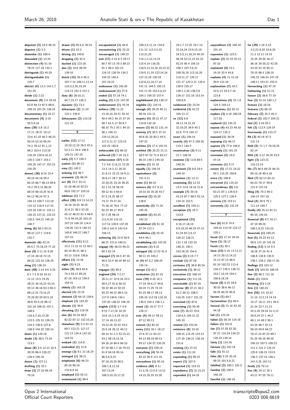$\equiv$ 

| disputed (2) 19:9 56:23                        | drawn (3) 65:5,8 78:23                           | encapsulated (1) 64:9                          | 109:3,5,11,14 110:9                          | 16:1,7 17:25 19:7,13                            | expenditure (2) 100:18                            | far (29) 1:18 2:19                                |
|------------------------------------------------|--------------------------------------------------|------------------------------------------------|----------------------------------------------|-------------------------------------------------|---------------------------------------------------|---------------------------------------------------|
| disputes $(1)$ 5:2                             | driven $(1)$ 32:3                                | encountering $(1)$ 23:22                       | 111:12 112:3,5,22                            | 22:14,24 23:9,15,18                             | 101:15                                            | 3:3,23 8:24 10:8,20                               |
| dissimilar $(1)$ 108:4                         | driving $(1)$ 149:8                              | encouraged $(1)$ 149:22                        | 113:21,25                                    | 24:5,5,11,16,24 40:24                           | expensive $(1)$ 123:5                             | 11:3 12:11 14:15                                  |
| dissuaded $(1)$ 13:24                          | dropping $(1)$ 42:5                              | end (17) 2:10 8:3 29:17                        | 114:1,2,12,13,15                             | 48:18 52:21,22 81:23                            | explain (3) 22:19 55:12                           | 15:24 29:20 34:17                                 |
| distinction $(4)$ 51:16                        | ducked (1) 123:18                                | 60:7 67:13 70:3 89:21                          | 115:4,14 116:20                              | 92:15 95:4 105:15                               | 87:10                                             | 36:16 39:20,22 42:25                              |
| 78:23 117:18 132:1                             | due (3) 10:6 48:20                               | 91:1 96:4 101:23                               | 118:5, 12, 14, 16, 19, 22, 23                | 106:7 107:3,6,21                                | explained $(4)$ 13:1                              | 43:10 52:19 65:11                                 |
| distinguish $(1)$ 45:20                        | 139:10                                           | 116:15 126:16 134:2                            | 119:5,11,19 122:14,16                        | 109:18,19 112:10,20                             | 19:10 32:4 45:8                                   | 70:15 88:3 138:19                                 |
| distinguishable (1)                            | dutch (15) 26:4 95:5                             | 144:23 146:4                                   | 127:13,18 130:18                             | 119:11,17 120:17                                | explains (4) 11:12,18                             | 145:23 146:24 147:19                              |
| 125:7                                          | 107:7,14 108:11,13,14                            | 157:19,22                                      | 132:8,13,16,17,19                            | 121:17 122:2,21 126:4                           | 20:9 121:24                                       | 148:11 153:21 155:9                               |
| district (4) 13:3 143:1,7<br>151:25            | 110:3,3,16,19,24<br>115:13 152:3 157:2           | endeavour $(1)$ 145:20<br>endeavoured (1) 27:6 | 141:11 144:5 150:13<br>151:17,20 152:2,6,23  | 130:9 135:17<br>136:1,2,20 138:2,6              | explanation $(7)$ 10:3<br>22:5,13 24:4,7,19       | farreaching $(1)$ 47:19<br>fashioning $(1)$ 51:21 |
| divide $(1)$ 2:22                              | duty (6) 28:10,11                                | ended (2) 57:18 74:1                           | 154:1 156:15 157:4                           | 139:17 151:16 153:14                            | 123:8                                             | favour (2) 38:6 77:19                             |
| document (9) 2:4 29:18                         | 44:7,15,17 126:2                                 | ending (2) 4:23 142:20                         | englishbased $(1)$ 139:12                    | 158:8,9                                         | explanations $(4)$ 22:1,6                         | fear (3) 51:14 140:1,2                            |
| 62:8 64:13 67:5 68:8                           | dynamic $(1)$ 73:2                               | endorsement (1) 76:24                          | englishs (1) 119:15                          | evidenced $(1)$ 23:24                           | 124:3 149:13                                      | feature (1) 18:24                                 |
| 100:15 101:24 136:24                           | dzhazoyan $(3)$ 11:10                            | enforce (29) 11:23                             | enough (4) 26:25 65:11                       | evidential $(3)$ 42:22                          | explanatory $(1)$ 92:12                           | features (1) 86:19                                |
| documentary (1) 22:17                          | 122:1 136:9                                      | 13:16,16 23:21 39:10                           | 90:16 121:11                                 | 105:13,17                                       | explore (3) 4:18 100:24                           | february (2) 25:2 45:3                            |
| documents $(4)$ 3:19                           | dzhazoyans (2) 110:18                            | 40:4 49:2 54:15 57:24                          | enquiry (4) 39:12 47:17                      | ex (12) 6:6                                     | 117:20                                            | federal (2) 102:7 104:21                          |
| 55:5,9,16                                      | 121:19                                           | 58:7 61:5,17 65:6,7                            | 114:8 132:18                                 | 28:11,14,15,19                                  | explored (1) 135:21                               | feel (2) 3:16 93:1                                |
| does (30) 5:8 15:2                             |                                                  | 68:10 75:2 92:1 94:15                          | ensure (2) 68:22 131:14                      | 32:19,25 39:9 45:1                              | expose (4) 43:23 49:18                            | felt (2) 112:4 129:19                             |
| 17:11 18:21 19:13                              | Ε                                                | 98:1 104:11                                    | entirely (7) 30:5 37:14                      | 52:6 77:9 144:17                                | 124:17 125:2                                      | ferociously $(1)$ 123:17                          |
| 23:6 41:19 44:2 48:23                          |                                                  | 116:12,20,22                                   | 40:8 81:20 82:2 93:5                         | exact (1) 156:14                                | exposed (1) 39:24                                 | ffd $(3)$ 45:16 47:3                              |
| 50:14 52:10 69:24                              | earlier (12) 17:12                               | 117:5,11,17 123:15                             | 147:22                                       | exactly (4) 97:3 109:20                         | exposing (1) 46:11                                | 131:13                                            |
| 74:2 78:12 81:1,13                             | 19:10,12,19 26:5 42:4<br>52:3.11 78:4 100:6      | 142:23 150:8                                   | entities (2) 17:4 102:15                     | 119:1 144:3                                     | express (2) 77:8 146:6                            | field (5) 71:1,7 76:18,25                         |
| 86:2 103:4 113:16                              | 145:21 147:25                                    | enforceable $(1)$ 66:22                        | entitled (9) 20:23 21:11                     | examination (3) 9:11                            | expressly (1) 101:19                              | 82:14                                             |
| 116:24 129:9,10,12                             | early (2) 5:7 156:2                              | enforced (2) 7:16 23:3                         | 58:5 67:23 71:4 83:17                        | 21:1 148:25                                     | extension $(2)$ 10:5                              | fifth (3) 3:12 34:20 53:5                         |
| 135:3 139:7 143:2                              | easiest (1) 90:12                                | enforcement (57) 6:16                          | 86:15 139:3 144:10                           | examine (3) 13:8 89:5                           | 47:14                                             | fight (3) 123:21                                  |
| 145:25 147:17 152:23<br>155:25                 | easy (1) 145:2                                   | 7:2 9:6 11:6,21 12:25<br>13:3 14:3,12 20:25    | entitles $(1)$ 51:10<br>equally (1) 156:19   | 148:24<br>examined (3) 9:8 18:4                 | extensive $(1)$ 5:17<br>extent (5) 17:21 23:22    | 133:13,14<br>file (7) 66:5 69:25 84:23            |
| doesnt (36) 8:14 23:4                          | echoing (1) 48:7                                 | 21:6,11 22:15 24:9,11                          | equivalence (2)                              | 149:10                                          | 55:1 115:25 150:6                                 | 89:15,18 90:4,18                                  |
| 40:19 44:18 59:2                               | economic (1) 66:24                               | 26:8,11 28:7 30:13                             | 151:4,11                                     | examines (1) 13:11                              | extra (1) 106:8                                   | filed (7) 62:13 64:14                             |
| 65:10 66:7 68:13 69:8                          | ect $(8)$ 23:2 33:13                             | 32:20,25 33:16 39:25                           | ernst $(1) 86:10$                            | examining $(5)$ 12:23                           | extracted (1) 115:22                              | 65:23 70:17 99:8                                  |
| 74:2 78:3,13 86:20                             | 51:18 66:10 92:23                                | 42:1 51:18 56:18                               | essence (6) 4:2 9:12                         | 13:4 14:8 18:14 21:8                            | extraordinary (8) 5:6                             | 121:9 122:19                                      |
| 88:19 90:10,25 91:6                            | 99:6 102:17 120:10                               | 59:12 61:3 65:8                                | 16:14,16 35:20 43:7                          | example (7) 20:19                               | 63:21 87:1 124:8,9                                | filing (4) 70:3 99:3                              |
| 94:12 96:24 97:3                               | edelman (1) 71:2                                 | 67:5,14,25 68:17                               | essential $(2)$ 55:20                        | 43:23 87:7 88:5 92:14                           | 125:5 127:2 128:4                                 | 140:15 157:19                                     |
| 104:13 109:7 113:18                            | effect (28) 9:9 13:14,15                         | 73:17 74:17,24                                 | 138:6                                        | 134:14 152:5                                    | extreme (1) 153:11                                | final $(4)$ 26:9 75:1                             |
| 115:12 116:4 117:15                            | 16:18 19:25 30:25                                | 75:16,18 76:6 77:22                            | essentially (2) 71:16                        | excellent (1) 159:11                            | extremely (1) 132:24                              | 111:14 140:7                                      |
| 119:18 120:11 125:11                           |                                                  |                                                |                                              |                                                 |                                                   |                                                   |
|                                                | 31:4,21 38:2 42:20                               | 92:22 94:17 95:9                               | 145:25                                       | exception $(2)$ 15:3                            |                                                   | finally (4) 35:12 81:21                           |
| 126:15 127:21 132:23                           | 45:12 46:22 61:3 68:9                            | 97:7,25 98:15                                  | establish (2) 62:25                          | 133:8                                           | F                                                 | 85:10 134:16                                      |
| 135:5 144:21 145:10                            | 71:9 94:19,20 103:15                             | 111:9,24 115:15                                | 142:23                                       | exceptional (23)                                |                                                   | financial $(8)$ 4:7 16:11                         |
| 146:7                                          | 107:21 109:19 114:4                              | 117:14 120:9 137:20                            | established $(3)$ 61:10                      | 4:16,17,18,19                                   | face (6) 61:8 74:4                                | 47:19 99:24                                       |
| doing (6) 68:3 93:21                           | 126:20 131:5 140:13                              | 139:3 141:9 142:4,6                            | 87:24 112:1                                  | 6:9,10,24 46:24 47:12                           | 104:16 113:19 123:17                              | 100:1,6,22 133:23                                 |
| 98:22 117:7 119:8                              | 145:8 146:22 148:7<br>157:15                     | 156:13                                         | establishes $(3)$ 43:19                      | 51:24 87:2,9,11                                 | 125:1                                             | financials (1) 100:23                             |
| 132:7                                          |                                                  | enforcing (5) 22:9 58:9                        | 44:4 46:1                                    | 126:12 128:21                                   | faced (2) 17:14 18:16                             | find $(5)$ 24:23 43:13                            |
| domestic (6) 42:15                             | effectively $(11)$ 8:12<br>10:2 11:23 41:12 60:1 | 68:21 121:6 149:21                             | establishing $(1)$ 142:25                    | 131:7,18 132:23                                 | faces $(1)$ 28:12<br>facets $(1)$ 39:1            | 58:9 121:10 141:24                                |
| 65:5,7 75:18,19 77:22<br>done (9) 2:11,15 8:20 | 64:19 85:21 88:3                                 | engage (4) 48:23 49:21<br>60:3 61:14           | estimate (1) 9:22<br>estoppel (5) 12:22 41:5 | 148:21 150:1<br>153:24,25 154:5                 | facie (23) 5:15 13:13,17                          | finding $(12)$ 5:14 9:3<br>18:18 27:14 41:4       |
| 17:15 28:18 72:15                              | 93:13 110:8 138:8                                | engaged (7) 46:5 47:16                         | 96:11,15 103:2                               | excess (2) 6:19 7:7                             | 14:13 20:13,14,22                                 | 106:8 134:6 135:9                                 |
| 84:22 122:10 126:25                            | efforts (1) 13:16                                | 48:5 52:4 58:16 60:12                          | et (4) 97:2,2 108:25                         | exclude (1) 87:18                               | 21:13 47:13 48:5                                  | 138:1 154:2 156:17,20                             |
| dong (1) 136:15                                | eight (1) 9:23                                   | 71:21                                          | 135:14                                       | exclusive (2) 38:8 85:24                        | 61:10 102:22 112:4                                | findings (1) 103:12                               |
| dont (48) 2:14 4:6 5:25                        | either (9) 38:8 65:6                             | engages (1) 89:4                               | europe (1) 42:2                              | exclusively $(1)$ 36:12                         | 134:17 135:5 136:13                               | finds (2) 103:25 106:16                           |
| 6:1 7:3 8:18 10:12                             | 74:3 83:11 85:24                                 | england (24) 7:2,17                            | evaluation $(1)$ 87:19                       | execution (1) 108:14                            | 153:7,10,19 154:2                                 | fine (2) 86:2 111:16                              |
| 11:12 12:5 23:25                               | 87:18 143:12 149:5                               | 20:11,17 22:9,16 23:2                          | even (19) 6:10 14:1                          | exequatur (1) 111:10                            | 156:8,18,19                                       | finish $(1)$ 124:6                                |
| 28:22 34:18,23 43:15                           | 159:15                                           | 40:5,17 41:8 50:22                             | 17:19 39:4,17 44:8                           | exercisable (1) 87:24                           | factor (8) 6:23 18:6                              | finishing $(1)$ 2:24                              |
| 45:13 48:18 63:3 65:3                          | elderly (1) 143:25                               | 59:22 80:14 92:23                              | 50:24 71:25 74:16                            | exercise (8) 37:21 38:2                         | 30:10 38:6 46:12                                  | firm $(1)$ 140:23                                 |
| 68:12,15 73:14,21                              | elected $(1)$ 23:15                              | 93:23 94:22 98:5,10                            | 81:23 98:17 99:13                            | 51:2 59:12 108:5                                | 56:25 60:23 85:8                                  | first (55) 3:5 10:22                              |
| 75:20 82:20 83:5,19                            | element (2) 84:15 138:6                          | 117:9 130:6 134:1                              | 105:16 112:18 118:18                         | 116:25 119:7 151:15                             | factors (1) 69:7                                  | 11:14 12:2,13 14:19                               |
| 90:6 93:3,10 96:17                             | elephant (1) 143:25<br>elevate (1) 59:9          | 137:20 138:22 156:19                           | 130:5 154:2 156:1,1                          | exercised $(1)$ 87:6                            | factsensitive (1) 46:5<br>factual (3) 21:16 42:18 | 15:17 18:11 19:1 20:4                             |
| 101:24 106:22 107:1                            | elevating (1) 119:24                             | english (112) 3:7 4:9                          | event (3) 19:17 77:7                         | exercising $(1)$ 59:20                          | 44:18                                             | 21:24 22:7,11,13                                  |
| 108:6<br>116:4,7,10,13,20                      | else (6) 55:24 68:9                              | 6:15 7:17,24 10:19<br>14:6 15:1,4,19 16:21     | 120:17<br>ever (4) 39:12 58:12               | exist (7) 26:23 70:6<br>116:4,5 144:21,22       | fail (1) 123:19                                   | 24:3,20 29:24 31:3,12<br>35:9,24 37:1 44:2        |
| 123:5 125:15 126:23                            | 82:22 87:12 132:10,20                            | 17:14 18:13,22                                 | 87:12 95:13                                  | 145:10                                          | failed (2) 58:19 114:18                           | 46:1,14 48:2 50:1                                 |
| 133:2 136:9 137:8                              | elsewhere (9) 5:3 61:13                          | 19:12,16 22:22 23:5                            | everest (1) 82:22                            | existed (1) 143:20                              | failure (1) 101:8                                 | 53:16 56:7 57:13                                  |
| 138:9 144:22 150:14                            | 69:7 112:21 117:17                               | 25:5,18 26:12 40:12                            | every (11) 16:1 18:12                        | existence (8) 33:16                             | fair (7) 57:25 87:20                              | 58:10 59:9 64:22                                  |
| doors (1) 125:19                               | 121:13 134:4 142:10                              | 49:14 51:1,3 52:15,23                          | 27:6 47:11 62:13                             | 108:15 115:25 122:12                            | 97:21 110:24 134:22                               | 70:17,23 87:23 89:7                               |
| doubt (3) 38:5 73:16                           | 143:22                                           | 53:2 58:14,15,18                               | 64:13 88:18 90:13                            | 127:20 136:21 138:19                            | 135:10 139:14                                     | 91:25 95:16 99:20                                 |
| 113:2                                          | embark (1) 114:8                                 | 59:16,18 60:9 66:10                            | 93:17 124:22 135:25                          | 151:6                                           | fairly (1) 114:16                                 | 105:15 107:5 109:23                               |
| down (8) 3:4 12:12 32:5                        | embodied $(1)$ 21:6                              | 67:16 68:1,7,18 79:23                          | everyone (1) 159:14                          | existing $(1)$ 27:23                            | fairness (1) 142:14                               | 111:3 121:2 124:15                                |
| 39:20 86:4 128:22                              | emerge (3) 9:1 21:16,19                          | 91:9 94:18 95:14                               | everything $(4)$ 55:24                       | exists (1) 111:24                               | falls $(1)$ $91:12$                               | 125:9 126:15 133:9                                |
| 129:4 156:16                                   | emerged $(1)$ 36:21                              | 96:5,6,9,22                                    | 82:22 95:9 111:15                            | expanding $(1)$ 90:23                           | false (6) 5:24 20:10                              | 136:3 137:19 138:1                                |
| dozen (1) 127:11                               | emphasise $(6)$ 46:23<br>85:18 90:16             | 97:10,19,25 98:5                               | everywhere $(1)$ 95:10                       | expect (1) 107:9                                | 99:23 101:5,8,21                                  | 141:3,25 142:12                                   |
| drafting $(1)$ 32:1                            | 131:6,9,10                                       | 106:1,8,12,19                                  | evidence (60) 8:11                           | expected (1) 153:15                             | falsified (2) 100:1 101:5<br>familiar (2) 100:5   | firstly (1) 79:13                                 |
| draw (3) 27:10 66:19<br>79:10                  | employed $(1)$ 54:13                             | 107:13,24<br>108:3,10,15,17,22                 | 11:3,16 12:5,9 13:12<br>14:15,19,25 15:20    | expediency (2) 31:15,21<br>expended $(1)$ 54:18 | 148:18                                            | five $(9)$ 24:12 35:1<br>43:11 47:25 78:11        |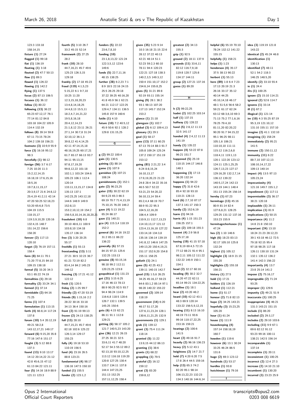$\equiv$ 

| 123:3 133:18<br>158:14,15                       | fourth (5) 3:10 26:7<br>33:2 45:15 52:14              | funders (5) 22:22<br>23:6,7,8,10                 | given (35) 5:23 9:14<br>10:3 16:18 21:15 22:6 | greatest $(2)$ 34:13<br>155:3                | helpful (6) 55:19 70:10<br>78:24 132:12 141:22 | idea (3) 119:19 121:8<br>143:22                    |
|-------------------------------------------------|-------------------------------------------------------|--------------------------------------------------|-----------------------------------------------|----------------------------------------------|------------------------------------------------|----------------------------------------------------|
| fixture $(1)$ 27:24                             | framework $(2)$ 27:25                                 | funding $(10)$                                   | 28:12 37:22 40:13                             | grip (1) 92:5                                | 155:15                                         | identical (2) 45:24 46:8                           |
| flagged (1) 99:18                               | 28:2                                                  | 23:1,8,13,22 121:24                              | 42:21 48:14 51:1                              | ground (2) 18:11 137:9                       | helpfully (1) 158:21                           | identification (1)                                 |
| flat (1) 136:19                                 | frank (10) 28:10                                      | 122:3,5,12 123:6                                 | 52:23 59:2,3 60:10                            | grounds (11) 33:6,11                         | helps $(1)$ 1:23                               | 130:13                                             |
| floating $(1)$ 3:18                             | 44:7,16,21 45:7 49:6                                  | 149:6                                            | 78:11 94:4 120:23                             | 82:12 116:7,9,18                             | henderson $(4)$ 35:17                          | identified $(7)$ 48:11                             |
| flouted (2) 47:7 50:13                          | 125:23 126:3,15                                       | funds (5) 22:7,11,16                             | 122:21 127:18 138:3                           | 119:8 120:7 125:8                            | 37:5 38:13 90:22                               | 52:1 54:2 118:3                                    |
| flow $(1)$ 89:3<br>flowed $(1)$ 126:22          | 129:18<br>frankly (2) 17:18 45:23                     | 48:15 138:25<br>further (28) 6:2,23 7:1          | 140:2,3,5 149:3,12<br>150:4 151:10,17 152:2   | 134:17 144:11<br>group (2) 127:21 137:16     | herbert $(1)$ 55:13<br>here (89) 1:8 6:4 7:23  | 146:25 148:5,20<br>identify (2) 33:10 55:4         |
| flowing $(1)$ 142:2                             | fraud (119) 4:1,5,23                                  | 8:9 18:5 22:16 24:15                             | 154:6,14 155:8,25                             | guess (1) 89:20                              | 17:13 20:19 21:3                               | ie $(1)$ 24:4                                      |
| flying $(1)$ 137:5                              | 5:15,22 6:1 9:7,10                                    | 25:5 26:25 29:18                                 | gives (5) 31:21 89:8                          |                                              | 26:16 33:17 35:12                              | ifrs (1) 100:25                                    |
| focus (2) 87:13 106:5                           | 10:25 11:20                                           | 37:22 39:25 40:16,20                             | 92:19 93:11 155:14                            | н                                            | 40:14 44:25                                    | ignore (2) 15:10 114:21                            |
| focuses (1) 36:12                               | 12:3,15,18,20,23                                      | 41:8 45:9 56:1 62:21                             | giving (9) 28:1 38:2                          |                                              | 45:10,14,18 46:17                              | ignored (2) 52:6 114:7                             |
| follow $(1)$ 80:22                              | 13:4,8,14,18,25                                       | 64:21 112:17 122:25                              | 93:1 98:13 107:20                             |                                              | 48:1 51:5,6 56:6 58:2                          | ignores (1) 33:14                                  |
| following $(13)$ 36:22<br>65:23 67:12,17 76:1   | 14:4,8,13 15:5,11<br>18:2,4,7,14,21,22                | 129:4,7 134:11 136:5<br>145:8 157:9 160:6        | 117:13 145:7 152:24<br>153:2                  | h (2) 99:22,25<br>hadnt (2) 102:25 103:14    | 59:21 61:17 62:24<br>63:12 68:3,6,10 69:3      | ill $(1)$ 67:2<br>illogical $(1)$ 121:14           |
| 77:14 81:12 84:8                                | 19:5,8,16,18                                          | futile $(1)$ 4:10                                | glance (1) 21:18                              | half (1) 137:15                              | 71:13 75:2 77:1,6,16                           | im (10) 4:3 55:25 87:19                            |
| 103:18 104:22 105:9                             | 20:4,12,14,23                                         | future (10) 7:2 40:5,12                          | glaregaze (1) 102:7                           | halfway $(1)$ 128:22                         | 78:25 79:4,10                                  | 95:3,19 121:10,12                                  |
| 114:4 132:19                                    | 21:1,8,12 23:11 26:21                                 | 45:9 50:6 92:1 128:2                             | global (3) 6:12 109:4,13                      | hand (5) 2:8,12 11:13                        | 81:11,20 82:20,22                              | 131:10 155:11 157:10                               |
| follows (8) 39:14 59:8                          | 27:1,14 30:7,8 31:24                                  | 129:8 131:15,25                                  | glossary (1) 29:1                             | 32:5 141:17                                  | 90:20 91:7 94:15,22                            | imagine (2) 41:1 132:10                            |
| 67:11 73:15 78:24                               | 32:10,12 36:1,3                                       |                                                  | goal (1) 58:17                                | handed $(4)$ 2:4,12 11:13                    | 95:1 96:25 98:11                               | imagining $(1)$ 158:24                             |
| 104:2 139:18 156:21                             | 39:8,12 41:4,14,25                                    | G                                                | goes (13) 37:11 60:25                         | 141:19<br>handy (1) 135:22                   | 105:1,6 106:21                                 | immediately (2) 95:21                              |
| footnote (3) 10:9,9 55:9                        | 42:11 47:14,15,18                                     |                                                  | 67:13 70:14 88:3 91:7                         | happen (4) 53:22 87:8                        | 110:10,10 111:11                               | 141:5<br>immune (2) 150:11,12                      |
| force (3) 16:16 95:12<br>98:3                   | 48:16,19,25 60:17,21<br>61:7 65:17 66:13 93:7         | g (2) 99:22 100:4                                | 105:8 109:24 125:24<br>137:2 150:17 151:19    | 96:21 151:7                                  | 115:12 116:2,6,8<br>118:4,11 119:1,13          | immunity $(11)$ 6:22                               |
| forcefully $(1)$ 98:12                          | 94:11 95:13.15                                        | gain (1) 130:5                                   | 153:12                                        | happened $(5)$ 25:19                         | 120:1 122:20 123:12                            | 88:7,10 107:12,13                                  |
| foreign (56) 3:7 6:17                           | 97:8,17,19,20                                         | gaining (1) 88:14                                | going (81) 2:21,22 3:4                        | 110:15 144:17 146:8                          | 124:11 125:1,25,25                             | 108:10,14,17,22                                    |
| 7:25 10:20 11:3                                 | 99:8,12,22 101:18                                     | game (1) 107:9                                   | 6:24 8:8,15,24                                | 148:1                                        | 126:7,13,23 127:17                             | 109:13 140:14                                      |
| 15:2,12,14,15                                   | 102:1,1 103:24 104:6                                  | garnishee (2) 107:21                             | 16:10,13,17                                   | happening $(3)$ 17:13                        | 129:16,20 132:2,7,14                           | impact (4) 13:5 97:13                              |
| 16:18,19 17:6,15,16                             | 105:23 106:1 112:4                                    | 108:24                                           | 17:9,19,20,23 21:23                           | 36:20 132:14                                 | 136:12 139:22                                  | 105:23,24                                          |
| 18:5,16                                         | 120:14                                                | garnishments (1) 152:1<br>gate (2) 96:23,25      | 24:8 28:4 34:22 35:16                         | happens $(1)$ 94:22<br>happy (7) 31:8 42:6   | 140:5,17,24 142:13                             | impecuniosity (4)                                  |
| 19:7,8,11,15,17<br>20:3,9,17 21:6 24:8,12       | 133:11, 13, 15, 17 134:8<br>135:13 137:1              | gater (15) 30:22 62:19                           | 46:5 50:7 52:22<br>53:21,23 54:20,22          | 85:4 92:18 93:10                             | 143:19 144:1 148:4<br>151:13 155:24 156:14     | 121:16 149:7 155:1,2<br>impediment (1) 117:11      |
| 25:4,19 41:2,11 42:14                           | 142:23,25 143:12,18                                   | 64:9,23 65:3 66:3                                | 56:10,13,14 59:4                              | 110:21 128:13                                | hereby $(1)$ 67:23                             | impermissible (3) 36:17                            |
| 47:20 50:25 52:18,23                            | 144:6 148:9 149:9                                     | 69:19 70:7 71:4,13,19                            | 65:2,4,4 68:19 70:7                           | hard $(6)$ 2:7,10 87:17                      | hermitage (13) 45:16                           | 38:21 120:18                                       |
| 53:20 65:6,8 73:5                               | 152:8,13                                              | 75:10,15 76:20 146:2                             | 88:9 91:22 95:3                               | 137:3 141:17 150:3                           | 80:9 81:14 82:4                                | implausible $(1)$ 26:11                            |
| 104:19 115:5                                    | 153:2,10,12,19 154:2                                  | gave (4) 5:13 19:22                              | 104:5,12,16,20                                | hardly (2) 152:6,19                          | 127:6,8,21 128:25                              | implication $(1)$ 81:9                             |
| 118:15,17                                       | 156:5,8,10,14,16,18,20,21                             | 65:24 66:17                                      | 106:4,4 109:9                                 | harm $(1)$ 94:16                             | 129:25 131:12 137:16                           | implications $(1)$ 50:15                           |
| 119:3,9,10,20 120:16                            | fraudulent $(10)$ 6:8                                 | gaze (1) 140:21<br>gca (4) 115:3,4 118:19        | 110:9,11 112:7,13,23                          | harris (4) 1:15 151:23<br>156:25 157:1       | 153:23 155:9                                   | importance $(4)$ 11:2                              |
| 132:4,15 148:7<br>151:14,22 156:6               | 39:10 48:6,11 100:9<br>103:8,10 134:18                | 152:2                                            | 114:10,13,17 121:12<br>123:4,13,16,18 127:22  | hasnt (2) 109:18 155:3                       | hermitagecherkasov (1)<br>47:24                | 14:8 21:8 150:10<br>important (24) 13:10           |
| 158:20                                          | 135:17 136:14                                         | general (6) 14:16 19:22                          | 133:14,18 134:3,8                             | havent $(4)$ 2:9 56:8                        | hes (2) 1:10 146:6                             | 18:24 21:23 28:12,23                               |
| forever (2) 117:13                              | free (3) 3:20 20:25                                   | 31:2 85:11 86:22                                 | 135:16 136:14 139:19                          | 125:17,18                                    | high (6) 18:23 83:13                           | 39:1 43:18 46:12 72:5                              |
| 120:10                                          | 55:17                                                 | 136:22                                           | 141:8,12 146:6 147:25                         | having (19) 41:15 57:18                      | 92:17 105:10 125:8                             | 79:18 92:15 95:4                                   |
| forgot (3) 76:19 157:11                         | freehills $(1)$ 55:13                                 | generally (6) 57:15                              | 149:13,20 150:4,19,21                         | 67:8,19 69:4,5 72:15                         | 132:24                                         | 97:18 98:25 117:18                                 |
| 158:4                                           | freestanding $(13)$ 3:11                              | 84:15 97:21 125:6                                | 151:17 152:9,20 154:8                         | 77:12 88:21 91:4 95:1                        | highest $(1)$ 105:12                           | 126:11 130:10 131:24                               |
| form $(8)$ 64:11 70:1                           | 27:21 30:5 32:23 36:7                                 | 132:25 133:13<br>genuine (8) 93:15,16            | 155:11 158:25                                 | 98:2,11 105:12 111:22<br>132:22 145:9 150:1  | highlight (3) 18:9 21:15<br>155:20             | 132:1 135:12 136:2                                 |
| 71:20 77:8,15 84:10<br>109:15 138:18            | 61:21 72:19 82:2<br>83:4,14 84:2 145:23               | 98:18 99:2 112:11                                | goliath (1) 24:1<br>gone (5) 42:25 43:2       | 154:1                                        | highlights (2) 155:18                          | 141:4 142:3 156:22<br>importantly (4) 13:7         |
| formal (5) 33:20 34:3                           | 146:12                                                | 120:23,25 123:8                                  | 139:11 140:15 142:7                           | head $(2)$ 32:17 60:16                       | 156:21                                         | 23:8 25:14 141:2                                   |
| 63:1 65:22 74:19                                | freezing $(3)$ 17:21 41:12                            | geopolitical (1) 131:23                          | good (15) 1:5,6 26:25                         | heading (9) 30:2 32:7                        | history $(1)$ 27:5                             | impose (2) 75:16,17                                |
| formalities $(1)$ 29:18                         | 122:12                                                | get (21) 3:15 6:25                               | 34:25 45:16,17 59:23                          | 44:20 47:22 62:11                            | hold (1) 17:21                                 | impregnable $(2)$ 71:24                            |
| formality (2) 33:24 34:1                        | fresh $(1)$ 120:5                                     | 17:16 46:13 78:13                                | 64:6 83:1,2 85:14 97:1                        | 65:14 99:21 134:22,25                        | holders (1) 126:19                             | 93:25                                              |
| formed (1) 37:14                                | friday (2) 1:25 99:7                                  | 88:9 90:25 92:5 93:7<br>94:4 96:24 114:9         | 98:20 140:22 155:22                           | headline $(1)$ 18:1<br>hear (2) 43:20 46:2   | holland (1) 112:21                             | improper (1) 129:6                                 |
| formidable $(2)$ 64:16<br>71:25                 | friendly (2) 47:20 53:19<br>friends $(9)$ 1:15,16 2:2 | 116:6,8 118:5 120:6                              | governed (2) 109:14<br>118:19                 | heard (10) 42:12 43:1                        | home $(1)$ 51:17<br>honour (2) 71:8 82:13      | impunity (2) 49:21 51:9<br>inaccurate $(1)$ 100:25 |
| forms (1) 107:4                                 | 28:22 30:16 33:18                                     | 126:7 132:1 139:5                                | government $(14)$ 6:20                        | 48:3 69:9 120:14                             | hope (2) 34:25 143:21                          | inappropriate $(4)$ 46:21                          |
| formulation $(1)$ 113:15                        | 34:13 36:4 150:16                                     | 145:25 150:6                                     | 46:17 51:17,20                                | 133:22 156:5,9,12,15                         | hopefully (3) 15:23,25                         | 131:3 143:21 151:15                                |
| forth (4) 66:8,14 117:24                        | front (2) 91:19 99:13                                 | gets (6) 4:15 62:21                              | 127:6,11,23,24 128:1                          | hearing (11) 8:13 16:10                      | 105:20                                         | include (1) 86:20                                  |
| 137:8                                           | frozen (2) 24:13 138:25                               | 86:11 91:1 112:8                                 | 130:6,11,21,25 132:9                          | 48:19 73:11 93:6                             | hour $(1)$ 61:24                               | included (2) 29:3,17                               |
| forum (10) 5:4 20:12,19                         | full $(13)$ 28:10                                     | 129:21                                           | governments $(1)$ 129:1                       | 99:16 110:17,22,25                           | house $(1)$ 111:9                              | includes (2) 29:10 103:6                           |
| 49:21 58:2,8                                    | 44:7,15,21 45:7 49:6                                  | getting (6) 58:17 105:2<br>121:7 140:5,23 143:20 | grab (1) 139:12                               | 153:16 159:21<br>hearings $(2)$ 100:6        | housekeeping (4)                               | including (11) 9:9 67:1                            |
| 143:12,17,21 149:17<br>forward (6) 9:15,20 35:8 | 82:18 102:6 125:22<br>126:3,14 129:17                 | give (36) 12:21 26:15                            | grant (3) 75:4 111:24<br>118:14               | 141:5                                        | 157:14 158:18,19<br>160:7                      | 69:6 82:12 91:12<br>93:23 99:16 100:11             |
| 77:16 147:6 151:17                              | 155:23                                                | 27:25 30:21 32:5                                 | granted $(5)$ 11:22                           | heart (2) 49:16 91:7                         | howden (1) 119:6                               | 138:21 142:5 156:14                                |
| fought (3) 5:12 88:8                            | fully (4) 19:18 53:10                                 | 33:6,11 41:7 48:20                               | 13:9,15 44:12 86:13                           | heavily (2) 96:16 136:23                     | however (6) 13:1 30:24                         | incomparable (1)                                   |
| 137:3                                           | 110:19 156:5                                          | 52:17 54:3 55:12 89:2                            | granting $(1)$ 38:6                           | heavy (2) 5:12 43:1                          | 33:25 46:24 86:5                               | 137:14                                             |
| found (13) 9:10 13:17                           | fund $(4)$ 23:16 26:5                                 | 92:13,18 93:10,12,25                             | grants (1) 68:22                              | heightens (2) 14:7 21:7                      | 131:6                                          | incomplete $(1)$ 20:11                             |
| 14:12 20:14,22 21:12                            | 88:8 123:21                                           | 113:12 116:18 119:20                             | grappling $(1)$ 79:5                          | held (7) 4:20 6:20 7:5                       | huge (2) 69:3 123:12                           | inconsistent $(1)$ 100:25                          |
| 42:8 45:6,15 47:12                              | fundamental (4) 98:17                                 | 120:8 127:25 130:4<br>133:7 134:11 137:8         | grateful $(2)$ 16:12                          | 17:8 26:4 44:5 159:16<br>help (13) 65:3 74:2 | hundreds (1) 53:17                             | incorrect (2) 12:4 27:3                            |
| 61:13 84:22 121:11<br>four (5) 14:16 18:9 88:9  | 136:16 147:5 150:10<br>funded $(1)$ 155:5             | 144:4 147:23,25                                  | 159:12<br>great (3) 83:20                     | 82:20 95:1 98:14                             | hurdles (1) 93:8<br>hutchinson (1) 79:16       | increase (2) 14:10 21:10<br>incumbent $(1)$ 130:20 |
| 121:11 123:3                                    | funder $(2)$ 123:1,2                                  | 151:13 152:25                                    | 159:8,12                                      | 106:13,22,23 132:23                          |                                                | incurred (3) 23:23 25:9                            |

134:3 140:16 144:6,14

**I**

157:11,12,25 158:4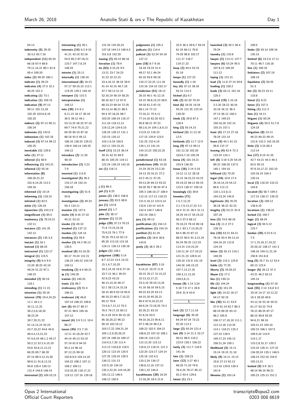$\equiv$ 

| 54:13                                               | interesting $(1)$ 26:1                      | 131:24 135:20,23                             | judgments $(1)$ 105:2                      | 32:9 36:3 39:6,7 59:19                       | launched (3) 45:2 56:4                            | 109:5                                           |
|-----------------------------------------------------|---------------------------------------------|----------------------------------------------|--------------------------------------------|----------------------------------------------|---------------------------------------------------|-------------------------------------------------|
| indemnity $(5)$ 29:25                               | interests $(14)$ 6:3 9:10                   | 137:18 144:13 148:4,5                        | judicata (1) 114:4                         | 61:24 66:11 70:8                             | 79:24                                             | limbs (3) 93:14 109:16                          |
| 30:3,5 83:7,16                                      | 41:21 42:10 52:16                           | 151:5,8 152:20                               | judicial (3) 52:24 54:18                   | 79:20 98:8 102:17                            | laundry (1) 133:8                                 | 135:15                                          |
| independent $(11)$ 65:24<br>66:18 67:4 68:8         | 54:9 85:2 87:18,21<br>133:7 147:7,8,19      | issuing (2) 40:14 86:18                      | 127:12<br>june (18) 8:7 9:16               | 111:17 118:7<br>119:17,23                    | lawyer (2) 113:11 127:7<br>lawyers (6) 53:24 95:5 | limited $(6)$ 14:2,6 17:11<br>70:11 96:7 116:18 |
| 79:11,14,21 80:1 81:6                               | 148:24                                      | iteration $(1)$ 78:4<br>its (63) 4:15,24 9:5 | 18:18 19:19 31:4                           | keep (3) 44:4 53:15                          | 107:8,12 109:20                                   | line $(1)$ 100:16                               |
| 95:4 109:20                                         | interim $(1)$ 25:11                         | 13:21 23:7 24:23                             | 48:17 52:1 64:24                           | 91:19                                        | 111:12                                            | linklaters (2) 107:19                           |
| index (2) 99:20 160:1                               | internally $(1)$ 138:16                     | 31:23 32:12,15                               | 65:10 93:6 99:18                           | keeps (1) 127:23                             | laying (1) 131:21                                 | 108:19                                          |
| indicate $(1)$ 26:23                                | international $(8)$ 16:23                   | 33:4,10,15 38:18 39:9                        | 110:17,22,25 111:18                        | kennelly $(1)$ 1:16                          | lead (3) 11:8 27:14 59:6                          | liquidator $(2)$ 50:25                          |
| indicates (4) 27:5 32:1                             | 57:17 59:10,10 112:1                        | 41:14 42:15 46:7,18                          | 123:16 134:10 152:17                       | key (4) 37:12 38:18                          | leading (1) 150:2                                 | 51:3                                            |
| 40:25 152:3                                         | 119:25 129:2 149:19                         | 47:7 50:13 51:21                             | jurisdiction (51) 18:12                    | 55:15 115:3                                  | leads (3) 63:11 101:16                            | list (3) 36:23 43:11                            |
| indicating $(1)$ 73:1                               | interpret $(1)$ 115:3                       | 52:16,19 56:19 58:25                         | 26:10 40:1 41:12,15                        | kicked (1) 6:7                               | 120:3                                             | 133:8                                           |
| indication $(1)$ 159:15                             | interpretation (1)                          | 60:16 62:7,12 67:8                           | 54:15 56:8,15,23 58:6                      | kills (2) 62:20 79:24                        | learned $(19)$ 1:15,16                            | listed $(1)$ 9:22                               |
| indicative $(9)$ 97:13                              | 148:12                                      | 68:23,23 69:24 72:25                         | 59:18 61:3 67:15                           | kind (6) 18:25 19:24                         | 2:2,20 28:22 30:16                                | listen $(1)$ 157:3                              |
| 99:11 101:13,18                                     | into (30) 3:4 6:2                           | 83:13,14 86:21 88:5                          | 68:1,14 71:13                              | 93:25 121:25 123:10                          | 33:18 34:12 36:4                                  | listing $(1)$ 111:3                             |
| 102:20 103:6,8,10                                   | 8:11,15 16:17 30:10                         | 94:5 97:18,24 98:7                           | 72:10,21 75:4,11                           | 130:20                                       | 37:13 56:12 146:2                                 | lists $(1)$ 16:11                               |
| 105:25                                              | 36:5 39:12 49:1                             | 103:25 106:19 110:17                         | 77:14,18 82:20 92:2                        | kinds (3) 29:8 67:3                          | 147:1 149:23                                      | litigant $(1)$ 50:24                            |
| indirect (3) 97:13 99:11                            | 53:13,25 56:25 57:10                        | 111:16 118:12,13                             | 95:8 96:21 97:23                           | 128:4                                        | 150:16,20 152:14                                  | litigants (4) 50:5 51:7,8                       |
| 105:24                                              | 69:7 74:9 75:21,22                          | 119:12,24 124:9,10                           | 98:2,6,14 104:1,8,9,13                     | king (2) 55:14,15                            | 155:15 157:1                                      | 124:18                                          |
| indonesia (1) 142:8                                 | 84:20 85:10 87:16                           | 126:25 128:12 131:1                          | 113:9,12 116:23                            | kirtland (3) 11:12,18                        | least (4) 17:13 27:18                             | litigation $(8)$ 23:13                          |
| indonesian $(1)$ 142:18                             | 88:18 91:5 95:12                            | 132:15 135:12                                | 117:15 120:9 123:5                         | 12:5                                         | 78:24 131:14                                      | 46:23 84:22 99:15                               |
| induced (3) 97:14 99:12<br>105:25                   | 106:10 128:25 129:21<br>136:9 140:14 145:25 | 143:1,9,24 150:5<br>152:11 155:15,15         | 131:25 132:4,14                            | kirtlands (2) 11:7 12:9                      | leave (4) 45:1 61:15<br>95:8 137:17               | 131:6 132:3 142:19,20                           |
| inevitable $(1)$ 129:8                              | 146:12                                      | itself (11) 15:23 36:14                      | 134:1,13 141:14<br>143:13,23 150:22,25     | kmg (9) 97:13 99:11<br>101:12,18 102:20      | leaving (4) 62:4 72:3                             | little $(3)$ 3:24 80:3<br>112:14                |
| infer $(1)$ 27:11                                   | introduce $(2)$ 11:20                       | 39:15 42:15 84:9                             | 158:20                                     | 103:6,7,10 105:24                            | 123:24 124:1                                      | live (17) 8:19 41:25                            |
| inferred $(1)$ 48:9                                 | 48:19                                       | 88:15 105:25 119:11                          | jurisdictional (1) 63:18                   | knew (4) 101:19,21                           | left (8) 3:16 5:25 54:24                          | 42:7 43:21 44:3 46:3                            |
| influencing $(1)$ 143:21                            | introduction (2) 3:23                       | 122:24 139:19 143:10                         | jurisdictions (40) 14:20                   | 103:9 136:20                                 | 89:22 106:20 137:5                                | 83:5 95:15                                      |
| informal (1) 55:16                                  | 7:9                                         | ive $(1)$ 116:11                             | 15:19 20:24 23:2,20                        | know (16) 2:14 5:10                          | 145:1 154:10                                      | 97:9,10,17,21 102:10                            |
| information (8)                                     | inverted $(1)$ 113:8                        |                                              | 24:13 25:16,21 27:2                        | 10:12 11:12 28:18                            | lefthand (1) 70:25                                | 103:16,19 104:3                                 |
| 100:20,21,22                                        | investigated $(5)$ 36:3                     | J                                            | 42:2 45:11 57:25                           | 32:15 34:22,23 43:15                         | legal (16) 10:8 17:4                              | 120:14                                          |
| 101:6,14,20 113:3                                   | 133:17,18 152:14                            |                                              | 59:13,20 69:13 93:22                       | 55:19,22 68:12 85:19                         | 35:10,14,19 54:12                                 | local (3) 118:24 132:21                         |
| 159:18                                              | 156:18                                      | j(1)86:3                                     | 94:20 95:7 96:24 97:4                      | 123:5 136:17 159:14                          | 84:6 112:11                                       | 144:8                                           |
| informed $(1)$ 10:14                                | investigating (2) 51:6                      | jail (1) 6:25                                | 105:3 106:10,17 108:4                      | knowingly (1) 39:8                           | 116:1,3,5,8,11                                    | located (5) 58:7 109:3                          |
| informing $(1)$ 118:15                              | 54:8                                        | james (2) 138:5 158:8                        | 112:15 117:12 118:23                       | knowles (71)                                 | 144:23,24 145:8                                   | 117:15 138:17 139:22                            |
| initiated $(1)$ 82:5                                | investigation (3) 49:23                     | january (2) 93:5 98:8                        | 121:5,10,12 123:4,14                       | 1:5,7,12,22                                  | legitimate $(4)$ 35:25                            | location $(3)$ 109:12                           |
| initio (1) 126:18                                   | 50:3 133:11                                 | joa (1) 122:8                                | 132:6 133:14 141:9                         | 2:1,7,9,13,17,23 3:2                         | 36:18 38:22 42:23                                 | 138:9,10                                        |
| injunction (2) 143:2,9                              | investor (1) 137:4                          | joined $(1)$ 1:7<br>joke (1) 38:17           | 142:4 144:7 148:8                          | 16:4 21:21 28:3 31:11                        | lengthy (3) 53:21 91:9                            | locations (1) 138:21                            |
| insignificant $(1)$ 85:5<br>insolvency (3) 78:19,21 | invite (4) 8:16 27:10<br>45:21 53:15        | jozoyan (1) 22:25                            | 152:19 156:3<br>jury (1) 99:13             | 34:25 43:17 55:19,23<br>56:3 57:5 68:12      | 107:18<br>lens (2) 74:6 98:16                     | locked $(1)$ 150:7<br>logic (1) 48:24           |
| 132:11                                              | invoke (1) 49:10                            | judge (20) 37:13 70:23                       | justification $(1)$ 154:13                 | 76:10,23 78:10 80:18                         | less (3) 11:2 27:2                                | logical (3) 94:5,12                             |
| instance (2) 141:25                                 | invoked (1) 137:12                          | 71:8 73:15,23,24                             | justifications (1) 154:14                  | 81:1 83:1,7,13,20,22                         | 128:15                                            | 123:7                                           |
| 142:12                                              | invokes (1) 124:14                          | 75:9,23 76:1 77:9                            | justified $(1)$ 41:19                      | 84:4 86:23 87:13                             | lets (10) 63:21 64:21                             | london (20) 5:23 6:11                           |
| instances (2) 135:3,4                               | invoking $(1)$ 39:9                         | 78:25 79:5,10 82:13                          | justifies (3) 18:6 30:6                    | 88:22 90:5 91:3,21,24                        | 78:16 93:4 94:13,14                               | 7:5                                             |
| instant $(1)$ 16:1                                  | involve (3) 44:3 95:13                      | 85:20 113:10 115:18                          | 143:8                                      | 92:24 95:25 112:19                           | 104:10,19 112:8                                   | 17:1,15,16,17,19,22                             |
| instead $(1)$ 88:25                                 | 130:5                                       | 118:11 126:13 130:18                         | justly (2) 38:3 39:2                       | 113:14 114:23,25                             | 124:19                                            | 25:20,22 138:17 141:3                           |
| instructed $(1)$ 122:17                             | involved (9) 53:19,20                       | judges (1) 128:1                             |                                            | 116:11,24 117:19,22                          | letter (3) 55:13 110:1                            | 148:16 149:11,21,24                             |
| integral $(1)$ 115:5                                | 60:17 74:24 131:21                          | judgment (108) 5:14                          | $\overline{\mathsf{K}}$                    | 121:21,23 128:9,14                           | 140:20                                            | 150:8 151:8,8                                   |
| integrity (9) 6:4 9:4                               | 136:23 140:23 143:19                        | 8:7 12:23 13:4 14:22                         |                                            | 129:10 131:8 141:19                          | level (2) 115:2 125:8                             | long (5) 25:7 51:12 53:4                        |
| 13:20 38:25 42:10                                   | 149:11                                      | 15:1,4,7,10,20                               | kazakhstan (87) 3:10                       | 144:16 145:15,22                             | liable (1) 77:25                                  | 60:13 123:4                                     |
| 49:24 51:22 97:1                                    | involving (2) 6:4 60:21                     | 18:2,14,19 19:8 27:16<br>33:7,13 36:1 39:24  | 6:14,21 10:23 11:8<br>20:15 25:17 31:15,22 | 157:7,13,17,25                               | liberty (2) 19:20,22                              | longer (6) 26:12 37:3                           |
| 148:23<br>intended (2) 95:19                        | ip (1) 140:20                               | 42:9,23 43:23                                | 32:13,15,17,21                             | 158:3,11,13,16<br>159:5,8,11                 | libyan (1) 17:2                                   | 43:21 46:2 83:12<br>145:14                      |
| 118:1                                               | iranian $(1)$ 140:25<br>ironic (1) 98:7     | 46:13,14,16 48:17                            | 33:3,10 39:10,13,24                        | knows (9) 1:14 3:24                          | lies $(1) 130:13$<br>life $(1)$ 144:24            | longstanding $(1)$ 57:16                        |
| intending $(1)$ 11:15                               | irrelevancy (2) 91:4                        | 52:1 58:13,14,15,18                          | 41:16 58:16 59:5,15                        | 5:18 7:9 17:1 28:8                           | lifted $(1)$ 151:25                               | look (55) 2:14 3:6,8 6:2                        |
| intention $(1)$ 20:16                               | 106:21                                      | 59:15 60:9 62:19 65:6                        | 60:23 62:25 63:13                          | 29:6 31:9 43:9                               | light (4) 14:22 18:17                             | 10:16 14:17 15:12,22                            |
| interest (70) 10:4,24,25                            | irrelevant $(4)$ 46:8                       | 66:10,23 68:5,7,10,22                        | 64:15,18 65:20,21                          |                                              | 54:17 92:15                                       | 16:3 28:20 40:6                                 |
| 11:1 18:2,3                                         | 107:14 108:23 109:6                         | 69:12 70:6                                   | 66:4 67:8,10,23,23                         |                                              | like (30) 51:11 53:9                              | 43:12,16 52:16 59:21                            |
| 35:11,12,25                                         | isnt (6) 64:17 88:17                        | 73:5,6,7,12,12 75:3                          | 69:9,24 72:18,25 74:2                      |                                              | 57:9 61:19 62:7 80:3                              | 61:17 63:22 74:8                                |
| 36:2,5,6,18,20                                      | 97:21 98:6 105:16                           | 76:5 79:17,23 80:11                          | 82:20,21 83:15                             | lack (3) 22:7,11,16                          | 88:19 89:25 93:13                                 | 78:12 86:25 87:17                               |
| 38:23,24                                            | 147:12                                      | 81:4,24 93:6 94:15,18                        | 91:8,16 93:5                               | language $(6)$ 35:20                         | 96:2 105:8                                        | 88:15 90:8 93:20                                |
| 39:7,20,21,22                                       | issued (4) 3:9 5:11 10:4                    | 95:18,20,22 96:22                            | 94:10,16,23 95:6,11                        | 64:24 67:24 73:22                            | 106:17,17,18,18 111:1                             | 94:6,21 98:16                                   |
| 41:13,13,23 42:23                                   | 86:17                                       | 99:19 102:10,12                              | 97:3 98:19 99:2,8                          | 92:20 113:3                                  | 112:12,16 113:25                                  | 103:21,23 104:10                                |
| 43:7,10,22 44:6 45:6                                | issues (45) 3:5 7:10                        | 103:17,22 104:21,24                          | 100:23 102:5 104:21                        | large (2) 93:24 121:4                        | 114:1 118:21 125:2                                | 105:23 106:1 107:5                              |
| 46:4,4,13,21,23                                     | 12:11 41:16,20 42:7                         | 105:1,5,9,20,20,21<br>107:24 108:16 109:17   | 106:6,23 107:10 108:1<br>109:18 110:2,23   | last (9) 3:14 21:3 33:17<br>90:21 98:9 110:2 | 127:22 128:5                                      | 109:9,24 110:9                                  |
| 47:4,6,10 48:1,2 49:17                              | 44:14 45:13 53:19                           | 110:4,5,7,20 111:4                           | 112:12,20 115:12                           | 123:9 130:1 156:22                           | 140:17,23 145:12                                  | 114:1,17                                        |
| 50:2,12 52:2,4,15,19                                | 57:19 61:9 94:10<br>95:2,14 96:10           | 112:13 116:6,8 118:5                         | 116:6,13 118:21 121:3                      | lastly (3) 111:7 118:9                       | 158:21,24 159:1<br>likelihood $(4)$ 14:11         | 115:2,8,15,17 120:2<br>123:10 126:11 127:22     |
| 53:6 54:8,11,12,21<br>60:20 85:7 86:20              | 97:12,15 99:18                              | 120:12 123:16 125:5                          | 122:20 123:17 124:14                       | 141:16                                       | 15:14 19:15 21:10                                 | 134:20,24 135:1 146:5                           |
| 87:14 88:4,12,15,20                                 | 102:8,9,9 103:14,16                         | 127:25 128:24 129:5                          | 125:16 132:4,5                             | late (1) 158:23                              | likely (9) 14:11 15:13                            | 148:14 152:16 154:9                             |
| 90:8,11 91:8,13,15                                  | 104:22 106:2 107:11                         | 130:12 131:13                                | 133:3,24 134:17                            | later (12) 3:17 40:1                         | 19:8 27:13 92:13                                  | 155:13,21                                       |
| 94:8 120:4 130:13                                   | 108:2 109:11                                | 132:5,18 134:10                              | 136:6,12,16 137:12                         | 68:20 71:10 74:8                             | 113:16 129:8 130:4                                | looked (9) 5:9 18:1                             |
| 131:4 144:8 146:14                                  | 110:10,20 118:17,21                         | 135:2,22,24 143:16,20                        | 139:1,22 144:4                             | 76:4,25 79:17 85:12                          | 141:9                                             | 48:14 96:19 98:21                               |
| interested (2) 109:10,15                            | 119:12 127:16 129:18                        | 145:12,12 146:5                              | kazakhstans (20) 10:24                     | 92:2 93:4 129:6                              | likewise (2) 103:14                               | 105:23 125:13 151:2                             |

12:18,20 18:4 21:8

 $\frac{1}{\text{Interest (1) } 23:1}$ 

Opus 2 International Official Court Reporters 148:12 150:5

transcripts@opus2.com 0203 008 6619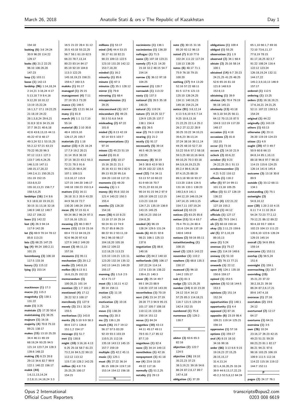Ė

| 154:18                                             | 16:5 21:22 28:4 31:12                             | millions $(1)$ 53:17                        | nacimiento (1) 136:1                            | note (5) 30:15 31:16                           | obligations (1) 109:4                            | 65:1,10 66:1,7 69:16                          |
|----------------------------------------------------|---------------------------------------------------|---------------------------------------------|-------------------------------------------------|------------------------------------------------|--------------------------------------------------|-----------------------------------------------|
| looking (6) 3:6 24:24                              | 35:5 43:18 55:22,25                               | mind (14) 44:4 53:15                        | nacimientos $(1)$ 136:20                        | 85:20 92:12 96:13                              | obliged (1) 55:25                                | 72:10 73:6,11,17                              |
| 30:9 96:20 114:22                                  | 56:7 58:1 61:19 62:5                              | 58:17 61:18 82:21                           | naftogaz (1) 71:5                               | noted (7) 8:10 77:6                            | observation $(1)$ 1:9                            | 77:8,19 78:15                                 |
| 129:17                                             | 66:23 78:7,13,14<br>80:23 83:14 84:17             | 90:23 109:13 122:5<br>123:10 131:20 142:12  | name (2) 107:18 123:21<br>namely (7) 4:21 14:20 | 102:24 111:22 117:24<br>118:13 138:20          | observed (2) 34:1 68:4<br>obtain (3) 25:16 58:14 | 81:17,18,25 82:3,7<br>91:22 108:24 116:4      |
| looks $(6)$ 21:2 22:25<br>96:10 106:20,20          | 85:19 92:19 104:8                                 | 153:7,18,20                                 | 15:18 32:2 48:15 54:7                           | notes $(6)$ 48:17 71:1                         | 100:1                                            | 122:12 123:24                                 |
| 147:23                                             | 113:3 122:25                                      | minded $(1)$ 16:2                           | 154:14                                          | 75:9 76:18 79:15                               | obtained (14) 6:7 20:23                          | 126:18,19,24 132:11                           |
| loop $(1)$ 103:11                                  | 145:18,19,23 158:21                               | minority $(1)$ 85:6                         | narrow (3) 36:12 97:18                          | 100:20                                         | 24:21,25 41:25 48:25                             | 144:17,22                                     |
| loose $(1)$ 142:13                                 | 159:4,7 160:3,5                                   | minute $(1)$ 67:3                           | 104:25                                          | nothing (17) 9:4 13:20                         | 52:6 65:16 81:18                                 | 145:2,3,9,10,13 146:9                         |
| lordship (96) 1:14,18,24                           | maleks (1) 91:17                                  | minutes (2) 35:1 128:12                     | narrowest (1) 120:7                             | 52:16 57:22 68:11                              | 121:8 148:9,9                                    | 157:17                                        |
| 2:14,21 3:16,24 4:17                               | managed $(1)$ 25:15                               | mirror (1) 79:8                             | narrowish (1) 113:22                            | 81:5 117:6 121:13                              | 152:8,13                                         | ordered (1) 112:5                             |
| 5:13,18 7:9 8:4,16                                 | management $(4)$ 7:11                             | mirroring $(1)$ 68:4                        | nasty (1) 137:3                                 | 125:10 126:24,25                               | obtaining (1) 39:9                               | ordering $(1)$ 13:25                          |
| 9:12,20 10:10,12                                   | 27:19 55:3 73:20                                  | misapprehension (1)                         | national (3) 26:5 35:18                         | 134:11 140:16,23                               | obvious (4) 70:4 79:19<br>96:18 145:21           | orders (13) 16:18,19,21                       |
| 13:19 15:22,24<br>16:1,3,7 17:1 19:22,25           | mance (1) 146:5<br>manner (2) 12:21 66:14         | 29:25<br>misconceived (1) 19:7              | 140:25<br>natural (1) 119:24                    | 149:16 154:21,24<br>notice (91) 3:8,12,14      | obviously $(13)$ 43:18                           | 17:6,16,21 24:21,25<br>52:11 107:22 139:5,5   |
| 21:18,19 24:22                                     | many (1) 81:8                                     | misconduct $(5)$ 49:23                      | nature (7) 18:25 32:7                           | 4:13 5:6,10 6:5 7:14                           | 44:3,18 54:25 56:11                              | 154:24                                        |
| 28:1,5,8,24 29:6,21                                | march (4) 1:1 11:7,10                             | 50:3 51:6,6 54:8                            | 124:9 125:25 137:7                              | 9:25 10:8,13,16                                | 64:12 70:13,15 87:5                              | original (1) 44:22                            |
| 31:8,9 32:6 34:15,18                               | 55:14                                             | misleading $(2)$ 67:22                      | 138:1 154:4                                     | 21:22,25 22:1,4 25:2                           | 104:8 112:19 117:20                              | originally $(1)$ 143:19                       |
| 37:7 39:21 40:6,18                                 | material (8) 2:10 30:8                            | 101:8                                       | nbk (1) 26:5                                    | 26:2 27:12,22 28:9                             | 148:17                                           | others $(1)$ 63:13                            |
| 42:8 43:8,13,15 44:11                              | 48:4 103:9,10                                     | misled (5) 8:13 42:19                       | near (2) 74:3 119:18                            | 30:25 33:22 34:10,21                           | occasion $(1)$ 4:18                              | otherwise $(4)$ 23:11                         |
| 45:22 47:8 48:17                                   | 126:17,25 155:7                                   | 92:14 93:5 103:7                            | nearing $(1)$ 21:2                              | 35:6,23 36:13,14                               | occasions $(2)$ 81:8                             | 26:20 119:19 124:23                           |
| 49:3,24 52:1 53:15,25                              | materials $(1)$ 1:18                              | misrepresentations (1)                      | neatly $(1)$ 91:17                              | 37:24 38:16 39:11,14                           | 152:15                                           | otiose $(1)$ 4:9                              |
| 55:2,12 57:21 63:23                                | matter (33) 4:25 16:24                            | 97:14                                       | necessarily (5) 39:14                           | 44:25 48:10 52:7,10                            | occur (1) 73:16                                  | ought (20) 47:3 49:7<br>50:9 60:8 66:13       |
| 70:22 95:20 96:3<br>97:12 113:1 127:3              | 17:7,9 19:2 20:21<br>31:14 35:8 36:19             | misses (2) 45:23 51:19<br>model $(1)$ 81:8  | 46:5 48:25 54:10<br>132:25                      | 53:22 55:6 57:2 58:18<br>59:3,25 60:10,16 64:6 | occurs (2) 14:10 21:9<br>oclock (2) 83:6,22      | 84:8,14 85:1,10,13                            |
| 133:7 145:4,24,25                                  | 37:15 38:23 43:2 55:3                             | moment (15) 10:17                           | necessary $(8)$ 30:19                           | 69:10,25 70:3 83:18                            | october (5) 9:23                                 | 88:18 96:8 97:7 98:10                         |
| 146:3,15 147:11                                    | 72:21 78:3 91:6                                   | 15:16 20:21 21:1                            | 34:5 38:8 42:9 50:3                             | 84:3,9,16,19,23,25                             | 24:22,25 25:1 51:13                              | 114:15 115:6 124:25                           |
| 148:15,17,20,22                                    | 94:22,25 98:4,20                                  | 35:16 43:11 59:2 82:5                       | 85:24 102:22 135:5                              | 85:2,4 86:6,16,18                              | octobernovember (3)                              | 126:14 141:6 145:4                            |
| 149:2,4,11 150:20,21                               | 107:1 109:3,5                                     | 89:13 93:20 95:3,6                          | need (32) 7:6 34:11                             | 87:4,15,25 88:19                               | 4:21 5:22 110:12                                 | outcome (3) 13:18 30:8                        |
| 151:19 152:15                                      | 113:10,17 115:9                                   | 104:20 110:18 117:21                        | 53:13 57:10 60:22                               | 89:3,18 90:18 93:17                            | offends (1) 118:2                                | 89:9                                          |
| 153:8,9,22                                         | 127:15 144:20 146:17                              | moments (1) 48:20                           | 61:9 69:16 70:7                                 | 113:20 118:6 124:5                             | offer (5) 97:14 99:11                            | outside (3) 33:12 68:11                       |
| 155:10,13,21 156:7,7                               | 148:18 150:23 153:3,4                             | monday $(1)$ 1:1                            | 75:21,22 83:10,19                               | 131:16 133:1 139:23                            | 101:13,18 105:25                                 | 134:1                                         |
| 158:5,6,25<br>lordships $(16)$ 2:4 8:6             | matters (11) 16:11<br>26:18 31:3 35:9 43:20       | money (6) 95:8 102:16<br>121:4 140:22 150:3 | 90:14 91:15 94:2 97:9<br>105:19 109:22 112:15   | 140:2,6,9 141:1<br>144:12,19 146:15,24         | office (3) 51:17 126:19<br>136:22                | outstanding (1) 75:1<br>outweighs (3)         |
| 9:3 18:8,18 19:19,21                               | 44:9 56:19 72:7                                   | 155:4                                       | 113:23 116:10                                   | 147:14,15 149:3,15                             | officer (4) 122:21,22                            | 54:8,10,12                                    |
| 30:15 31:13,16 32:16                               | 130:20 148:24 154:8                               | months (2) 126:20                           | 124:7,21 135:19 136:9                           | 154:7,11 157:19,24                             | 127:18 155:2                                     | over (28) 1:20 2:10 4:15                      |
| 146:9 148:12 149:7                                 | mean (9) 57:15 61:4                               | 154:16                                      | 143:15 145:25                                   | noticed $(1)$ 63:23                            | official (1) 44:12                               | 6:11 7:4 11:10 26:4                           |
| 152:17 156:22                                      | 69:24 86:2 96:24 97:3                             | more (36) 6:10 8:23                         | 148:14,23 150:14                                | notices (2) 63:25 85:8                         | officials (1) 127:17                             | 54:24 72:23 77:2,12                           |
| loses $(1)$ 142:22                                 | 117:16,16 125:11                                  | 13:10 17:19 25:14                           | 154:8,20                                        | notion (11) 51:4 63:7                          | often (2) 79:5 154:1                             | 79:12,21 86:12 89:22                          |
| lost $(4)$ 26:3 94:14                              | meaning (2) 66:3 80:7                             | 50:24 61:13 74:9                            | needed (4) 96:19                                | 76:4 79:11,24 80:4                             | oh (2) 60:18 150:14                              | 90:4,18 93:7 100:4                            |
| 117:9 142:20                                       | means (13) 12:19 23:16                            | 75:17 85:8 86:23                            | 128:24 129:5 131:24                             | 121:6 124:16 137:19                            | okay (3) 2:11,23 159:6                           | 102:23 104:13 111:22<br>120:6,10 122:6 126:24 |
| lot (5) 69:9 70:14 78:12<br>85:8 113:23            | 69:4 72:12 84:19,23<br>92:6 96:20 97:4,8          | 88:22 91:2 93:11,19<br>94:2 96:10 98:17     | needs (6) 40:21 92:8<br>98:21 106:1 125:13      | 148:6 149:8<br>notions (2) 59:16 85:11         | old (5) 37:3,10,19<br>89:10,13                   | 129:15 145:14                                 |
| lots (2) 68:25 147:25                              | 127:9 148:2 149:20                                | 104:18,20 105:16                            | 137:6                                           | notwithstanding (1)                            | once (1) 5:24                                    | overall (3) 54:6 89:6                         |
| lpg (4) 99:24 100:2,11                             | meant $(3)$ 66:11,13                              | 106:12 109:22                               | negotiation (2) 88:8                            | 108:15                                         | onerous (1) 75:17                                | 159:14                                        |
| 101:15                                             | 157:16                                            | 112:18,25 113:23                            | 140:16                                          | novel (2) 128:5 143:22                         | ones (2) 114:19 148:6                            | overcome (1) 153:11                           |
| luxembourg $(3)$ 106:18                            | measures (1) 95:11                                | 115:10 116:21 121:11                        | neither (2) 64:2 140:10                         | november (1) 110:2                             | oneway (1) 51:10                                 | overlap (3) 56:5,24                           |
| 117:5 133:16                                       | mechanism $(2)$ 20:1,2                            | 123:20 132:16 135:12                        | netherlands $(10)$ 106:17                       | nowhere (3) 68:8 135:3                         | onus (2) 76:13 77:21                             | 151:6                                         |
| luxury (1) 115:12                                  | media (2) 140:8,19                                | 142:13 144:21 149:20                        | 107:22,24 114:14                                | 150:17                                         | onwards (1) 22:12                                | overnight (1) 159:1                           |
| lying (1) 153:14                                   | mellon (6) 6:13 8:1<br>16:6,15,25 152:22          | 155:17                                      | 117:6 133:16 138:22<br>139:4,21 140:3           | nuanced (3) 96:10                              | open (4) 124:1 135:18                            | overreaching (1) 20:7                         |
| М                                                  | memorandum (3)                                    | morning (5) 1:5,6 2:5<br>42:4 71:17         | never (8) 25:14 49:7                            | 144:2 155:17<br>nub(1)81:3                     | 150:6 159:17<br>opined (1) 153:5                 | overriding (15)<br>35:21,23 37:22             |
|                                                    | 100:20,21 101:14                                  | most $(5)$ 1:10,11 4:12                     | 69:1 84:23 88:9                                 | nudge (2) 121:25,25                            | opinion (3) 52:18 144:5                          | 38:2,18,21 39:16                              |
| mackinnon $(1)$ 17:3                               | mention (2) 1:7 101:2                             | 89:14 156:11                                | 118:20 137:16 143:20                            | number (14) 8:10 23:20                         | 153:3                                            | 86:24 87:2,6,17,21                            |
| macro (1) 115:2                                    | mentioned $(4)$ 17:12                             | motion (2) 11:19                            | nevertheless (1) 70:19                          | 24:12 33:4 34:12                               | opinions (2) 151:14                              | 89:6 147:4,18                                 |
| magnitsky (2) 130:1                                | 28:22 52:3 100:17                                 | 143:24                                      | next (14) 23:14 27:19                           | 57:25 85:3 114:18,21                           | 152:24                                           | overseas (1) 27:16                            |
| 131:22                                             | mercilessly $(1)$ 127:9                           | motivation $(2)$ 10:16                      | 28:20 77:3 94:9 95:15                           | 116:7 121:5 129:24                             | opportunities (1) 148:1                          | overtaken (2) 19:6                            |
| main (1) 3:25                                      | merely (3) 23:1 32:24                             | 21:24                                       | 101:17 105:7 108:18                             | 142:4 152:15                                   | opportunity (1) 4:4                              | 24:12                                         |
| maintain (2) 17:20 50:4<br>maintaining $(1)$ 38:25 | 155:5                                             | move (1) 138:24                             | 110:12,15 133:20                                | numbered $(1)$ 75:8                            | opposed (1) 87:16                                | overturned $(2)$ 12:17                        |
| majeure (1) 16:16                                  | meritorious (1) 143:8<br>merits (9) 5:10 9:9 58:3 | moving $(1)$ 20:3<br>ms (2) 136:1,20        | 150:14 151:12<br>nexus (1) 84:24                | numerous (2) 129:2<br>130:7                    | opposite (6) 23:19 98:4<br>109:21 119:14 125:21  | 64:17<br>overturns (1) 64:21                  |
| majority (4) 70:8 75:10                            | 89:6 117:1 126:8                                  | much (16) 15:7 19:12                        | nogotkov (10) 43:13                             |                                                | 156:14                                           | overview $(1)$ 3:5                            |
| 89:21 138:17                                       | 151:1,2 154:17                                    | 56:17 57:5 83:20                            | 44:11 45:17 49:11                               | o                                              | oppressive (1) 57:16                             | own (26) 10:24                                |
| makes (15) 13:10 25:20                             | message $(1)$ 51:7                                | 92:19 93:3 103:19                           | 78:5 81:7,17 85:12                              |                                                | options (1) 159:17                               | 23:16,17 26:23 42:15                          |
| 34:4 46:11 65:19                                   | met (1) 130:8                                     | 110:5,15 112:16                             | 87:7,10                                         | obiter (3) 63:6 65:3                           | oral (4) 8:15 18:10                              | 49:23 51:21 59:20                             |
| 68:19,24 93:25 94:5                                | might (18) 3:16,16 4:13                           | 135:18 143:13 145:15                        | nogotkovs (1) 82:4                              | 82:16                                          | 34:16 99:16                                      | 68:23,23 81:1 82:17                           |
| 121:14 123:7,24 128:3                              | 6:25 25:18 58:7 61:23                             | 157:7 159:19                                | none (2) 34:14 149:13                           | objection $(2)$ 122:7                          | order (66) 3:13 6:6 9:15                         | 86:21 94:21 97:6                              |
| 139:6 148:22<br>making (9) 6:23 20:8               | 73:2,16 84:5,22 99:13                             | multiple (2) 42:2 45:11                     | nonetheless $(1)$ 42:16                         | 124:5<br>objective (16) 19:10                  | 19:19,23 27:15,25                                | 98:16 103:25 106:19                           |
| 29:13 34:6 82:7 99:9                               | 112:12 113:12<br>115:7,10 128:2 142:25            | music (1) 125:1<br>must (9) 27:22 36:14     | nonpayment $(1)$ 41:18<br>nor (4) $23:633:10$   | 35:22,23 37:23                                 | 28:15,15,17<br>31:4,13,14                        | 109:9 111:5 112:16<br>114:22 115:16 119:12    |
| 122:1 140:22 156:17                                | million (6) 4:8 7:6                               | 86:15 108:24 119:7,10                       | 49:22 117:16                                    | 38:3,19,21 39:16 54:6                          | 32:1,4,16,20,25 33:24                            | 144:7 152:11                                  |
| malek (44)                                         | 25:25,25 100:17                                   | 153:14 154:12 156:18                        | normally (2) 51:2,25                            | 86:24 87:2,6,17 89:7                           | 39:9 44:9,13,17,22,23                            |                                               |
| 1:6,11,13,14,24                                    | 154:21                                            |                                             | notably (1) 29:13                               | 147:4,18                                       | 45:2,3 52:5,8,12 64:24                           | P                                             |

**obligation (1)** 37:20

Opus 2 International Official Court Reporters **N**

 $\overline{a}$ 

2:2,8,11,14,18,24 3:3

**pages (2)** 24:17 76:1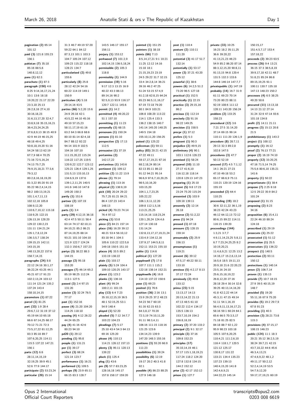**pagination (2)** 65:14 101:12 **paid (3)** 121:8 155:23 156:1 **pakistan (7)** 35:18 85:16 88:5,6 140:8,12,12 **pans (1)** 62:3 **parachute (1)** 87:3 **paragraph (150)** 4:6 8:25 9:14,16,17,21,24 10:1 13:6 18:18 19:20,22 21:17 22:20 23:3,18 25:13 26:2,8,16 27:4,10 30:16,18,23 31:6,13,17,20 32:4,7 33:8,9,18 35:15,16,21 36:4,23,24,24,25 37:6,8,9,13 38:15 40:9 42:9 44:19 46:15,25 48:18 49:4,25 50:8,18,19,20 51:16 54:24 58:13 62:19 67:7,9 68:4 70:25 71:16 72:5,16,24 74:13 75:7,25 76:9,15,18,21 77:3,6 79:3,12 80:2,8,16,18,19,20 81:3,22 85:20 91:19 95:22 96:2,4,14,15 98:2 100:13,19,21 101:1,4,7,11,13 102:12,18 105:8 108:9,12,20 110:6,7,10,12 115:18 118:9,25 122:15 126:13,16 128:20 129:22 130:2,23 131:11 134:21,24 135:1,7,8,12,24 136:3,5,7 138:24 139:15,15 142:11 143:15,16 148:13,20,22 157:6 158:7,14,15 **paragraphs (24)** 8:8 22:12 24:16 30:1,17 36:22,24 43:25 44:1 45:21 67:17 91:23 102:2,13,24 103:12 111:14 121:24 135:2 137:24 143:4 158:10,14,15 **parameters (1)** 87:22 **parcel (1)** 81:25 **part (33)** 1:9 28:4 29:6,7,12 31:19 37:12 45:19 64:10 65:18 66:6 67:14,25 68:17 70:12 71:21 72:3 73:5,17,22 81:12,25 83:3 85:18 89:7 107:6,20,25 114:11 115:5 137:22 147:21 156:1 **parte (12)** 6:6 28:11,14,15,19 32:19,25 39:9 45:1 52:6 77:9 144:17 **participate (2)** 53:23,24 **particular (20)** 15:14 31:3 46:7 49:19 57:20 59:22 64:1 84:12 87:3,13 101:1 103:3 104:7 105:24 107:12 109:23 115:22 118:18 128:21 134:7 **particularised (2)** 49:8 155:6 **particularly (8)** 25:8 28:12 42:24 54:16 60:22 114:19 149:1 150:9 **particulars (4)** 5:18 29:14,16 43:5 **parties (66)** 5:2,20 15:6 24:9 26:18 42:1 43:5,22 44:10 45:16 49:10 57:15,23 58:11,17,19 61:16 63:2 64:3 66:8 68:6 80:10 81:14 82:4,18 84:7 88:12 92:22 94:14 101:9 102:5 104:16 107:10 111:15,20,22 115:24 116:22 117:25 119:5 120:9,22 122:7 123:12 125:21 126:4 129:1,25 131:5,13 133:10,13 134:6,9,19 137:6 139:1,2,11,25 140:5 141:6 146:10 147:8 149:20 150:2 **partly (1)** 151:6 **partner (2)** 107:19 108:19 **parts (1)** 3:4 **party (29)** 4:12,15 36:18 42:4 47:5 50:11 58:4 63:14 74:17 82:10,11 84:10,21 85:2 86:21 87:14,19,25 88:14 93:21 101:10 104:10 121:9 122:7 124:24 132:3 150:6,7 157:23 **partys (3)** 38:22 88:3 144:15 **passage (2)** 95:18 153:20 **passages (7)** 46:14 65:2 85:19 98:25 112:24 113:1 127:5 **passed (3)** 2:4 97:15 131:20 **passive (3)** 32:24 76:5 77:17 **past (1)** 152:16 **pause (4)** 21:20 104:20 114:25 118:10 **pausing (4)** 4:12 26:22 44:24 65:25 **pay (4)** 41:16 42:6 80:23 94:10 **pd20 (1)** 29:12 **pending (1)** 95:8 **people (1)** 131:21 **per (1)** 39:17 **perfect (3)** 68:24 121:14 123:7 **performance (1)** 16:21 **performed (1)** 109:5 **perhaps (9)** 23:9 65:11 66:15 83:3 128:7

143:5 146:17 155:17 156:11 **perjury (1)** 153:12 **perkwood (7)** 101:2,9 102:14,15 136:5,18,24 **permissible (2)** 105:3 118:8 **permissibly (1)** 144:9 **permission (19)** 5:16 9:17 12:3 13:15 16:9 40:22 43:3 86:13 89:14,16 90:2 92:5,9,13 93:9 116:17 120:7 122:11 145:6 **permit (1)** 14:2 **permitted (4)** 49:20,22 51:1 157:10 **permitting (1)** 11:23 **personally (1)** 68:15 **personam (1)** 150:24 **persons (1)** 81:10 **perspective (2)** 17:13 112:5 **persuasive (1)** 37:19 **pertamina (2)** 142:17,22 **pertaminas (1)** 143:6 **pertinent (1)** 109:12 **petition (2)** 11:22 13:9 **phrase (1)** 79:14 **phrasing (1)** 113:16 **physical (2)** 138:9,19 **pick (10)** 20:24 29:22 75:7,25 81:21 84:21 86:4 137:23 143:4 148:13 **picked (4)** 70:23 74:14 76:4 97:12 **picking (1)** 53:8 **piece (2)** 84:21 157:14 **place (16)** 16:20 39:12 48:21 53:4 56:10,12 83:18 94:1 104:3 105:6 110:22 122:5,6 149:18 150:5 151:10 **places (4)** 33:5 89:2 133:19 138:22 **plain (1)** 103:17 **plainly (5)** 5:24 104:4 109:10 120:25 143:17 **planet (1)** 123:2 **planks (1)** 136:16 **plant (4)** 99:24 100:2,11 101:15 **play (13)** 6:4 7:23 35:10,12,15,19 36:5 48:1 52:15,25 53:1 54:9 148:4 **played (1)** 52:20 **pleaded (5)** 7:12 34:7,7 103:22 104:23 **pleadings (7)** 5:17 25:10 43:4 54:3 64:13 69:16 125:20 **please (4)** 110:13 114:21 126:12 157:13 **plenty (3)** 95:11 120:13 139:22 **pluck (1)** 125:4 **plug (1)** 43:6 **pm (9)** 57:7 83:23,25 128:16,18 145:17 157:8 158:17 159:20

**pointed (1)** 151:25 **pointers (1)** 38:18 **points (66)** 7:13 8:5,14,17,21 9:1 10:21 11:25 12:12 14:16 15:18 18:1 21:15,19,23 23:19 24:5 29:22 31:7 32:15 33:4 34:2,8,14 36:21 39:16 46:2 47:25 51:24 53:15 57:4,9 61:2,18 62:8,15 64:24 65:23 66:5,11,16,17 67:19 72:18 79:20 80:1 84:9 103:21 106:8 108:20 113:22 114:1 125:4 133:3 136:2 138:15 140:7 141:14 145:20 148:25 149:5 154:18 155:10,11,20 156:25 **poised (1)** 125:22 **policeman (1)** 59:11 **policy (83)** 20:21 42:15 47:22 49:11 59:17,17,19,21 67:16 68:2,18,24 80:14 82:13 85:11 86:22 91:12 94:21 95:14 96:6,9 97:6,7,10,20,25 98:5,10,16,20 103:15,20 104:1,1,7,23,25  $105.22,22$ 106:1,9,11,12,20 109:8 112:1,5,16 113:21,25,25 115:14,16 118:23,24 120:1,20,24 124:4,6 127:14 130:18 131:14,24 132:8,13,17,17,19,21,24 133:4,9 134:12,16 137:9,17 144:5,8,11 152:11 153:21 155:10 **polite (1)** 114:6 **political (1)** 127:20 **popplewell (7)** 17:8 107:7 111:1 115:2 122:18 138:14 152:21 **popplewells (4)** 16:8 114:10 137:22 158:6 **pose (1)** 69:23 **posited (1)** 76:6 **position (36)** 2:16 13:1 15:9 29:25 37:2 48:23 54:23 56:7 60:19 61:16 62:15 63:3 64:3,8,17 70:20 72:3,19 74:10,11,20 91:11 98:3,4,11 106:16 111:15 118:16 121:25 123:6 134:14,23 139:9 147:20 148:3 155:16 **positions (3)** 55:20 66:9 111:23 **possibilities (1)** 39:24 **possibility (6)** 12:19 19:17 20:2 40:3 41:8 92:1 **possible (4)** 86:23 88:25 127:9 146:18

**post (1)** 110:4 **posture (2)** 110:11 111:20 **potential (3)** 41:17 51:7 132:14 **potentially (1)** 53:17 **power (3)** 37:21 43:20 125:12 **powerful (1)** 38:6 **powers (6)** 14:2,5 51:2 73:20 96:5 127:18 **practical (1)** 152:5 **practically (1)** 22:15 **practice (3)** 29:15,16  $86.2$ **precious (1)** 112:14 **precisely (3)** 91:16 98:22 149:25 **precision (1)** 158:5 **precpr (1)** 37:12 **prefers (1)** 5:3 **pregnant (1)** 90:3 **prejudice (2)** 49:9,15 **preliminary (4)** 90:1 103:1 112:6 126:23 **premised (1)** 58:24 **prepared (10)** 11:10 27:17 41:6,10 116:12,18 118:14 120:8 129:13 147:23 **preparing (1)** 25:10 **present (5)** 9:8 17:23 23:24 75:20 115:24 **presented (3)** 103:9 109:18 139:11 **presently (2)** 12:14 26:18 **preserve (2)** 51:2,22 **press (1)** 94:24 **pressed (1)** 87:18 **pressure (2)** 128:15 159:14 **presumably (2)** 25:9 156:13 **presumptuous (1)** 119:21 **prevent (6)** 39:12 47:5,17 49:22 50:11 133:10 **previous (5)** 4:2,17 8:13 37:17 72:24 **previously (2)** 49:8 133:12 **prima (23)** 5:15 13:13,17 14:13 20:13,14,22 21:13 47:13 48:5 61:10 102:22 112:4 134:17 135:5 136:13 153:7,10,19 154:2 156:8,18,19 **primary (2)** 37:20 133:2 **principal (2)** 9:1 32:17 **principle (3)** 37:16 109:8 152:23 **principles (17)** 35:10,14,19 46:1 57:17 115:1,18,19,21 117:24 118:2 124:20 127:8 132:8 134:15 144:2 152:12 **prior (2)** 42:17 152:12 **prison (1)** 127:7

**private (33)** 10:25 16:23 18:2 35:11,25 36:6 39:20,22 41:13,21,23 46:23 54:9 85:2 86:20 87:14 88:3,12,15,20 90:8,11 91:13,15 94:8 120:4 131:5 132:3 133:6 144:8 146:14 147:7,7 **privatepublic (1)** 147:19 **probably (14)** 16:7 31:9 61:11 69:23 70:14 73:20 80:23 88:11 92:19 108:6 111:12 128:11 143:20 156:24 **problem (2)** 133:25 158:23 **procedural (12)** 3:6 7:21 27:5 31:14,20 37:14 69:15 99:14 110:11 111:20 126:1,9 **procedure (8)** 28:7,11 29:13 32:3 89:2,8 102:8 147:5 **procedures (3)** 47:7 50:13 52:19 **proceed (17)** 4:5 7:1,12 14:1 26:21 27:23 47:10 49:18 53:2 65:17 66:6,9 75:11 110:21 120:19 124:16 155:19 **proceeded (2)** 64:4 110:25 **proceeding (19)** 18:2 30:6 32:11,22 36:1,19 38:23 42:24 43:23 46:12 64:12,13 72:12 80:6,15 89:22 114:11 116:15 139:20 **proceedings (144)** 1:3,21 3:7,7 4:9,11,14,23,25 5:8,11 6:7 7:23,24,25,25 8:2 10:19,20,21 11:4,6,9,21 12:25 13:2 14:16,17 15:2,6,13,14 16:5,6 18:5 19:11,13 20:9,18 21:6 22:20,23 23:5,16 24:10 25:6,15,18,19,22 26:8,12,20 27:16 28:18 29:4 30:14 32:8 39:25 40:13,14,16,20 41:8 42:2,22 44:14 45:3,11 47:15 49:14 51:11 54:1,16,19 56:4,9,11,13,16,17,21 58:16 59:1 60:24 64:1 65:6 66:5 70:3,5,17 71:18 81:25 82:5 84:18 88:7 02:1,22 95:9 98:23 103:18 105:5 107:6,20,25 110:4,21 111:2,6,10 116:4 118:1,7 120:5 121:12 125:17 130:8,17 131:22 133:21 134:4 135:23 137:23 139:13 140:4,15,20 141:8 142:4,6,9,21 144:22,23 145:14

150:15,17 151:4,5,7,17 153:4 157:18,22 **proceeds (2)** 39:23 63:5 **process (26)** 9:4 13:21 36:15 37:3 38:5,8,19 39:9,17,18 42:11 48:7 51:8,21 85:24 86:8 89:15,19,25 91:1 100:11 130:7 135:18 147:13 148:23 150:2 **processes (4)** 6:5 38:25 49:20 50:6 **procured (11)** 13:13,18 14:13 21:12 27:14 31:24 32:9 47:14 93:6 101:18 134:8 **profit (2)** 14:11 21:11 **progress (3)** 15:13 20:8 21:5 **prohibitionary (1)** 143:2 **project (1)** 100:12 **promptly (1)** 16:12 **proof (2)** 76:13 77:21 **proper (2)** 16:19 74:10 **properly (12)** 33:20,25 47:16 71:5,14 74:25 75:5,6 80:6,10 135:21 141:6 **property (1)** 50:22 **proportionate (1)** 38:4 **propose (7)** 2:25 8:18 12:5 29:22 35:9 84:2 101:24 **proposed (1)** 31:15 **proposing (2)** 8:23 34:16 **proposition (6)** 15:4,11 22:24 46:10 88:24 124:18 **proscribed (1)** 29:19 **prosecute (1)** 25:22 **prosecuted (1)** 51:12 **prosecution (1)** 25:5 **prosecutors (1)** 136:22 **prospect (1)** 140:5 **protection (2)** 93:11 150:12 **protections (1)** 140:14 **prove (2)** 106:7,14 **proven (1)** 135:13 **provide (7)** 10:7 18:15 27:9 39:5 40:15,19 148:7 **provided (5)** 19:20 55:11,16 67:9 75:20 **provides (5)** 19:2 29:7,9 67:8 91:23 **providing (1)** 40:3 **provision (3)** 28:21 73:8 115:3 **provisions (4)** 37:15,17 108:15 146:23 **public (124)** 11:1 18:3 20:21 35:12 36:2,5,19 38:24 39:7,21 42:15 43:7,10,22 44:6 45:6 46:3,4,13,21  $47.4692248.12$ 49:11,17 50:2,12 52:2,4,14,19 53:5 54:7,9,12,20 59:17,17,19,21 60:19

Opus 2 International Official Court Reporters

transcripts@opus2.com 0203 008 6619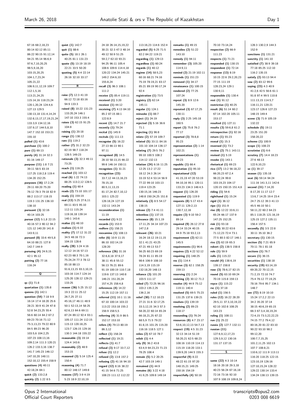67:16 68:2,18,23 80:14 82:12 85:11 86:22 90:15 91:12,14 94:21 95:14 96:6,9 97:6,7,10,20,25 98:5,9,16,20 103:15,20,25 104:1,7,23,24 105:21,22 106:9,11,12,19 109:7 112:1,5,16 113:21,24,25 115:14,16 118:23,24 120:1,20,24 124:4,6 127:13 129:5 130:13,18 131:4,14,24 132:8,13,17,17,19,21,24 133:3,9 134:12,16 137:9,17 144:5,8,10 147:7 152:10 153:21 155:10 **pulled (1)** 43:6 **purchase (1)** 100:2 **pure (1)** 69:13 **purely (4)** 31:14 32:3 81:16 149:17 **purpose (11)** 1:8 7:21 39:11 58:5 83:19 117:25 118:2,8 119:4 134:20 152:25 **purposes (16)** 17:2,24 29:11 69:20 75:20 76:12 78:3 79:18 82:9 88:2 113:17 118:15 119:3 131:25 136:10 138:10 **pursuant (3)** 32:16 40:14 103:25 **pursue (12)** 5:1,8 22:15 40:16 57:3 90:12 94:2 121:12 140:20 141:8 143:9,11 **pursued (8)** 33:6 49:5,8 64:10 88:21 127:8 142:7 144:9 **pursuing (4)** 24:9,15 42:1 95:12 **putting (2)** 77:16 116:24  $\overline{\Omega}$ **qc (1)** 71:8 **quartation (1)** 135:8 **queens (1)** 142:1 **question (54)** 7:18 9:9 16:14 17:4 18:20 25:6 28:21 30:9 41:24 47:8 52:8 54:23,25 55:4 56:6 60:14 64:2 67:2 69:23 70:16 71:12 75:3,13,23 79:22 80:9 84:5 89:23 96:20 103:5,6 104:2,25 107:23 108:13,16 109:2,14 111:3 120:21 126:2 133:3,16 138:7 141:7 145:23 146:12 147:10,20 148:11 152:10,12 155:4 158:9 **questions (4)** 40:11 42:18,24 84:1 **quick (2)** 133:2,8 **quickly (2)** 1:22 8:5 **quiet (1)** 142:7 **quit (1)** 88:6 **quite (5)** 18:1 26:1 40:25 81:1 131:23 **quote (5)** 13:19 18:19 22:21 33:5 50:20 **quoting (5)** 4:4 22:14 26:16 32:10 33:17 **R raise (7)** 12:3 41:19 66:12 72:18 83:16 94:9 133:3 **raised (8)** 10:22 131:23 133:20,24 146:1 147:10 153:3 155:4 **raises (3)** 62:15 91:25 104:8 **raising (1)** 20:18 **range (1)** 138:12 **rare (1)** 119:2 **rather (7)** 31:2 32:23 82:19 98:7 118:24 128:5 149:23 **rationale (3)** 32:3 49:11 73:25 **reach (1)** 116:25 **reached (1)** 103:12 **read (6)** 1:22 74:13 88:25 113:2,12 128:5 **reading (1)** 60:4 **reads (2)** 73:10 101:17 **ready (1)** 159:19 **real (13)** 5:25 27:6,11 69:11 83:5 95:10 112:11 115:24 119:16,18 139:14 140:1 143:6 **realise (1)** 48:10 **realises (1)** 6:10 **reality (7)** 17:12 31:22 34:5 48:16 72:3 104:15 128:6 **really (28)** 3:24 4:16 12:12 14:16 57:13 62:23 68:3 70:1,16 75:24,24 77:3 78:12 85:18 88:13 91:6,13,15 93:3,10,15 103:16 114:7 124:14 125:20 128:12 129:21 133:25 **reason (36)** 5:25 15:12 19:3 22:11 25:12 26:7,25 27:11 45:16,17 46:11 48:9 50:1 52:13,14 58:25 62:6,13 64:6 69:11 87:24 89:12 92:4 93:1 105:17 111:24 112:15 115:13 120:18,25 123:7 126:15 129:16 130:3 144:18 155:22 **reasonable (3)** 19:14 124:4 143:6 **reasonably (2)** 48:9 153:15 **reasoned (3)** 5:14 125:4 150:4 **reasoning (4)** 71:7 80:12 148:17 149:8 **reasons (37)** 3:9 4:19 5:23 18:9 22:10,19 24:18 26:14,15,19,22 30:21 32:3 47:3 48:14 49:12 50:9 51:25 59:2,7 62:10 93:21 94:25 96:11 105:4 108:6 109:6 114:4,18 120:22 134:24 145:21 149:2 154:6,10 155:8,24 **recall (3)** 96:3 108:1 111:2 **receive (2)** 85:4 119:11 **received (1)** 3:20 **receiver (1)** 44:12 **receiving (7)** 4:13 84:10 85:2 87:15 88:1  $122.8.9$ **recent (2)** 14:7 21:7 **recently (1)** 79:24 **recital (1)** 145:9 **recitals (1)** 111:13 **recognise (5)** 16:22 27:13 66:13 90:1 97:11 **recognised (8)** 14:5 28:10 58:13,15 66:22 99:6 146:14 150:11 **recognises (1)** 31:21 **recognition (23)** 33:7,12 44:13,16,23 78:15,18 80:5,11,13,15 81:17,24 82:7,10,12 103:1 125:22 126:18,24 127:19 132:11 143:24 **reconsideration (1)** 11:19 **recorded (1)** 9:22 **records (1)** 153:9 **redfern (1)** 158:21 **reexamine (1)** 108:13 **refer (6)** 10:9 11:15 86:10 102:14,19 128:20 **reference (26)** 31:16 32:6,8,18 37:9,17 38:11 45:8 55:12 56:13 76:21 89:6 91:19 100:19 110:7,18 119:6 137:13 140:8 146:21 151:20,24 157:4,25 158:4,8 **references (4)** 14:22 15:25 112:19 157:11 **referred (11)** 10:1 11:16 67:10 100:14 103:22 113:22 153:18 155:2 156:9 158:5,5 **referring (4)** 31:9 86:5 152:17 153:10 **refers (4)** 79:13 80:19 86:3,12 **reflect (1)** 158:24 **reflected (1)** 19:21 **reflects (1)** 41:7 **refusal (3)** 9:17 33:7,12 **refuse (1)** 12:2 **refused (2)** 13:8 157:2 **refusing (2)** 41:16 94:10 **regard (12)** 8:16 38:22 41:15 54:6 71:25 108:23 111:12 112:22

113:16,23 114:6 152:4 **regarded (5)** 6:25 71:5 82:2 84:22 119:21 **regarding (1)** 129:13 **regardless (1)** 60:24 **regards (1)** 40:12 **regime (14)** 58:5,23 60:16 68:21 74:16 75:19 78:19,21 83:17 85:21 89:19 90:17,24  $Q2 \cdot 4$ **registration (1)** 73:5 **registry (2)** 62:14 145:11 **regular (1)** 124:1 **reinvoke (1)** 88:7 **reject (1)** 24:19 **rejected (3)** 5:16 36:6 71:1 **rejecting (1)** 96:8 **relate (2)** 57:19 109:7 **related (5)** 33:11 84:16 101:10 104:14 136:17 **relating (7)** 29:5 76:2 99:10 100:5 108:2 114:12 132:13 **relation (24)** 6:16 11:25 12:25 13:2 17:22 18:12 24:3 26:14 33:19 52:4 53:14 56:9 77:22 99:10 103:13 119:4 123:25 130:15,16 146:23 148:8 150:24,25 151:8 **relatively (3)** 8:5 54:17 138:15 **release (2)** 7:4 41:11 **relentless (1)** 137:15 **relevance (8)** 15:1,19 17:11,25 34:14 107:23  $147.28$ **relevant (26)** 10:21 16:24 18:12 19:11,15 32:1 41:21 43:25 47:21 49:13 53:7 56:25 60:23 69:19 78:24 81:11 85:19 98:6 106:9 108:10 114:3,19 115:19 132:18,20 148:13 **reliance (3)** 101:20 103:5 111:17 **relied (7)** 72:25 96:16 103:2 135:2,25 136:2,16 **relief (30)** 7:12 10:23 27:21 31:6 32:17,25 33:3,12,15 34:3 57:3 58:20,22 60:14 65:24 66:18,21,25 67:22 68:5,9 71:5 79:22 81:8,15 101:25 115:20 116:16 118:5 127:1 **relies (2)** 67:10 78:7 **relish (1)** 4:4 **rely (9)** 36:2 43:8 63:4,9 64:23,23 71:23 78:25 108:4 **remain (5)** 5:2 20:25 42:7 103:19 149:1 **remained (1)** 44:9 **remains (6)** 3:22 4:18 41:9,25 109:8 149:14

**remarks (1)** 49:15 **remedies (2)** 51:22 143:10 **remedy (1)** 94:11 **remember (3)** 105:20 114:9,11 **remind (2)** 21:19 102:11 **reminds (1)** 151:23 **removed (1)** 34:17 **renaissance (1)** 100:15 **rendered (2)** 77:25 107:24 **repeat (3)** 8:9 12:6 145:20 **repeated (3)** 67:17,25 130:11 **reply (3)** 2:25 145:18 160:5 **report (3)** 75:8 76:2 77:17 **reported (3)** 78:8,8 95:23 **representation (2)** 1:14 102:21 **representations (1)** 99:23 **republic (1)** 66:4 **reputation (1)** 95:10 **reputational (12)** 41:15,19 47:20 53:19 94:10,16 95:1 120:11 133:23 134:3 148:4,5 **request (1)** 126:20 **requested (1)** 119:9 **requests (8)** 5:17 43:4 127:11 129:2,13 130:7,12,16 **require (3)** 9:10 59:2 89:14 **required (9)** 26:12 27:8 29:14 33:24 40:15 44:9 75:18 93:2,13 **requirement (2)** 62:11 145:5 **requirements (1)** 96:6 **requires (2)** 4:22 52:12 **requiring (1)** 148:25 **res (1)** 114:4 **reserve (3)** 62:1 158:25 159:13 **reserving (1)** 2:24 **resisting (2)** 30:12 71:2 **resolve (4)** 44:9 75:12 119:11 140:4 **resolved (5)** 69:5 75:23 131:25 137:6 139:21 **resolves (1)** 139:19 **resolving (2)** 89:23 118:17 **resounding (1)** 76:24 **resources (8)** 4:7 23:17 53:6,10,12,13 54:7,13 **respect (19)** 4:5 31:23 32:13 34:14 51:19 58:20,21 62:5 68:23 108:16 110:19 114:13 115:19 118:20 133:1 139:9,20 144:5 155:3 **respectful (9)** 8:22 48:22 61:15 97:20 148:15,21 149:25 150:16 154:19 **respectfully (4)** 50:16

70:10 73:14,24 **respective (2)** 66:9 111:23 **respects (1)** 71:21 **responded (1)** 130:15 **respondent (1)** 72:14 **response (13)** 8:19 10:15 22:6 29:2,20,23 77:15 111:19 128:23,24 129:1 130:9,11 **responsible (1)** 130:4 **rest (1)** 91:12 **restrictive (1)** 40:25 **result (6)** 51:14 60:2 67:14 102:20 105:11 153:17 **resulted (1)** 127:11 **results (3)** 59:6,8 61:2 **retrospective (1)** 92:16 **return (1)** 55:23 **reveal (1)** 15:3 **reversed (1)** 73:2 **review (2)** 75:1 143:11 **revised (1)** 5:19 **revoke (1)** 143:1 **rhetorical (1)** 69:23 **rico (17)** 13:2 56:18,22 66:20,23 67:2,4 98:22,24 99:8 103:19,23 104:17 120:15 150:15 151:4,6 **riding (1)** 54:6 **righthand (1)** 15:24 **rigid (1)** 36:12 **ripe (1)** 151:9 **rise (8)** 12:22 33:6,11 65:24 66:17 137:9 147:25 152:25 **risk (1)** 93:18 **rix (10)** 30:22 63:6 71:12,23 72:4 73:1 77:5 80:3 82:17 146:1 **rixs (2)** 62:19 65:3 **robert (2)** 138:5 158:8 **role (1)** 59:9 **rolls (1)** 115:22 **ronald (4)** 138:6,19 139:17 158:8 **rose (3)** 78:6,17 82:15 **round (5)** 63:10 69:24 70:19 115:8 159:13 **royce (1)** 115:22 **rsc (1)** 37:18 **ruled (1)** 156:5 **rules (12)** 16:22 28:20 29:5,11 37:3,10,19,22 62:10 102:8 108:25 143:23 **ruling (1)** 108:11 **run (1)** 25:22 **russia (2)** 127:7 132:11 **russian (11)** 127:6,9,12,17,23 129:3,9,12 130:16 131:17 137:15 **S same (22)** 4:3 10:14 18:16 20:18 29:3,18 40:23 56:24 67:16,18 72:16 73:16 92:10

128:3 130:2,9 144:3  $152.9$ **sanctions (1)** 131:21 **sanctity (1)** 141:10 **satisfied (7)** 38:9 39:18 77:18 85:25 112:10 116:2 135:15 **satisfy (2)** 93:13 94:4 **saw (2)** 83:12 99:6 **saying (23)** 4:3 40:9 41:2,6 42:5 56:6 61:1 91:8 97:4 99:5 110:8 111:13,15 114:5,7 116:11,21 120:21 123:17 126:6 127:23 148:15 149:4 **scene (3)** 71:9 105:19 132:22 **schedule (5)** 19:11 23:25 151:20 158:20,22 **scheme (1)** 100:9 **scope (1)** 108:23 **scrutinise (1)** 6:6 **scrutiny (7)** 14:4 18:23 27:6 48:13 122:9,10,23 **se (1)** 39:17 **season (1)** 135:18 **seat (6)** 59:14 94:24 111:16 141:3,11 142:6 **second (31)** 7:14,20 8:17,20 11:17 12:7 13:6,7 14:25 19:4 23:4 24:7 25:12 39:3 41:13 45:5 46:10 50:1 58:11,22 60:2 64:23 85:1 118:25 121:16,19 125:15 127:2 135:11 156:4 157:5 **secondly (5)** 3:5 22:8 30:11 35:10 36:2 **secretary (1)** 130:15 **section (5)** 7:21 65:9 70:11 78:1 81:18 **sections (1)** 76:7 **secure (1)** 36:15 **securities (1)** 138:18 **security (19)** 63:14,19 69:20,22 70:12,15 71:2,15 72:10 74:7 75:4 76:12 77:19,25 78:16 79:6 95:7 134:1 148:7 **see (72)** 8:19 10:10 15:24 17:2,2 22:13 34:2 35:20 37:14 38:15 40:6,19 65:15 66:3 67:3,4,18,19,24 72:4,15 73:3,22,22,23 74:15 77:2 79:4,12 80:16,20 81:22 83:10 90:22 93:10 98:2 99:12,20 100:7,7,15,25 101:2,11,25 102:13 107:7 108:8,21 110:6,12 111:9 113:11 116:20 118:25 122:15 123:10,19 126:16 127:10,15,24 128:22 129:22 130:14 133:4 134:24 138:13 139:15

Opus 2 International Official Court Reporters transcripts@opus2.com 0203 008 6619

107:9 108:19 109:8,24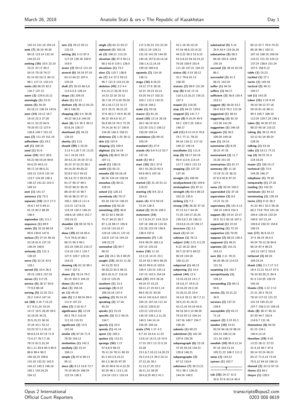142:14 151:19 155:14 **seek (7)** 26:10 45:20 89:15 123:14 132:10 154:22,23 **seeking (16)** 10:5 22:19 23:21 47:17 49:2 54:15 70:18 74:17 81:14 82:10,11 84:13 98:1 117:11 132:3,5 **seeks (4)** 66:25 82:3 116:7 137:12 **seem (3)** 129:9,10,12 **seemingly (1)** 23:21 **seems (5)** 34:25 83:10,12 136:19 143:6 **seen (14)** 10:12 16:7 19:10 22:3 27:20 44:11 52:22 64:9 79:20 87:12 127:4 136:8 140:7 151:15 **sees (2)** 111:19 151:19 **selfevident (1)** 19:2 **sell (1)** 100:10 **send (1)** 51:6 **sense (24)** 19:2 30:6 65:22 68:19,24 69:8 93:4,25 94:5,12 95:17,19 98:5,21 103:13 115:9 121:14 123:7 124:20 128:3 136:12 141:22 142:3 149:14 **sent (1)** 141:17 **sentence (1)** 73:3 **separate (10)** 13:2 17:3 34:6,7 67:5 69:11 81:15 82:2 88:20 136:4 **september (1)** 111:1 **sequence (1)** 89:9 **series (5)** 32:18 66:24 99:9 139:8 147:6 **serious (7)** 27:15 46:16 53:18 61:6 127:15 130:24 148:6 **seriously (2)** 121:3 130:22 **serve (3)** 32:15 43:5 118:1 **served (5)** 10:4 26:3 29:15 139:5 157:23 **serves (1)** 117:25 **service (5)** 28:17 55:6 77:9,9 86:18 **serving (5)** 21:25 22:1 25:2 119:4 147:14 **set (60)** 2:16 7:15,22 8:7 9:21,24 10:10 14:17 16:5 28:20 29:5 32:19,25 34:21 35:5,15,23 36:16 37:24 43:1 52:12 53:23 57:1,3 61:21 66:8,9,14 67:19 71:9 73:4,17 76:7,7,16 78:15 81:5,15,24 82:1,11 83:6 84:3 85:9 86:6 89:4 90:2 105:18,19 109:6 115:19 132:22 142:5 144:12 145:3 146:18 150:1 153:24,25 154:12

**sets (3)** 29:12 92:11 132:23 **setting (6)** 3:13 87:4 117:24 126:18 140:9 143:9 **seven (2)** 59:13 121:10 **several (6)** 24:18 57:10 63:13 64:22 107:4 125:16 **shall (7)** 29:10 66:5,6 113:4,5,5 128:14 **shape (1)** 109:15 **share (1)** 53:12 **sheltam (4)** 38:12 63:23 86:3 140:25 **shopping (6)** 5:4 20:20 49:22 58:2,8 149:18 **short (6)** 3:5 35:3 36:11 83:8,24 128:17 **shorthand (2)** 34:23 128:10 **shortly (1)** 3:21 **should (59)** 1:19,24 3:13 4:1,20 7:15 13:23 14:1 16:18 19:5 20:4,5,23 24:19 27:11 35:23 37:15,23 38:1 44:14,20 49:20,22 52:8,9 53:2 54:23 56:3,6 57:2 59:23,25 61:17 65:17 69:1 79:22 80:21 85:15 86:19 87:15 90:7 95:16 96:21 97:11 105:1 108:13 111:4 115:21 117:8,16 119:19 120:2 146:14 148:6,16 150:5 151:7 155:19,21 **shouldnt (3)** 69:10 91:5 124:24 **show (19)** 62:18 65:4 71:9 76:8,19 88:1 89:13 95:3 99:1 101:24 109:23 110:17 114:10 115:1 124:7 127:5 128:7 129:15 143:15 **showing (4)** 61:10 99:1 143:7 157:3 **shown (5)** 78:14 79:2 85:19 102:3 104:22 **shows (1)** 64:14 **shut (1)** 156:16 **sic (1)** 49:19 **side (5)** 2:3 80:24 89:4 111:9 147:22 **sides (2)** 2:18 61:7 **significance (6)** 12:24 69:3 76:3 110:15 111:10 115:23 **significant (2)** 13:5 142:16 **similar (4)** 67:24 71:9 78:20 103:12 **similarities (1)** 142:3 **similarly (2)** 23:14 106:11 **simple (3)** 67:6 69:13 95:11 **since (8)** 8:13 15:8 72:7 75:10 80:24 108:24 122:19 136:3

**single (2)** 62:13 93:17 **siphoned (1)** 102:16 **sit (2)** 106:21 113:10 **situation (6)** 47:5 50:11 60:3 61:8 119:1 126:5 **situations (1)** 73:2 **situs (2)** 115:7 138:8 **six (7)** 3:4 27:2 59:13 95:7 121:9 133:13,18 **skeleton (45)** 2:2 4:4 8:4,14,17,20,25,9:21 14:23 22:18 25:13 26:7,16 27:4,20 29:20 30:2,16,17,23 31:17 32:5 35:21 36:21,22 37:6 40:2,7 43:9 45:20 48:22 49:4,6 51:17 55:8 65:19 70:2 72:25 74:14,16 91:17 105:8 134:20 146:3 158:21 **skeletons (2)** 1:25 30:11 **skin (1)** 107:9 **skipping (1)** 100:4 **slightest (1)** 34:19 **slightly (3)** 80:5 95:17 107:11 **small (1)** 138:15 **smith (1)** 55:13 **smouha (5)** 50:16,18 80:24 124:19 128:24 **smouhas (2)** 80:21 128:23 **solved (1)** 120:13 **somebody (4)** 70:17 93:18 132:10 136:22 **somehow (1)** 63:20 **something (22)** 40:8 60:12 62:2 68:20 75:17 84:21 85:7 87:1,16 88:17 105:8 114:16 115:10,17 124:16 126:21 127:10 132:8 137:10 144:10 149:22,23 **somewhat (2)** 84:7 90:23 **sort (3)** 24:1 55:3 89:25 **sought (15)** 10:23 11:20 44:13,25 52:5 58:20,22 61:5 66:21 68:6 81:9,17 116:16 118:12 125:25 **southern (1)** 13:3 **sovereign (4)** 6:22 108:10,16 137:4 **spalding (2)** 55:14,15 **speaking (2)** 17:18  $45.23$ **speaks (1)** 15:23 **specific (3)** 31:2 50:15 134:7 **specify (1)** 23:4 **speedy (1)** 41:14 **spent (1)** 150:3 **spoken (1)** 112:21 **sprange (54)** 1:17 57:6,8,9 68:15 76:11,24 78:11 80:19 81:2 83:2,9,15,21 84:1,5 86:25 87:20 89:10 90:6 91:4,22,25 92:25 96:1 113:1,18 114:24 115:1 116:14

117:3,20,23 121:22,24 128:11,19 129:11 131:10 141:20 144:20 145:16 157:9,10,14,18 158:1,4,12,14,19 159:10 160:4,6 **squarely (2)** 114:16 136:11 **stage (16)** 8:18,23 19:12 27:6 28:16 32:21 34:23 42:21 53:25 54:17 102:21 103:1 112:2 133:21 150:18 156:2 **stake (1)** 53:16 **stance (1)** 81:16 **stand (10)** 12:14 26:18 30:2 46:19 52:9 122:20 131:2 136:12 150:20 159:14 **standalone (2)** 69:15 103:19 **standard (1)** 27:9 **stands (4)** 6:6 9:13 52:7 147:16 **stark (1)** 90:3 **start (10)** 28:1 57:9 58:1 61:20,23 63:3 64:8 84:5 107:16 120:21 **started (3)** 31:18 51:12 119:22 **starting (4)** 8:6 22:3 28:4,6 **starts (4)** 37:9 50:19 72:24 128:3 **stated (2)** 20:16 146:2 **statement (14)** 11:7,9,14,17 13:6 23:4 107:18 108:18 110:18 121:20 122:19 136:9 138:4 157:6 **statements (7)** 1:20  $43.699.24100.16$ 107:15 125:18 **states (19)** 11:19 12:2,15 14:21 23:1 32:19 42:3 56:5 66:25 98:23 99:9,15 102:6 104:4 133:15 135:13 137:15 142:5 154:24 **stati (37)** 24:9 26:18 49:10 57:15,23 58:11,17,19 63:1,14 68:5 92:21 93:20 94:14 101:6,6,9 102:5 104:15 107:10 111:14 116:22 120:9,22 123:12 133:10,13 134:19 139:1,2,11,25 140:5 144:14,14 155:25 156:16 **statis (74)** 1:17 4:3 6:7,10 10:4,6 11:22 13:9,15 14:11,19 15:9 17:15 20:7,13 21:5,10 22:20 23:1,6,7,10,12,14,20,23 25:2,4,9,13 26:2,10,13 27:12,16 30:1 31:13,17,25 33:2 36:11,13 38:20 39:4,8,25 40:2 41:1

42:1,18 45:10,19 47:16 48:5,10,14,22 49:3,22 50:3 51:9,15 53:3,8,23 54:10,14,22 70:20 100:9 101:6 111:18 147:21 154:22 **status (6)** 3:19 30:12 31:1 79:6 81:13 158:20 **statute (2)** 99:9 131:20 **stay (8)** 6:16 17:14 110:3,13,16,21 135:21 157:3 **stayed (1)** 110:25 **step (2)** 64:21 129:6 **stepped (2)** 141:7,7 **steps (8)** 9:19,24 45:9 54:1 129:7,25 130:4 148:17 **still (11)** 9:13 41:8 70:6 74:1 77:11 78:23 94:16 116:11 117:10 146:12 149:14 **stockholm (1)** 111:6 **stop (8)** 58:17 64:19 95:9 112:6 113:14 117:7 130:5 131:13 **stopping (2)** 127:22 137:16 **straight (1)** 106:20 **straitjacketed (1)** 104:6 **stratosphere (1)** 87:11 **strength (4)** 63:4 88:23 102:22 135:5 **striking (1)** 7:3 **strong (19)** 26:20 37:19 47:13 51:7 64:16 71:25 134:17,25,25 135:3,6,7,10 136:13 153:6,6,15,19 156:17 **structure (1)** 3:3 **stuck (1)** 61:14 **subissue (1)** 76:11 **subject (14)** 2:21 4:2,25 6:22 18:22 26:6 55:7,10 87:5 89:22 90:19 134:18 150:12,23 **subjected (1)** 48:13 **subjecting (1)** 14:4 **submit (44)** 12:4 13:10,18,23 14:1,7 18:3,6,17 19:9,13 20:16,20 24:3,18 31:20,21,25 33:4 34:4,8 35:11 36:7,7,11 39:5,23 41:18,21 42:12,16 43:19 45:9 48:18 50:2,14 68:20 70:10 87:12 104:14 147:16 149:7 154:7 156:20 **submits (1)** 60:23 **submitted (3)** 101:20 107:6 155:25 **subparagraph (6)** 23:18 37:25 50:18 134:21 135:8 146:21 **subparagraphs (2)** 67:12 153:9 **substance (7)** 30:13,21 70:1 96:1 126:21 144:24 149:5

**substantial (5)** 5:14 25:9 43:4 119:16,18 **substantive (5)** 58:3 65:20 102:4 126:8 135:19 **succeed (3)** 38:10 62:24 86:1 **successful (3)** 41:3 58:21 142:24 **suffer (1)** 94:16 **suffers (1)** 94:17 **sufficient (3)** 36:8 135:4 153:11 **suggest (6)** 38:20 53:2 59:4 63:9 70:2 112:24 **suggested (1)** 38:14 **suggesting (3)** 92:19 112:20 141:20 **suggestion (1)** 146:18 **suggests (3)** 36:5 109:20 149:16 **sum (1)** 24:14 **summarise (3)** 8:25 30:22 47:25 **summarised (3)** 11:7 15:20 151:16 **summarises (1)** 91:17 **summary (9)** 11:18 12:19 21:15 36:21 67:8,9 82:8 97:22  $127.4$ **sums (2)** 93:24 150:3 **superseded (1)** 37:18 **supervision (3)** 9:5 13:21 51:23 **supervisory (5)** 141:4,13 148:19 149:9 154:3 **support (6)** 19:14 22:17 24:5 32:2 82:16 107:3 **supported (1)** 22:24 **supporting (1)** 72:19 **supportive (1)** 70:20 **suppose (2)** 88:23 130:3 **supposed (1)** 48:21 **supreme (2)** 141:21 143:12 **sure (6)** 2:11 70:21 84:20 95:19 114:23 121:10 **surprising (1)** 152:7 **surreptitiously (1)** 139:12 **surrounding (2)** 84:11 94:6 **survive (3)** 33:21,22 34:9 **survives (2)** 137:21 139:9 **susceptible (2)** 63:17 71:14 **suspect (2)** 3:15 81:2 **sweden (10)** 14:21 93:24 94:18,19 98:10 103:13 106:12,18 111:16 156:3 **swedish (10)** 96:9,12,14 97:16 103:13,15 105:21,22 106:2 111:2 **swiss (1)** 143:12 **system (1)** 102:7 **T tab (25)** 24:17 31:5 32:6 37:8 43:14 45:4

65:12 67:7 70:9 74:22 85:16 96:1 102:11 107:16 108:18 109:24 114:21 121:19 124:12 137:24 138:6 151:24 157:5 158:9,12 **table (1)** 15:23 **tackled (1)** 27:1 **tactic (1)** 149:18 **tactical (2)** 40:11 149:17 **tail (1)** 143:25 **taken (15)** 2:19 9:19 26:10 56:12 57:18 59:19 81:16 98:11 99:3 105:7 106:10 112:24 129:7,25 136:1 **takes (5)** 34:20 57:22 88:23 95:18 110:22 **taking (6)** 39:12 45:9 53:12 61:16 90:24 128:25 **talking (1)** 53:16 **talks (2)** 53:11 77:21 **tap (4)** 50:23 51:4 124:18,25 **teaser (2)** 100:14,17 **technical (3)** 72:9 144:20 146:17 **telephone (1)** 79:16 **temporarily (1)** 27:18 **tending (1)** 143:22 **terminate (1)** 44:13 **terminating (1)** 126:19 **terms (21)** 9:15 28:2 41:23 48:1 52:2 56:18 66:2 73:8 79:6 101:16 104:6 126:10 132:24 140:9 147:21,24 149:6,6 150:23 154:6 156:23 **test (17)** 36:9,10,12 37:4 38:19 39:4,5 40:24 79:12,18 84:6 85:14 87:4 90:23 142:13 147:2 153:8 **tethered (3)** 88:16 104:23,24 **thank (16)** 2:1,7,17 3:2 16:4 21:21 43:17 57:5 76:10 83:20,21 84:4 91:3 114:25 128:19 145:16 **thanks (15)** 1:12 2:13 21:21 28:3 76:23 78:10 117:22 121:23 141:19 145:15,22 157:7 158:3,13 159:19 **thats (8)** 38:17 85:14 87:20 94:7 102:4 114:6,7 131:16 **themselves (6)** 64:25 81:15 124:1 140:4,13,14 **therefore (19)** 4:10 13:23 26:11 27:22 41:4,19 46:7 47:8 50:14 52:24 56:21 63:17 71:5,14 73:24 75:5,12 84:18 106:13 **thereof (2)** 33:12 67:15 **theres (1)** 84:1 **theyre (1)** 128:5

Opus 2 International Official Court Reporters transcripts@opus2.com 0203 008 6619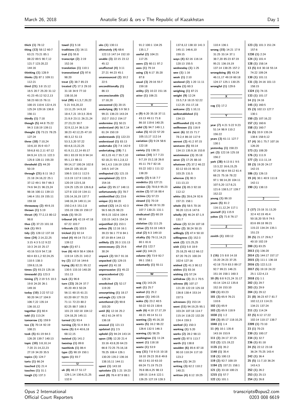**thick (1)** 78:12 **thing (13)** 58:12 60:7 63:21 73:21 85:1 88:22 89:5 90:7,12 121:7 123:20,22 144:16 **thinking (1)** 128:9 **thinks (3)** 87:1 109:11 112:21 **third (21)** 3:8 15:12 16:5 20:7 25:20 31:12 41:23 45:12 52:2,13 58:23 60:15 76:11 100:15 110:6 122:4,15 125:24 129:16 136:8 156:11 **thirdly (1)** 7:18 **though (5)** 44:8 75:22 94:3 118:19 139:11 **thought (3)** 73:21 78:25 127:24 **three (18)** 7:10,24 10:6,10 35:9 43:7 59:6,8 61:2,11 67:12 84:9,14 121:11 122:3 125:8 128:11 155:20 **threshold (2)** 44:20 50:19 **through (21)** 8:11 16:2 21:18 24:16,22 25:1 37:12 49:1 59:7 66:3 74:6 94:21 96:23,24 98:16 100:11 139:13 146:4 151:19 155:11 159:18 **throwaway (2)** 49:9,15 **thrown (1)** 5:19 **thrust (4)** 77:2,13 80:12 98:8 **thus (2)** 37:23 101:18 **tick (1)** 99:5 **tidy (2)** 128:12 137:18 **time (24)** 2:14,22,25 3:15 4:3 5:12 9:22 10:3 24:10 25:17 43:16 53:9 54:7,18 60:4 83:1,2 92:24,25 110:5 138:3 159:8,13,16 **times (2)** 93:23 125:16 **timesodd (1)** 123:3 **timing (7)** 2:19 5:5 10:3 19:8 24:20 26:1 149:16 **today (10)** 2:22 57:12 90:20 94:17 104:9 106:7,22 135:14 136:10,12 **together (1)** 60:4 **told (1)** 113:24 **tomorrow (1)** 159:9 **too (3)** 70:14 92:19 108:21 **took (5)** 61:19 64:3 126:20 139:7 140:13 **topic (10)** 3:8,10,14 7:20 21:14,22,23 27:19 34:20 35:5 **topics (1)** 124:7 **torts (1)** 66:24 **touched (1)** 21:4 **touches (1)** 31:1 **tough (1)** 137:3 **towel (1)** 5:18 **traditions (1)** 16:11 **trail (1)** 55:8 **transcript (2)** 2:19 152:16 **translation (1)** 110:1 **transnational (2)** 97:6 98:20 **treat (2)** 38:7 85:23 **treated (7)** 17:3 29:10 31:18 34:9 77:10 138:10,16 **trial (99)** 4:1,5,7,20,22 5:21 9:8,20,22 13:11,25 14:9,10 27:23,23 30:7 32:9,12,14 36:3,19 48:3,12 51:13 53:3,3,20 57:22 60:4,8,13,22,25 61:9,11,12,14 65:17 95:1,13 98:11 104:22 105:10,18 120:19 123:5,18 135:14,16,19 137:7 150:2,4,5 151:2,8 **trials (1)** 59:23 67:22 103:7 **tribunals (1)** 103:5 **tricked (1)** 92:14 **tried (4)** 49:14 73:7,13 139:12 **triple (1)** 67:1 **try (2)** 117:16 144:6 **trying (6)** 82:21 95:12 151:13 **tuck (1)** 96:8 **turn (23)** 28:24 37:7 45:20 49:3 50:24 56:11 60:15 61:21 63:20 69:17 70:23 71:11 72:23 80:2 82:25 88:7 100:3 124:18,25 145:11 **turned (1)** 93:4 **turning (2)** 51:4 84:3 **turns (5)** 8:4 40:6,18 68:12,15 **twisted (1)** 141:2 **twostep (1)** 89:8 **twothirds (1)** 86:4 **type (2)** 90:19 150:1 **types (1)** 93:7 **U uk (8)** 46:17 51:17 132:9

18:4,7,21 19:3,5 20:6 21:9,9 23:11 26:21,24 38:23 42:12,25 47:10 69:1 83:19 91:9 94:14 99:14,17 100:24 102:8 106:5 110:11 112:5 113:19 117:9 118:21 124:25 125:19 126:6,8 127:8 132:19 134:11 148:16,24 149:11,14 155:19 156:19 159:17 **tribunal (4)** 42:19 47:18 **true (6)** 48:9 58:4 106:6 119:14 125:21 143:2 130:5 133:10 140:20 101:23 102:18 104:12 129:1,14 130:6,21,25

**uks (1)** 130:11 **ultimately (4)** 68:6 122:13 147:14 152:10 **unable (3)** 22:15 23:12 45:12 **unaffected (4)** 3:11 27:21 44:23 45:1 **unannounced (2)** 10:2  $22.5$ **unconditionally (1)** 86:13 **unconscionable (2)** 17:18,20 **uncovered (1)** 20:15 **underlying (8)** 5:9 58:3 99:21 136:23 143:24 152:7 153:2 154:17 **undermine (1)** 50:21 **understand (4)** 56:7,14 61:24 150:19 **understands (1)** 122:23 **understood (1)** 83:13 **undertake (2)** 7:4 142:9 **undertaking (19)** 7:1 40:3,15 41:7 55:7,10 92:18,21 93:1,2,8,12 94:1,4,5 116:19 120:8 145:5 147:24 **undisputed (1)** 121:15 **unexplained (2)** 22:5 154:16 **unfair (2)** 95:17 148:11 **unfortunately (1)** 78:7 **unidentified (1)** 23:6 **unique (1)** 68:20 **united (12)** 14:21 42:3 56:5 66:25 98:23 99:9,15 102:6 104:4 133:15 142:5 154:24 **unjustified (1)** 153:1 **unless (9)** 12:16 16:1 39:23 56:1 77:8 84:1 87:19 89:4 144:13 **unlikely (2)** 20:3 131:13 **unnecessary (2)** 25:6 30:24 **unpack (2)** 59:7 91:16 **unpacked (1)** 129:15 **unpaid (1)** 41:18 **unpersuasive (1)** 45:22 **unprecedented (1)** 129:24 **unsolicited (2)** 52:17 119:20 **unsurprising (1)** 18:17 **untangle (1)** 129:19 **untethered (2)** 90:8 103:20 **until (6)** 12:16 25:2 40:2 61:24 97:5 136:18 **unusual (1)** 121:13 **updated (1)** 2:5 **upheld (2)** 94:24 143:14 **upon (19)** 12:20 21:4 33:16 43:8,20 64:23 66:8 72:25 75:16,18 78:25 108:4 126:1 130:20 135:2 136:16 138:10,11 144:11 **upset (1)** 143:18 **uptodate (2)** 1:21 19:23 **used (8)** 76:4 87:9 88:1

91:2 100:1 134:25 135:1,7 **useful (2)** 104:21 117:25 **users (2)** 60:11 97:2 **uses (1)** 79:14 **using (3)** 6:17 35:20 87:8 **usual (3)** 29:16 55:7 159:18 **utility (2)** 10:22 151:16 **utter (1)** 106:21 **V v (9)** 6:20 35:18 37:11 43:13 49:11 71:8 86:10 119:6 140:25 **valid (3)** 94:7 149:1,1 **value (5)** 42:22 57:20 105:13,17 112:14 **variation (3)** 9:24 58:6 122:18 **variety (1)** 138:21 **various (14)** 3:7 7:23 9:7,19 15:2,18 26:8 45:11 79:7 82:16 93:22 102:1 111:12 138:20 **vastly (2)** 6:18 7:7 **vendetta (1)** 127:21 **version (3)** 78:8,9 95:23 **victim (2)** 57:16 88:4 **victims (1)** 57:23 **viewed (1)** 70:19 **views (5)** 46:18 51:20 107:7 130:21 131:1 **vindicated (2)** 60:19  $90.14$ **violation (1)** 111:25 **virtue (2)** 53:18 146:9 **vital (2)** 6:3 149:10 **vitality (5)** 79:11,14,21 80:1 81:6 **vitol (1)** 122:7 **void (1)** 144:21 **volume (4)** 73:9 92:7 99:1 158:1 **voluntarily (1)** 55:11 **W wag (1)** 143:25 **wait (1)** 25:7 **waited (1)** 25:2 **waiver (1)** 140:15 **wales (5)** 23:2 40:5 50:22 92:23 130:6 **walk (6)** 4:10 17:17,19 48:21 49:14 51:11 **wanting (2)** 45:16,18 **wants (5)** 16:2 96:22 126:6 132:5 146:3 **warning (1)** 58:25 **washington (1)** 11:24 **wasnt (1)** 118:18 **waste (1)** 53:9 **way (31)** 7:8 9:15 10:18 18:10 29:23 35:8 49:8 60:13 61:10 63:10 69:24 71:19 75:23 76:8 86:4,25 98:13 109:15 114:6 122:1 126:25 127:19 128:3

137:8,12 138:10 141:3 145:11 146:6,10 159:15 **ways (4)** 82:16 116:14 120:13 155:5 **wednesday (1)** 1:25 **wee (1)** 1:16 **week (1)** 2:10 **weekend (2)** 1:20 11:11 **weeks (1)** 60:3 **weighing (1)** 87:21 **weight (9)** 12:24 15:5,7,8 18:15 52:22 112:25 151:17,18 **welcome (2)** 1:10,11 **wellestablished (1)** 134:13 **wellfounded (1)** 4:25 **wellknown (1)** 116:9 **went (6)** 32:15 71:7 78:2,4 86:10 117:9 **werent (2)** 41:2 97:15 **westacre (5)** 93:14 134:13 135:9,16 153:8 **westminster (1)** 35:18 **weve (2)** 17:25 88:10 **whatever (7)** 37:2 46:22 82:12 83:15 90:15 103:25 131:5 **whereas (3)** 90:3 111:13,13 **whilst (3)** 85:3 92:18 112:12 **white (5)** 28:6,24 92:6 157:21 158:1 **whole (5)** 58:5 70:16 96:20 121:6 147:6 **wholly (4)** 46:24 87:1,9 131:7 **whose (2)** 32:24 107:18 **wider (2)** 38:24 50:15 **willingly (2)** 47:4 50:10 **willingness (1)** 152:3 **wink (2)** 121:25,25 **wish (11)** 5:8 18:9 25:18,25 48:12 66:12 67:20 76:21 100:24 102:6 127:16 **wished (2)** 41:3 90:12 **wishes (1)** 83:16 **wishing (1)** 57:24 **withdraw (2)** 21:1 70:5 **witness (8)** 107:17 121:20 122:19 125:18 136:8 138:4 153:14 157:5 **witnesses (1)** 153:14 **wont (11)** 94:19,25 95:1 103:24 107:18 114:7 115:14 118:22 132:20 134:4 159:3 **worked (1)** 150:3 **working (1)** 5:20 **works (2)** 28:2 98:13 **world (2)** 97:5 113:7 **worth (1)** 138:8 **wouldnt (6)** 85:6 87:18 90:10 110:24 117:10 123:2 **writers (1)** 34:23 **writing (3)** 62:2 110:2 140:21 **written (4)** 8:12 19:25

110:4 136:1 **wrong (15)** 14:21 17:9 31:25 33:14 37:1 38:7,20 85:23 87:19 95:21 136:19,19 137:14 138:25 157:2 **wrongdoing (8)** 43:24 46:11,17 49:19 60:18 124:17 125:1 130:25 **wrongful (1)** 129:6 **X xag (1)** 17:2 **Y year (7)** 4:21 5:22 9:23 51:14 98:9 110:2 156:22 **years (3)** 61:11 127:7 130:1 **yesterday (1)** 158:23 **yet (3)** 122:16 125:18 156:2 **york (28)** 6:13 8:1 9:5 13:3,22 16:6,15,25 57:24 58:4 59:12 61:4 68:21 75:16 78:22 97:1 98:14,20 104:11 107:5,20 117:8,21 121:6 138:5,17 139:7 152:22 **young (1)** 86:10 **youre (5)** 81:2 116:11,12,24 117:1 **yourself (1)** 115:9 **yukos (2)** 71:8 76:17 **Z zenith (1)** 100:12 **1 1 (16)** 2:5 8:8 14:18 15:20 24:23 37:25 42:18 73:9 83:3 89:17 92:7 99:21 146:21 151:16 158:1 160:3 **10 (9)** 8:8 9:21,24 31:17 43:14 124:12 135:8 152:16 153:10 **100 (1)** 83:23 **101 (3)** 65:9 76:21 110:6 **102 (1)** 65:9 **103 (2)** 65:9 118:9 **1030 (1)** 1:2 **104 (3)** 85:17 118:10,25 **1040 (1)** 1:4 **11 (4)** 10:1 135:8 143:16 153:9 **111 (2)** 24:17 37:15 **112 (2)** 121:19,22 **1135 (1)** 35:2 **1140 (1)** 35:4 **118 (1)** 100:13 **119 (2)** 92:7 100:19 **1194 (2)** 157:21 158:1 **121 (2)** 33:18 100:21 **1215 (1)** 57:7

**122 (1)** 101:1

**123 (3)** 101:3 151:24 157:6 **1230 (1)** 2:24 **124 (1)** 101:4 **128 (1)** 158:14 **13 (5)** 8:8 30:18 55:14 74:22 109:24 **130 (1)** 101:11 **131 (3)** 24:16 101:13 158:15 **1324 (1)** 74:15 **133 (1)** 101:17 **14 (1)** 24:16 **145 (1)** 160:5 **15 (3)** 102:13 127:7 130:1 **150 (2)** 107:16,22 **157 (1)** 160:6 **158 (1)** 160:7 **16 (5)** 33:9 135:24 138:6 158:9,12 **17 (4)** 30:1 75:7 107:16 126:20 **173 (1)** 108:20 **176 (1)** 111:9 **177 (2)** 111:11,14 **18 (3)** 19:20 24:17 142:15 **186 (1)** 126:13 **19 (4)** 30:1 40:9 111:8 142:11 **190 (1)** 138:13 **2 2 (17)** 23:18 31:13,20 32:4 42:19 45:4 50:18,20 55:9 74:5 83:6 89:18 99:21 115:22 134:24 135:1 151:23 **20 (5)** 21:17 29:6,7 40:10 102:19 **200 (1)** 83:25 **2013 (1)** 136:20 **2014 (2)** 144:17 157:17 **2015 (2)** 111:1 136:18 **2016 (2)** 122:3,13 **2017 (5)** 19:19 24:22 25:1 122:4,13 **2018 (1)** 1:1 **202 (1)** 29:7 **203 (1)** 29:9 **204 (1)** 29:12 **21 (8)** 36:23 67:7 81:7 102:12,13 114:21 134:21 137:24 **211 (1)** 114:24 **22 (5)** 6:12 17:22 102:14 110:17 138:7 **2209 (1)** 73:10 **23 (1)** 70:23 **230 (1)** 100:17 **234 (1)** 32:7 **236 (1)** 81:18 **24 (5)** 22:12 23:18 36:24 75:25 143:4 **242 (1)** 36:4 **25 (5)** 11:7,10 36:24 143:4,5 **252 (1)** 26:2 **253 (1)** 25:13 **254 (1)** 26:8